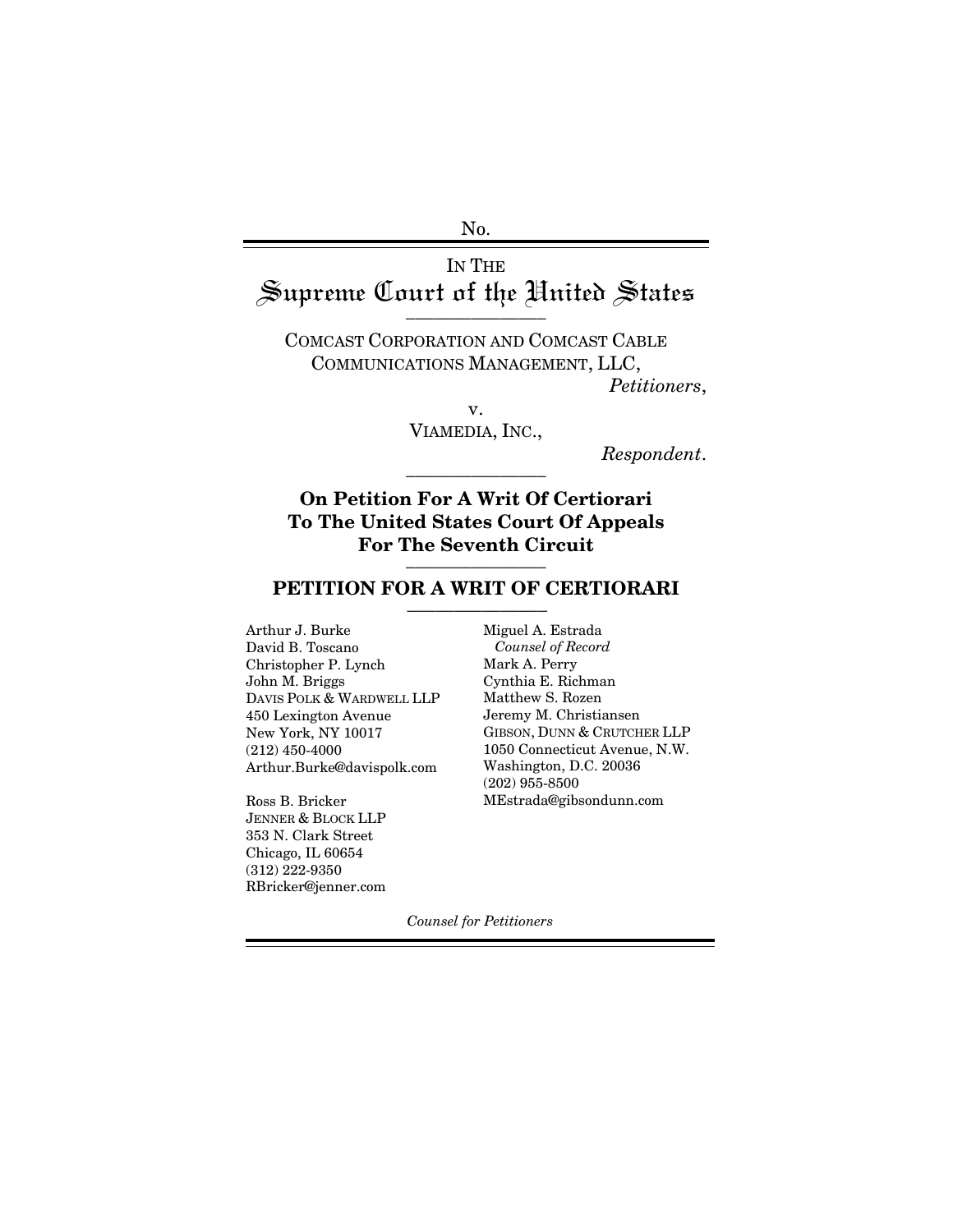No.

# IN THE Supreme Court of the United States

COMCAST CORPORATION AND COMCAST CABLE COMMUNICATIONS MANAGEMENT, LLC,

*Petitioners*,

v. VIAMEDIA, INC.,

 $Respondent.$ 

## **On Petition For A Writ Of Certiorari To The United States Court Of Appeals For The Seventh Circuit** \_\_\_\_\_\_\_\_\_\_\_\_\_\_\_

### PETITION FOR A WRIT OF CERTIORARI

Arthur J. Burke David B. Toscano Christopher P. Lynch John M. Briggs DAVIS POLK & WARDWELL LLP 450 Lexington Avenue New York, NY 10017 (212) 450-4000 Arthur.Burke@davispolk.com

Ross B. Bricker JENNER & BLOCK LLP 353 N. Clark Street Chicago, IL 60654 (312) 222-9350 RBricker@jenner.com Miguel A. Estrada *Counsel of Record* Mark A. Perry Cynthia E. Richman Matthew S. Rozen Jeremy M. Christiansen GIBSON, DUNN & CRUTCHER LLP 1050 Connecticut Avenue, N.W. Washington, D.C. 20036 (202) 955-8500 MEstrada@gibsondunn.com

*Counsel for Petitioners*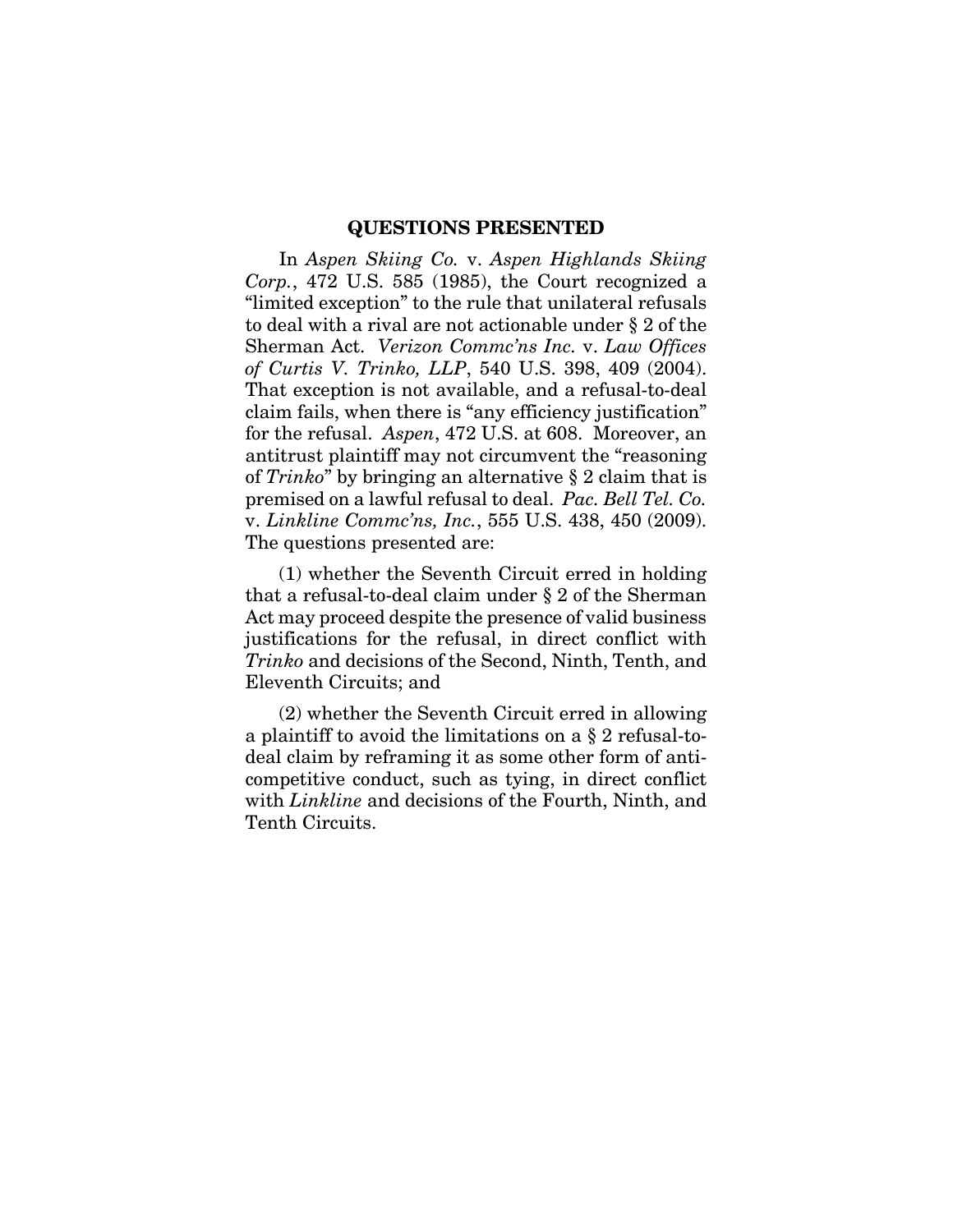#### **QUESTIONS PRESENTED**

In *Aspen Skiing Co.* v. *Aspen Highlands Skiing Corp.*, 472 U.S. 585 (1985), the Court recognized a "limited exception" to the rule that unilateral refusals to deal with a rival are not actionable under § 2 of the Sherman Act. *Verizon Commc'ns Inc.* v. *Law Offices of Curtis V. Trinko, LLP*, 540 U.S. 398, 409 (2004). That exception is not available, and a refusal-to-deal claim fails, when there is "any efficiency justification" for the refusal. *Aspen*, 472 U.S. at 608. Moreover, an antitrust plaintiff may not circumvent the "reasoning of *Trinko*" by bringing an alternative § 2 claim that is premised on a lawful refusal to deal. *Pac. Bell Tel. Co.*  v. *Linkline Commc'ns, Inc.*, 555 U.S. 438, 450 (2009). The questions presented are:

(1) whether the Seventh Circuit erred in holding that a refusal-to-deal claim under § 2 of the Sherman Act may proceed despite the presence of valid business justifications for the refusal, in direct conflict with *Trinko* and decisions of the Second, Ninth, Tenth, and Eleventh Circuits; and

(2) whether the Seventh Circuit erred in allowing a plaintiff to avoid the limitations on a § 2 refusal-todeal claim by reframing it as some other form of anticompetitive conduct, such as tying, in direct conflict with *Linkline* and decisions of the Fourth, Ninth, and Tenth Circuits.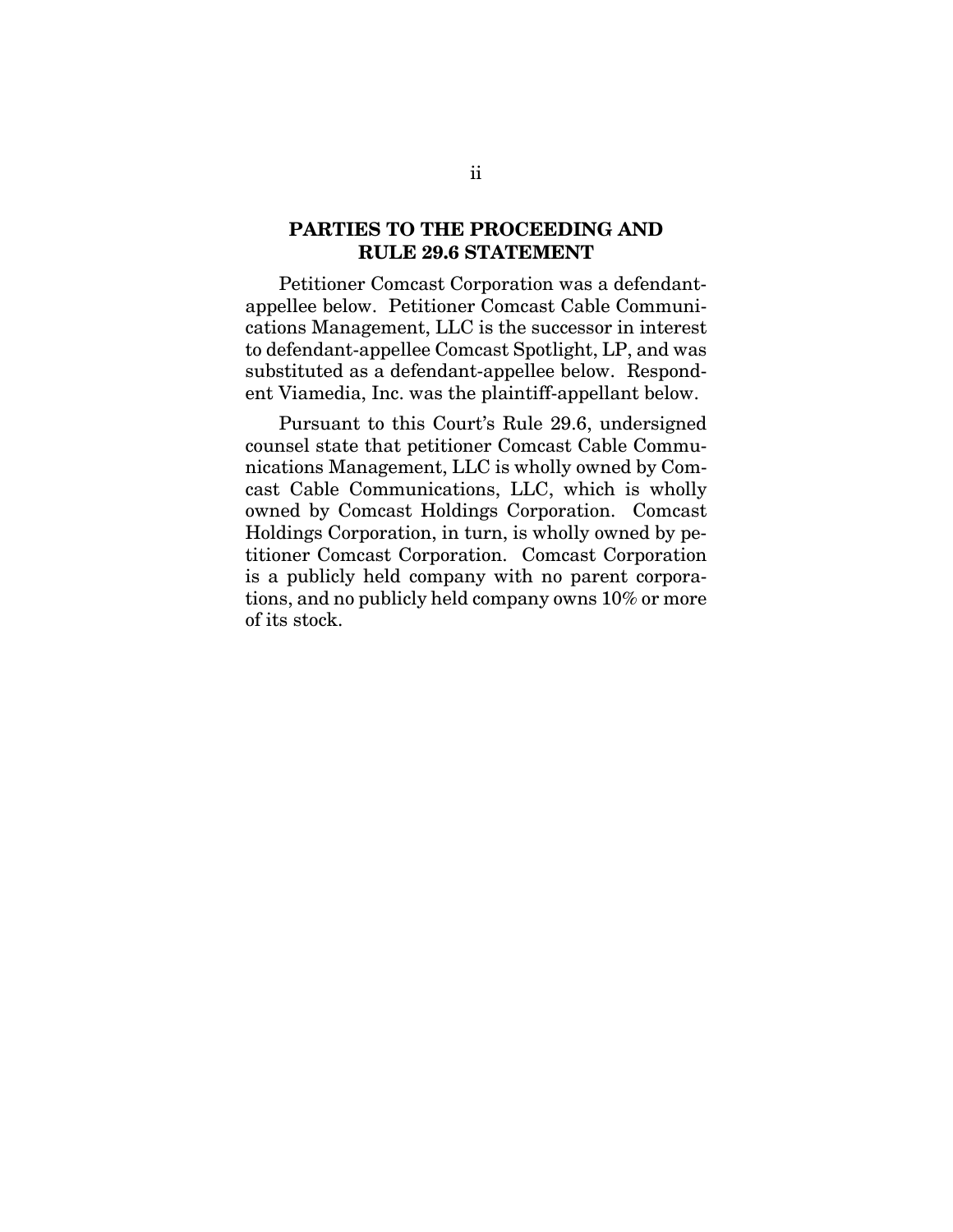### **PARTIES TO THE PROCEEDING AND RULE 29.6 STATEMENT**

Petitioner Comcast Corporation was a defendantappellee below. Petitioner Comcast Cable Communications Management, LLC is the successor in interest to defendant-appellee Comcast Spotlight, LP, and was substituted as a defendant-appellee below. Respondent Viamedia, Inc. was the plaintiff-appellant below.

Pursuant to this Court's Rule 29.6, undersigned counsel state that petitioner Comcast Cable Communications Management, LLC is wholly owned by Comcast Cable Communications, LLC, which is wholly owned by Comcast Holdings Corporation. Comcast Holdings Corporation, in turn, is wholly owned by petitioner Comcast Corporation. Comcast Corporation is a publicly held company with no parent corporations, and no publicly held company owns 10% or more of its stock.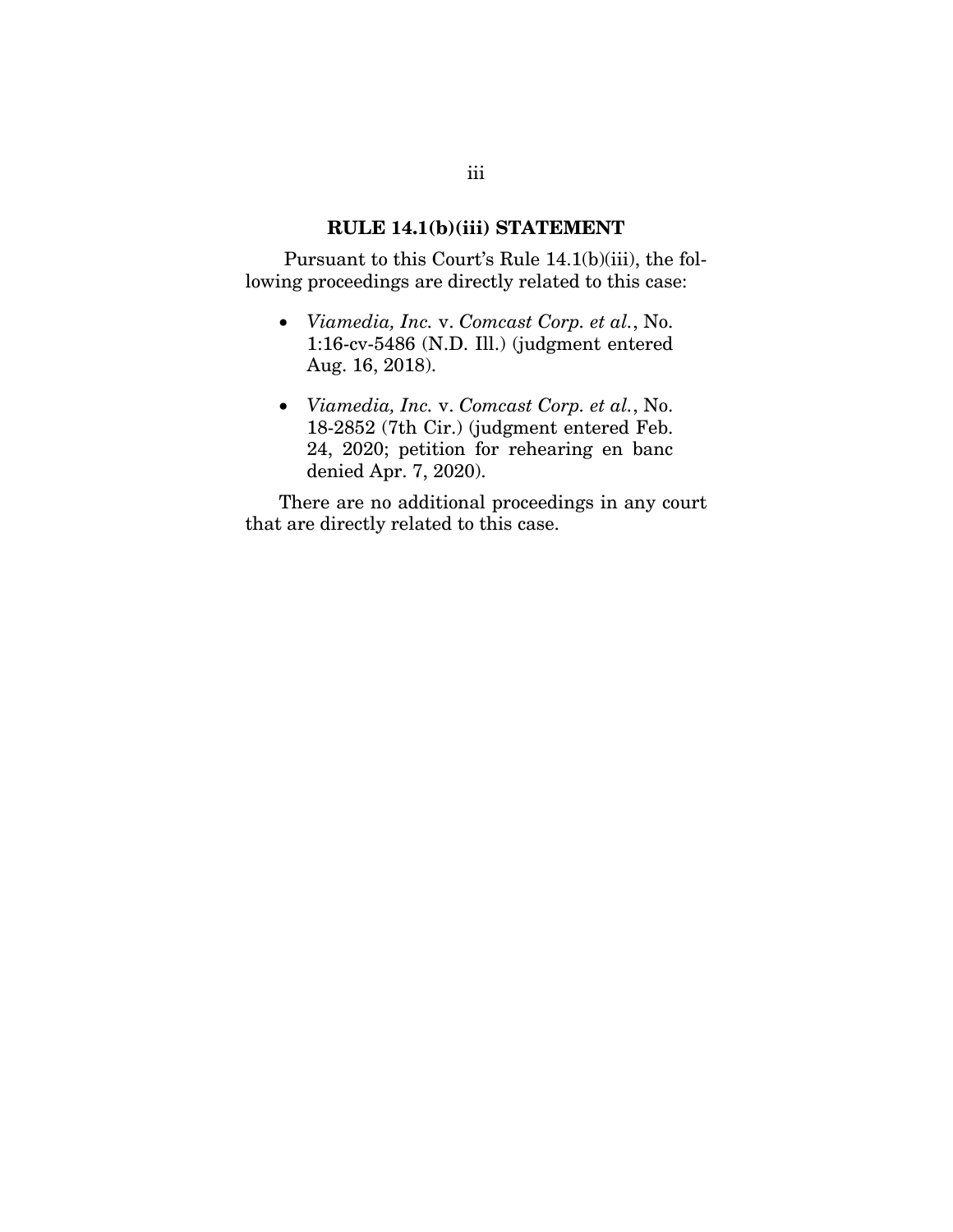#### **RULE 14.1(b)(iii) STATEMENT**

 Pursuant to this Court's Rule 14.1(b)(iii), the following proceedings are directly related to this case:

- *Viamedia, Inc.* v. *Comcast Corp. et al.*, No. 1:16-cv-5486 (N.D. Ill.) (judgment entered Aug. 16, 2018).
- *Viamedia, Inc.* v. *Comcast Corp. et al.*, No. 18-2852 (7th Cir.) (judgment entered Feb. 24, 2020; petition for rehearing en banc denied Apr. 7, 2020).

There are no additional proceedings in any court that are directly related to this case.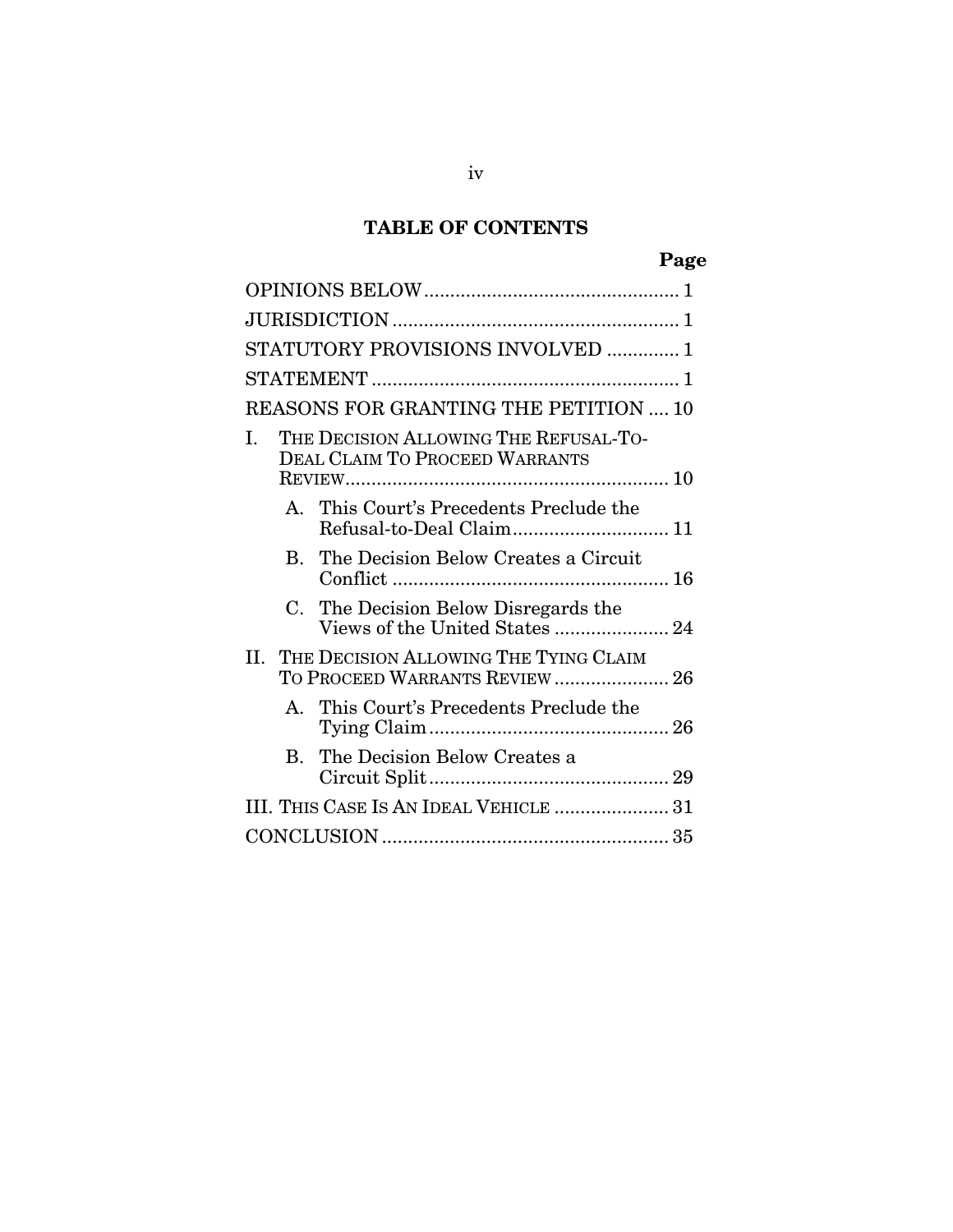# **TABLE OF CONTENTS**

# **Page**

| STATUTORY PROVISIONS INVOLVED  1                                             |                                                                         |  |  |
|------------------------------------------------------------------------------|-------------------------------------------------------------------------|--|--|
|                                                                              |                                                                         |  |  |
| REASONS FOR GRANTING THE PETITION  10                                        |                                                                         |  |  |
| THE DECISION ALLOWING THE REFUSAL-TO-<br>L<br>DEAL CLAIM TO PROCEED WARRANTS |                                                                         |  |  |
|                                                                              |                                                                         |  |  |
|                                                                              | A. This Court's Precedents Preclude the<br>Refusal-to-Deal Claim 11     |  |  |
|                                                                              | B. The Decision Below Creates a Circuit                                 |  |  |
|                                                                              | C. The Decision Below Disregards the<br>Views of the United States  24  |  |  |
| Н.                                                                           | THE DECISION ALLOWING THE TYING CLAIM<br>TO PROCEED WARRANTS REVIEW  26 |  |  |
|                                                                              | A. This Court's Precedents Preclude the                                 |  |  |
|                                                                              | B. The Decision Below Creates a                                         |  |  |
|                                                                              | III. THIS CASE IS AN IDEAL VEHICLE  31                                  |  |  |
|                                                                              |                                                                         |  |  |
|                                                                              |                                                                         |  |  |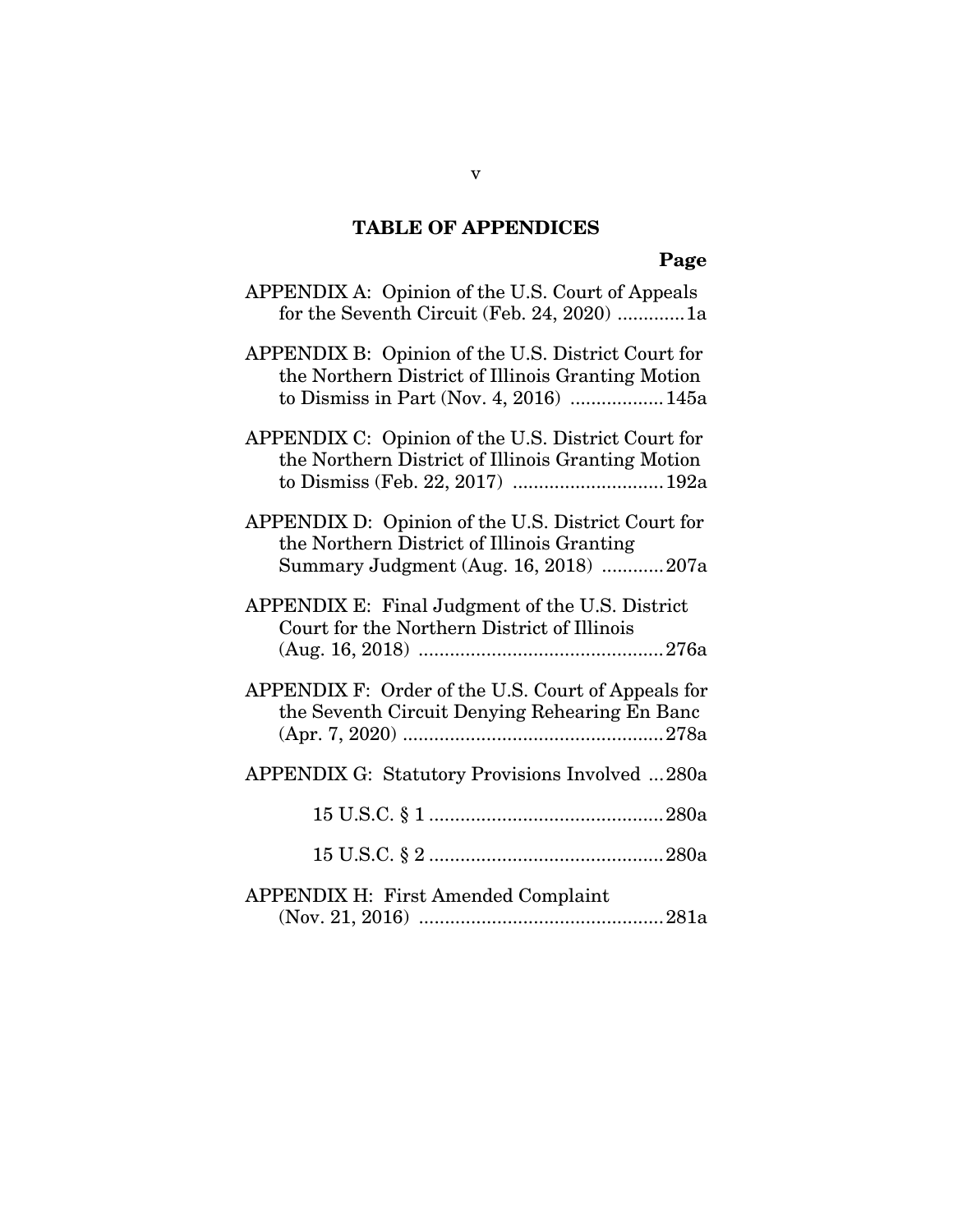# **TABLE OF APPENDICES**

# **Page**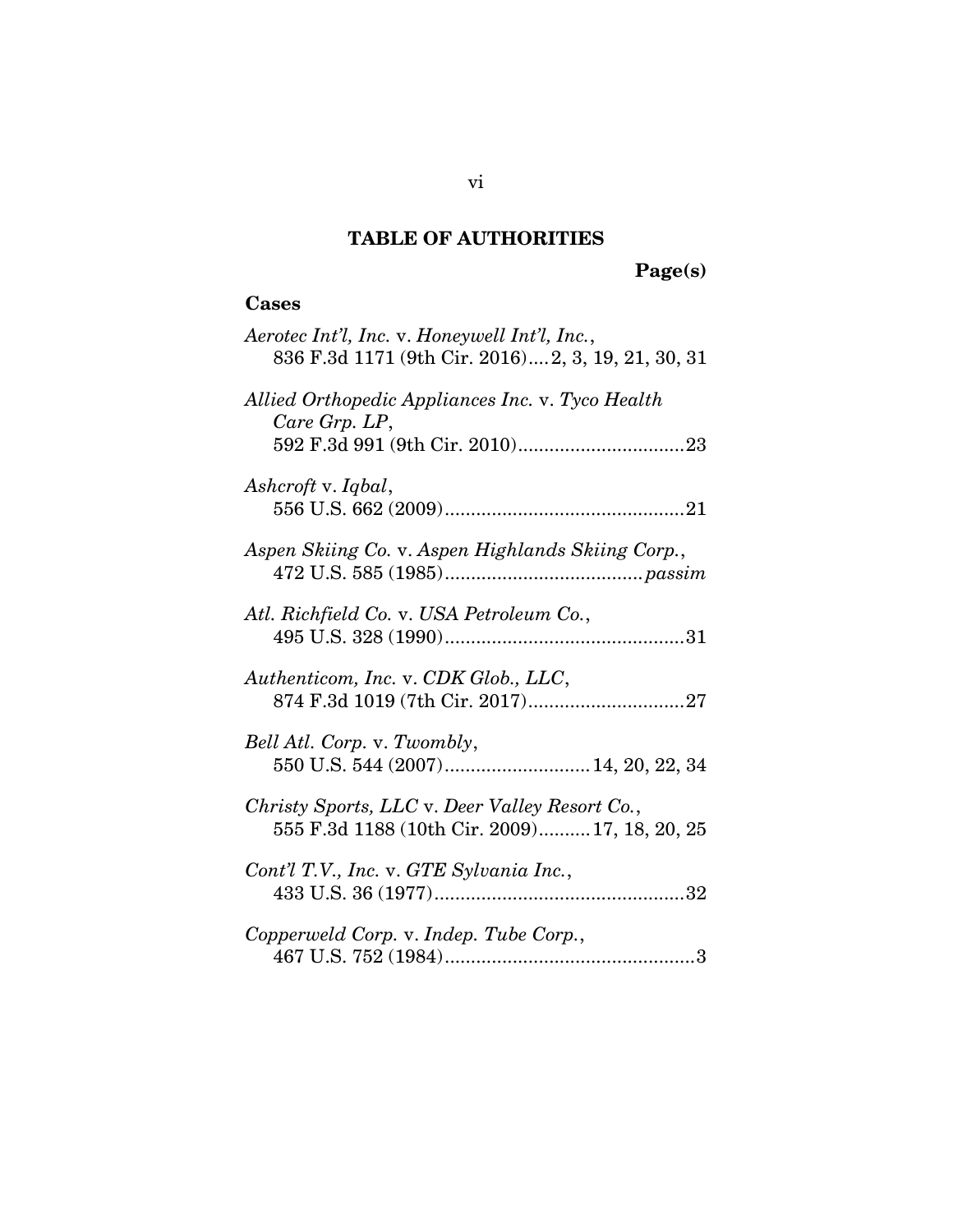# **TABLE OF AUTHORITIES**

# **Page(s)**

## **Cases**

| Aerotec Int'l, Inc. v. Honeywell Int'l, Inc.,<br>836 F.3d 1171 (9th Cir. 2016) 2, 3, 19, 21, 30, 31 |
|-----------------------------------------------------------------------------------------------------|
| Allied Orthopedic Appliances Inc. v. Tyco Health<br>Care Grp. LP,                                   |
| Ashcroft v. Iqbal,                                                                                  |
| Aspen Skiing Co. v. Aspen Highlands Skiing Corp.,                                                   |
| Atl. Richfield Co. v. USA Petroleum Co.,                                                            |
| Authenticom, Inc. v. CDK Glob., LLC,                                                                |
| Bell Atl. Corp. v. Twombly,<br>550 U.S. 544 (2007) 14, 20, 22, 34                                   |
| Christy Sports, LLC v. Deer Valley Resort Co.,<br>555 F.3d 1188 (10th Cir. 2009) 17, 18, 20, 25     |
| Cont'l T.V., Inc. v. GTE Sylvania Inc.,                                                             |
| Copperweld Corp. v. Indep. Tube Corp.,                                                              |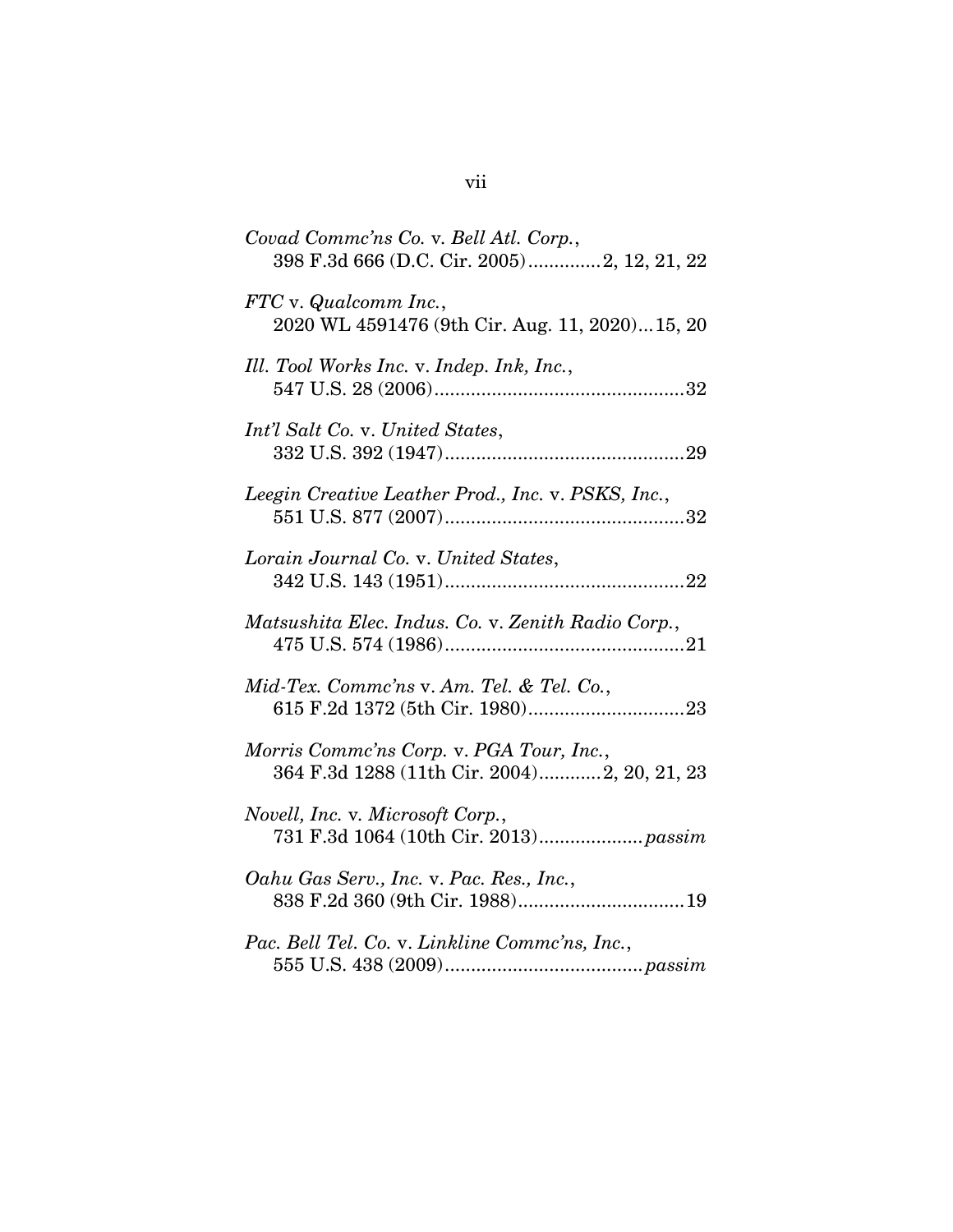| Covad Commc'ns Co. v. Bell Atl. Corp.,<br>398 F.3d 666 (D.C. Cir. 2005)2, 12, 21, 22    |
|-----------------------------------------------------------------------------------------|
| FTC v. Qualcomm Inc.,<br>2020 WL 4591476 (9th Cir. Aug. 11, 2020)15, 20                 |
| Ill. Tool Works Inc. v. Indep. Ink, Inc.,                                               |
| Int'l Salt Co. v. United States,                                                        |
| Leegin Creative Leather Prod., Inc. v. PSKS, Inc.,                                      |
| Lorain Journal Co. v. United States,                                                    |
| Matsushita Elec. Indus. Co. v. Zenith Radio Corp.,                                      |
| Mid-Tex. Commc'ns v. Am. Tel. & Tel. Co.,                                               |
| Morris Comme'ns Corp. v. PGA Tour, Inc.,<br>364 F.3d 1288 (11th Cir. 2004)2, 20, 21, 23 |
| Novell, Inc. v. Microsoft Corp.,                                                        |
| Oahu Gas Serv., Inc. v. Pac. Res., Inc.,                                                |
| Pac. Bell Tel. Co. v. Linkline Commc'ns, Inc.,                                          |

vii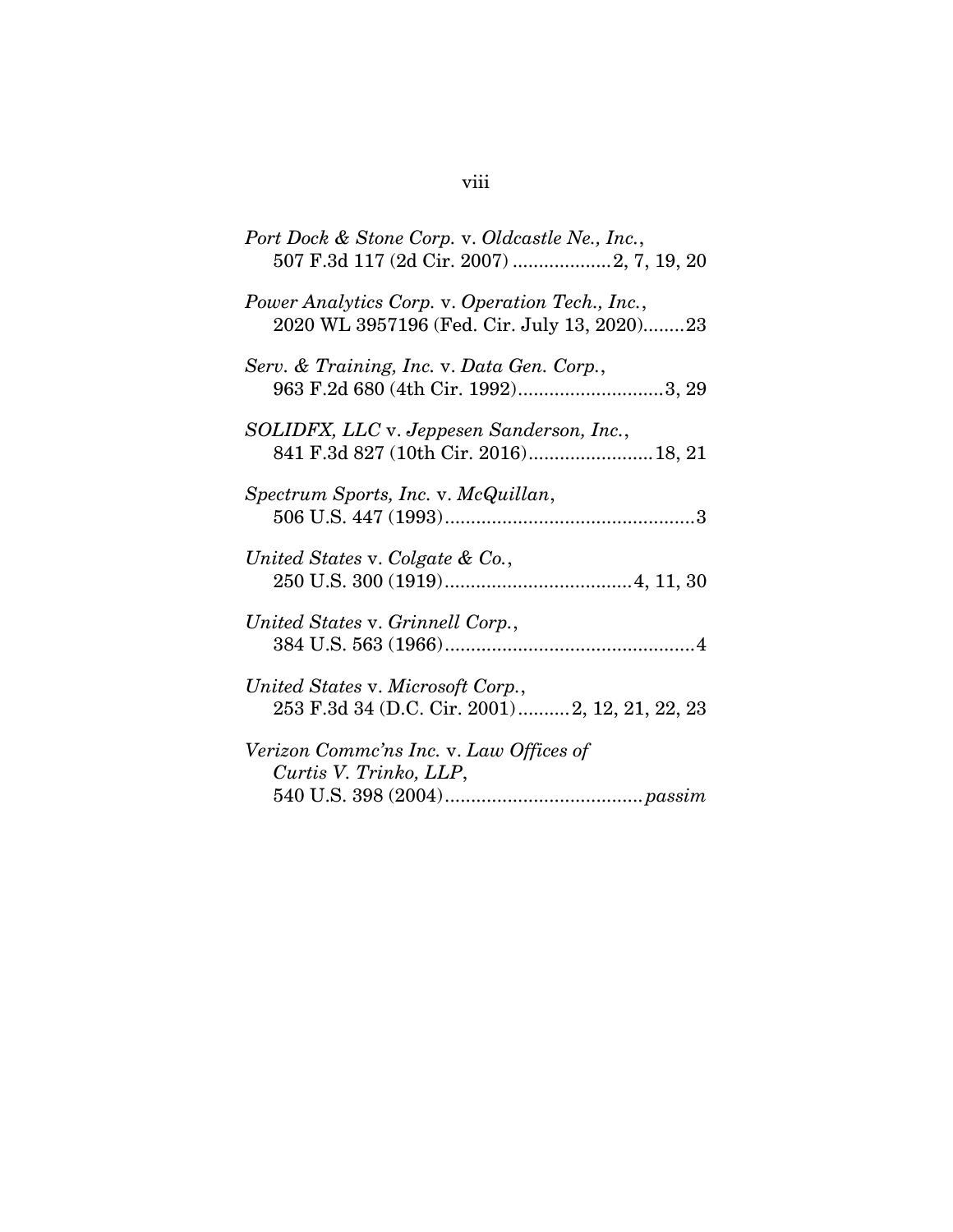| Port Dock & Stone Corp. v. Oldcastle Ne., Inc.,                                                |
|------------------------------------------------------------------------------------------------|
| Power Analytics Corp. v. Operation Tech., Inc.,<br>2020 WL 3957196 (Fed. Cir. July 13, 2020)23 |
| Serv. & Training, Inc. v. Data Gen. Corp.,<br>963 F.2d 680 (4th Cir. 1992)3, 29                |
| SOLIDFX, LLC v. Jeppesen Sanderson, Inc.,                                                      |
| Spectrum Sports, Inc. v. McQuillan,                                                            |
| United States v. Colgate & Co.,                                                                |
| United States v. Grinnell Corp.,                                                               |
| United States v. Microsoft Corp.,<br>253 F.3d 34 (D.C. Cir. 2001)2, 12, 21, 22, 23             |
| Verizon Commc'ns Inc. v. Law Offices of<br>Curtis V. Trinko, LLP,                              |

# viii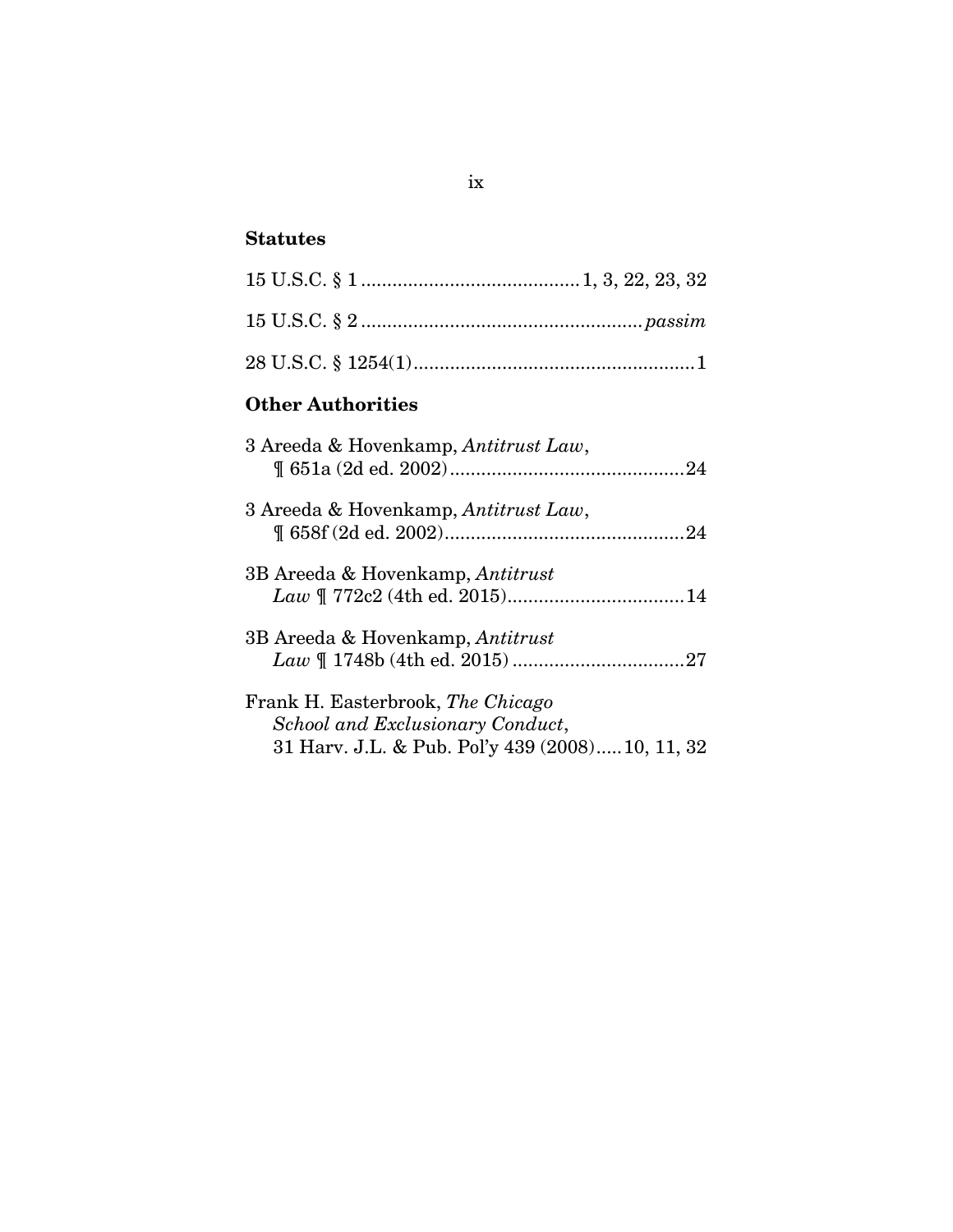## **Statutes**

# **Other Authorities**

| 3 Areeda & Hovenkamp, Antitrust Law,                                                                                      |  |
|---------------------------------------------------------------------------------------------------------------------------|--|
| 3 Areeda & Hovenkamp, Antitrust Law,                                                                                      |  |
| 3B Areeda & Hovenkamp, Antitrust                                                                                          |  |
| 3B Areeda & Hovenkamp, Antitrust                                                                                          |  |
| Frank H. Easterbrook, The Chicago<br>School and Exclusionary Conduct,<br>31 Harv. J.L. & Pub. Pol'y 439 (2008) 10, 11, 32 |  |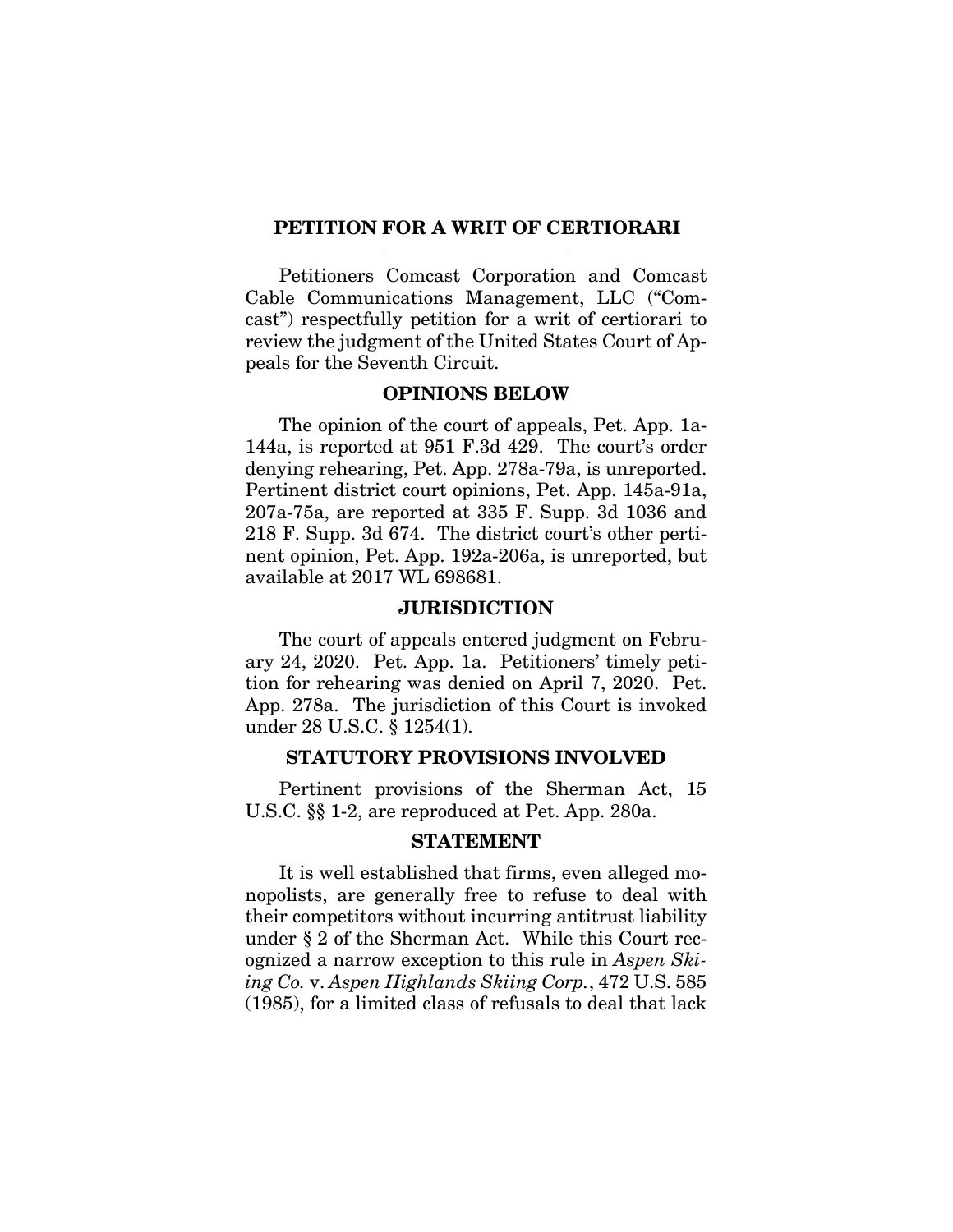#### **PETITION FOR A WRIT OF CERTIORARI**

Petitioners Comcast Corporation and Comcast Cable Communications Management, LLC ("Comcast") respectfully petition for a writ of certiorari to review the judgment of the United States Court of Appeals for the Seventh Circuit.

#### **OPINIONS BELOW**

The opinion of the court of appeals, Pet. App. 1a-144a, is reported at 951 F.3d 429. The court's order denying rehearing, Pet. App. 278a-79a, is unreported. Pertinent district court opinions, Pet. App. 145a-91a, 207a-75a, are reported at 335 F. Supp. 3d 1036 and 218 F. Supp. 3d 674. The district court's other pertinent opinion, Pet. App. 192a-206a, is unreported, but available at 2017 WL 698681.

#### **JURISDICTION**

The court of appeals entered judgment on February 24, 2020. Pet. App. 1a. Petitioners' timely petition for rehearing was denied on April 7, 2020. Pet. App. 278a. The jurisdiction of this Court is invoked under 28 U.S.C. § 1254(1).

#### **STATUTORY PROVISIONS INVOLVED**

Pertinent provisions of the Sherman Act, 15 U.S.C. §§ 1-2, are reproduced at Pet. App. 280a.

#### **STATEMENT**

It is well established that firms, even alleged monopolists, are generally free to refuse to deal with their competitors without incurring antitrust liability under § 2 of the Sherman Act. While this Court recognized a narrow exception to this rule in *Aspen Skiing Co.* v. *Aspen Highlands Skiing Corp.*, 472 U.S. 585 (1985), for a limited class of refusals to deal that lack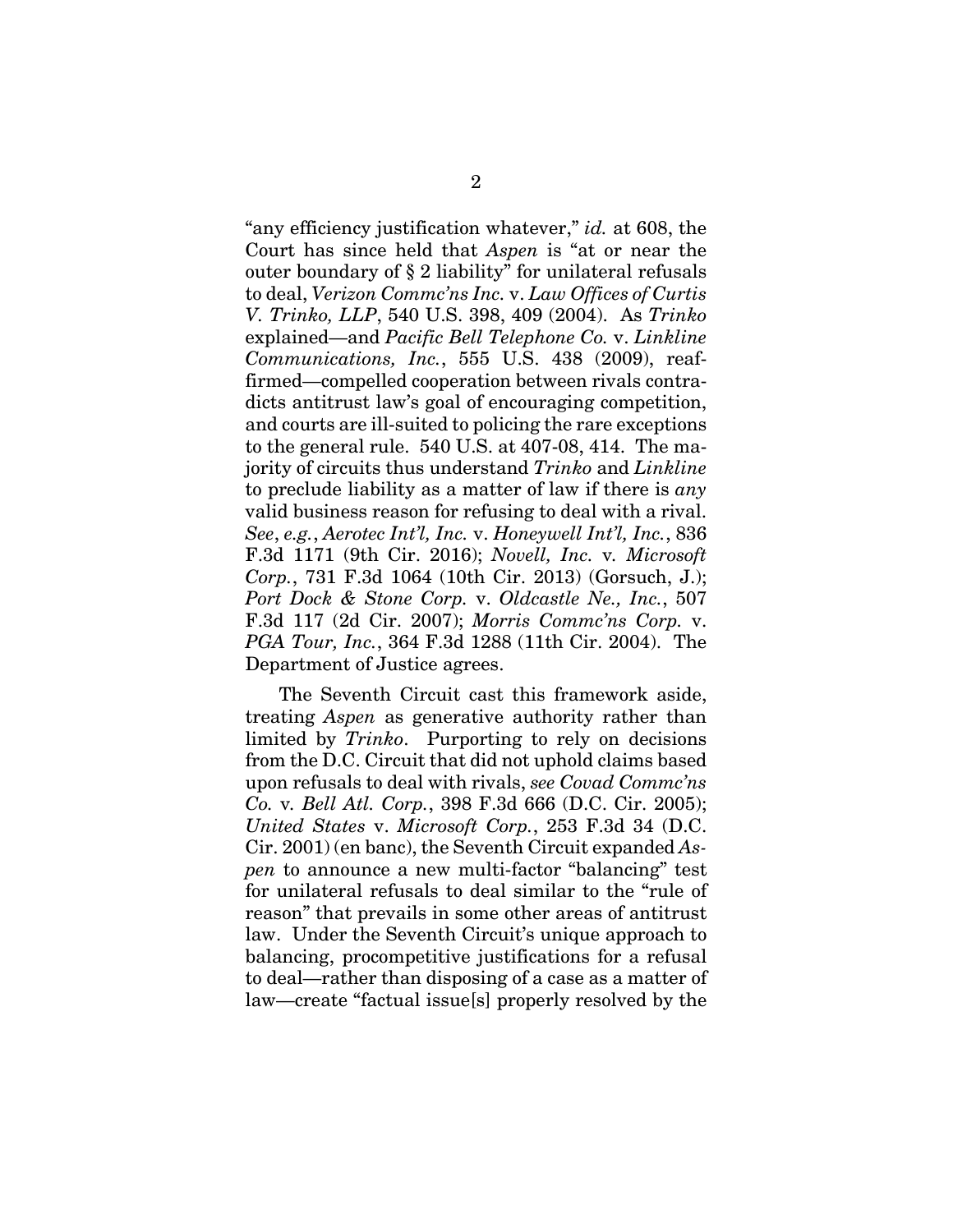"any efficiency justification whatever," *id.* at 608, the Court has since held that *Aspen* is "at or near the outer boundary of § 2 liability" for unilateral refusals to deal, *Verizon Commc'ns Inc.* v. *Law Offices of Curtis V. Trinko, LLP*, 540 U.S. 398, 409 (2004). As *Trinko*  explained—and *Pacific Bell Telephone Co.* v. *Linkline Communications, Inc.*, 555 U.S. 438 (2009), reaffirmed—compelled cooperation between rivals contradicts antitrust law's goal of encouraging competition, and courts are ill-suited to policing the rare exceptions to the general rule. 540 U.S. at 407-08, 414. The majority of circuits thus understand *Trinko* and *Linkline* to preclude liability as a matter of law if there is *any* valid business reason for refusing to deal with a rival. *See*, *e.g.*, *Aerotec Int'l, Inc.* v. *Honeywell Int'l, Inc.*, 836 F.3d 1171 (9th Cir. 2016); *Novell, Inc.* v*. Microsoft Corp.*, 731 F.3d 1064 (10th Cir. 2013) (Gorsuch, J.); *Port Dock & Stone Corp.* v. *Oldcastle Ne., Inc.*, 507 F.3d 117 (2d Cir. 2007); *Morris Commc'ns Corp.* v. *PGA Tour, Inc.*, 364 F.3d 1288 (11th Cir. 2004). The Department of Justice agrees.

The Seventh Circuit cast this framework aside, treating *Aspen* as generative authority rather than limited by *Trinko*. Purporting to rely on decisions from the D.C. Circuit that did not uphold claims based upon refusals to deal with rivals, *see Covad Commc'ns Co.* v*. Bell Atl. Corp.*, 398 F.3d 666 (D.C. Cir. 2005); *United States* v. *Microsoft Corp.*, 253 F.3d 34 (D.C. Cir. 2001) (en banc), the Seventh Circuit expanded *Aspen* to announce a new multi-factor "balancing" test for unilateral refusals to deal similar to the "rule of reason" that prevails in some other areas of antitrust law. Under the Seventh Circuit's unique approach to balancing, procompetitive justifications for a refusal to deal—rather than disposing of a case as a matter of law—create "factual issue[s] properly resolved by the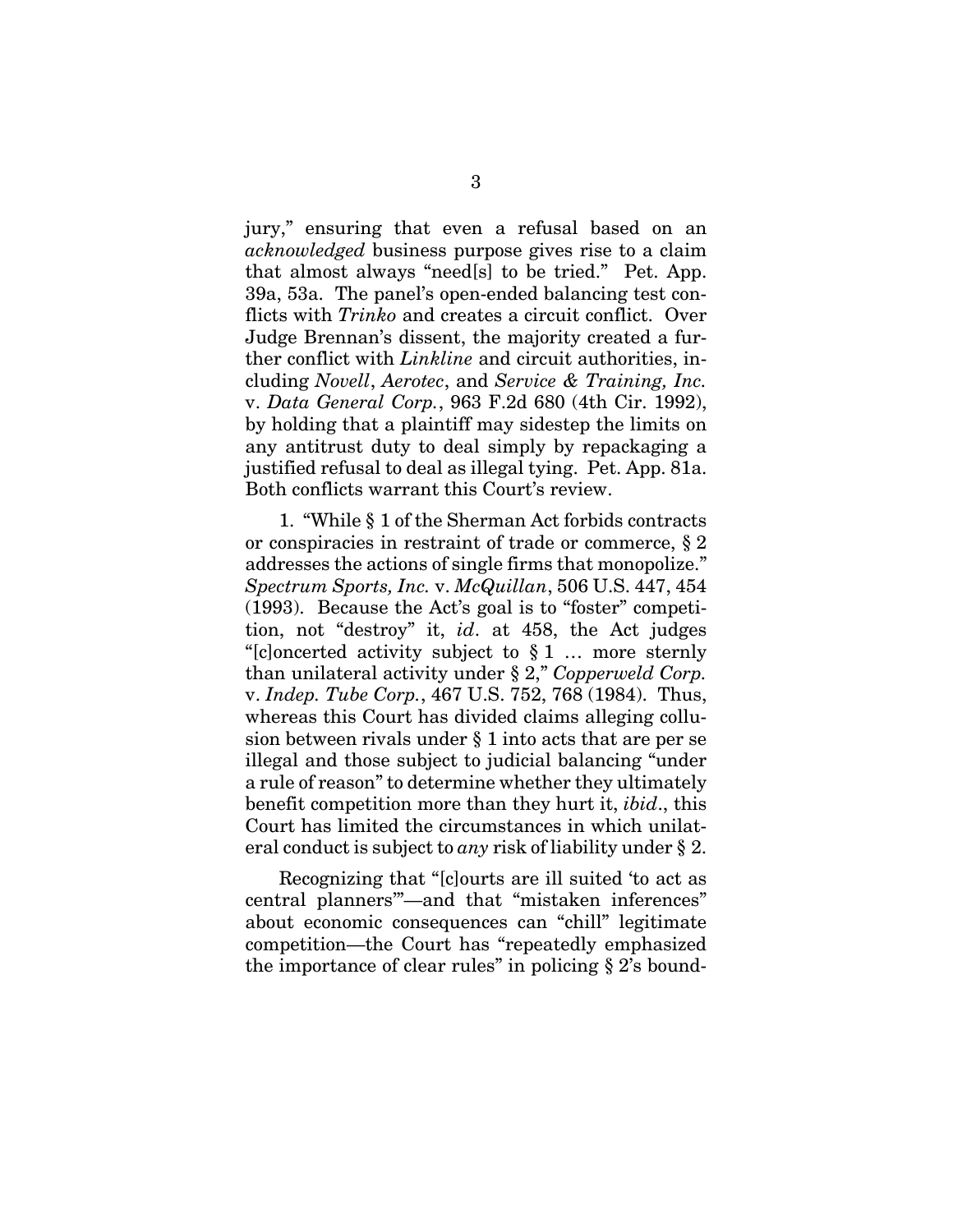jury," ensuring that even a refusal based on an *acknowledged* business purpose gives rise to a claim that almost always "need[s] to be tried." Pet. App. 39a, 53a. The panel's open-ended balancing test conflicts with *Trinko* and creates a circuit conflict. Over Judge Brennan's dissent, the majority created a further conflict with *Linkline* and circuit authorities, including *Novell*, *Aerotec*, and *Service & Training, Inc.*  v. *Data General Corp.*, 963 F.2d 680 (4th Cir. 1992), by holding that a plaintiff may sidestep the limits on any antitrust duty to deal simply by repackaging a justified refusal to deal as illegal tying. Pet. App. 81a. Both conflicts warrant this Court's review.

1. "While § 1 of the Sherman Act forbids contracts or conspiracies in restraint of trade or commerce, § 2 addresses the actions of single firms that monopolize." *Spectrum Sports, Inc.* v. *McQuillan*, 506 U.S. 447, 454 (1993). Because the Act's goal is to "foster" competition, not "destroy" it, *id*. at 458, the Act judges "[c]oncerted activity subject to § 1 … more sternly than unilateral activity under § 2," *Copperweld Corp.*  v. *Indep. Tube Corp.*, 467 U.S. 752, 768 (1984). Thus, whereas this Court has divided claims alleging collusion between rivals under § 1 into acts that are per se illegal and those subject to judicial balancing "under a rule of reason" to determine whether they ultimately benefit competition more than they hurt it, *ibid*., this Court has limited the circumstances in which unilateral conduct is subject to *any* risk of liability under § 2.

Recognizing that "[c]ourts are ill suited 'to act as central planners'"—and that "mistaken inferences" about economic consequences can "chill" legitimate competition—the Court has "repeatedly emphasized the importance of clear rules" in policing  $\S 2$ 's bound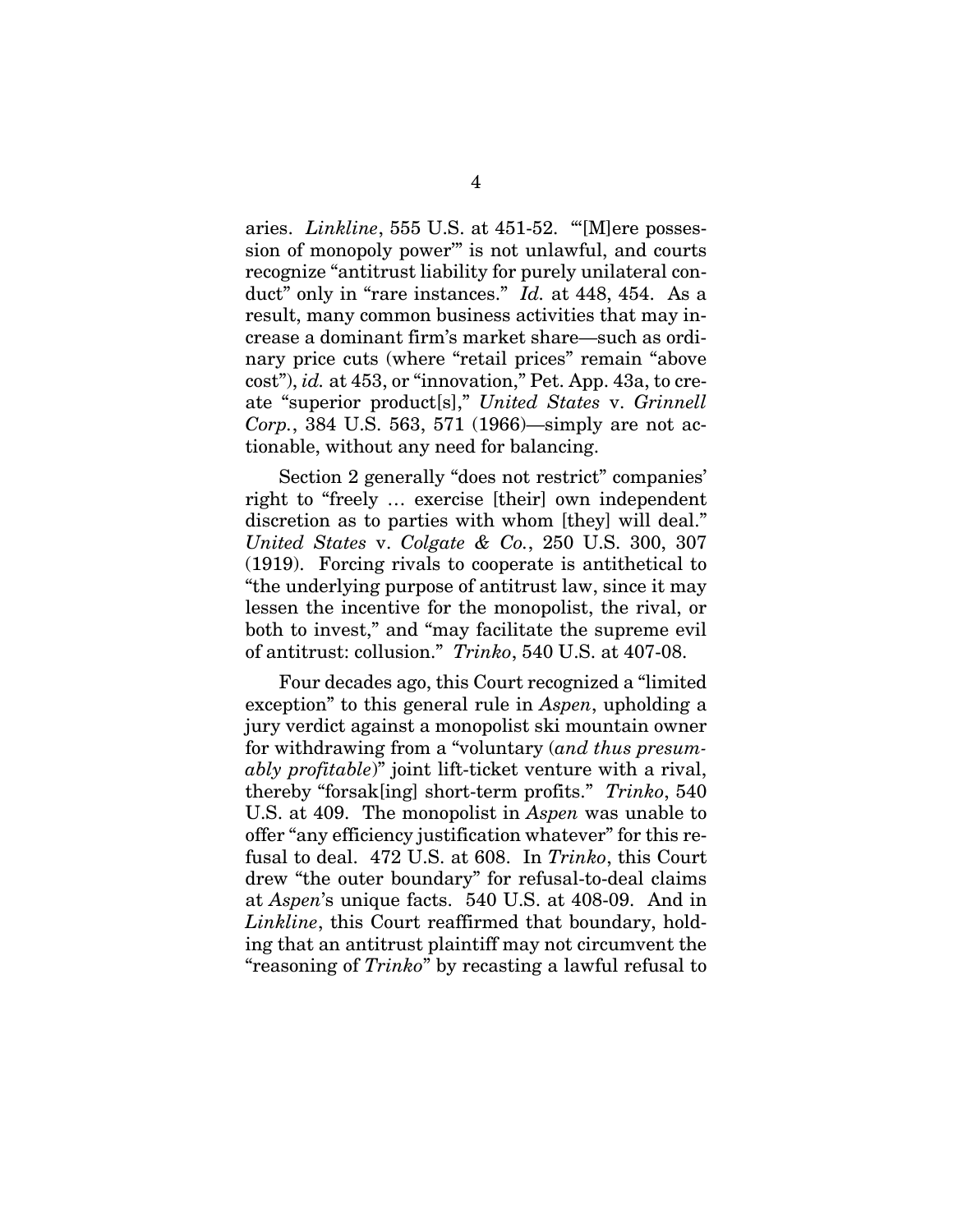aries. *Linkline*, 555 U.S. at 451-52. "'[M]ere possession of monopoly power'" is not unlawful, and courts recognize "antitrust liability for purely unilateral conduct" only in "rare instances." *Id.* at 448, 454. As a result, many common business activities that may increase a dominant firm's market share—such as ordinary price cuts (where "retail prices" remain "above cost"), *id.* at 453, or "innovation," Pet. App. 43a, to create "superior product[s]," *United States* v. *Grinnell Corp.*, 384 U.S. 563, 571 (1966)—simply are not actionable, without any need for balancing.

Section 2 generally "does not restrict" companies' right to "freely … exercise [their] own independent discretion as to parties with whom [they] will deal." *United States* v. *Colgate & Co.*, 250 U.S. 300, 307 (1919). Forcing rivals to cooperate is antithetical to "the underlying purpose of antitrust law, since it may lessen the incentive for the monopolist, the rival, or both to invest," and "may facilitate the supreme evil of antitrust: collusion." *Trinko*, 540 U.S. at 407-08.

Four decades ago, this Court recognized a "limited exception" to this general rule in *Aspen*, upholding a jury verdict against a monopolist ski mountain owner for withdrawing from a "voluntary (*and thus presumably profitable*)" joint lift-ticket venture with a rival, thereby "forsak[ing] short-term profits." *Trinko*, 540 U.S. at 409. The monopolist in *Aspen* was unable to offer "any efficiency justification whatever" for this refusal to deal. 472 U.S. at 608. In *Trinko*, this Court drew "the outer boundary" for refusal-to-deal claims at *Aspen*'s unique facts. 540 U.S. at 408-09. And in *Linkline*, this Court reaffirmed that boundary, holding that an antitrust plaintiff may not circumvent the "reasoning of *Trinko*" by recasting a lawful refusal to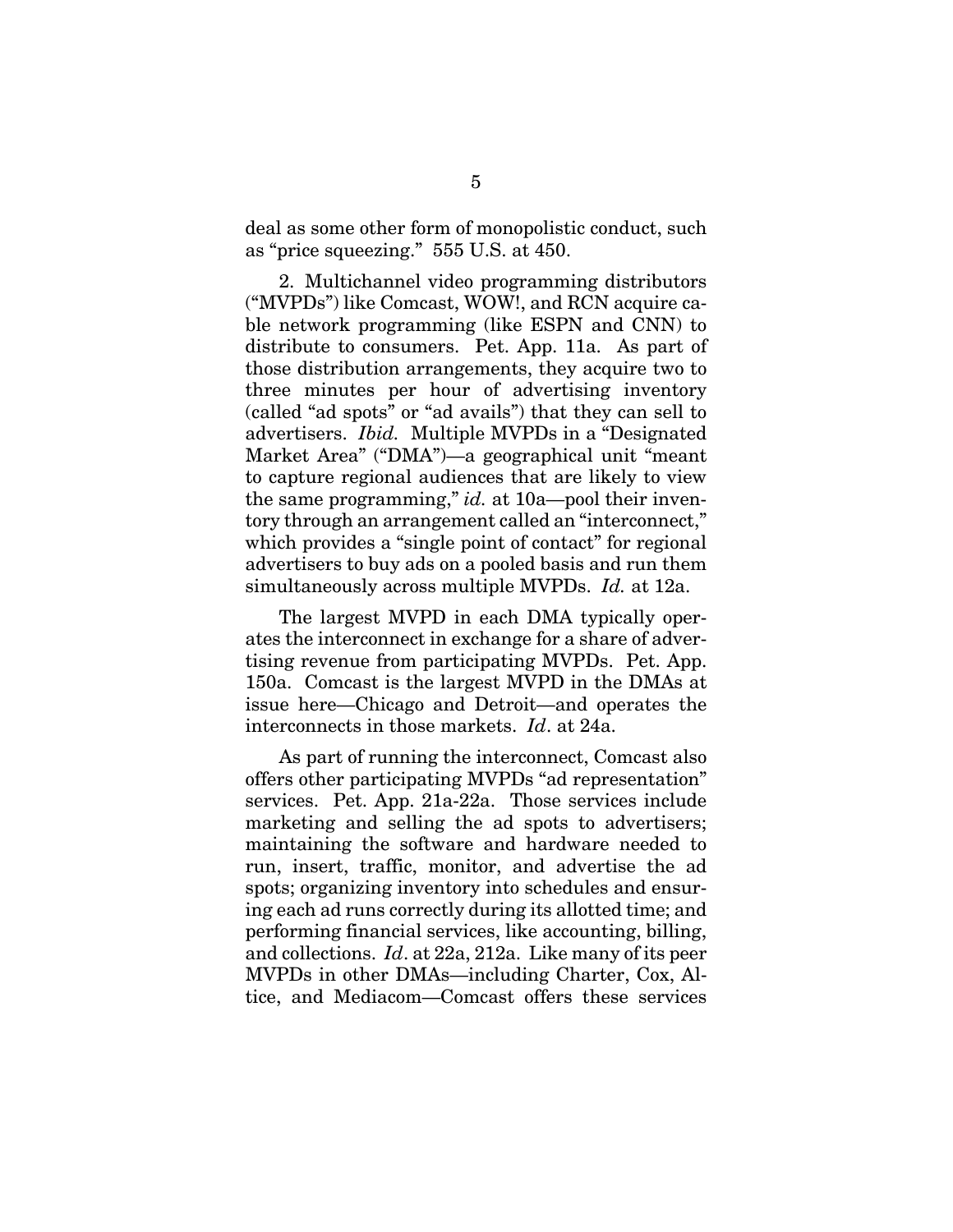deal as some other form of monopolistic conduct, such as "price squeezing." 555 U.S. at 450.

2. Multichannel video programming distributors ("MVPDs") like Comcast, WOW!, and RCN acquire cable network programming (like ESPN and CNN) to distribute to consumers. Pet. App. 11a. As part of those distribution arrangements, they acquire two to three minutes per hour of advertising inventory (called "ad spots" or "ad avails") that they can sell to advertisers. *Ibid.* Multiple MVPDs in a "Designated Market Area" ("DMA")—a geographical unit "meant to capture regional audiences that are likely to view the same programming," *id.* at 10a—pool their inventory through an arrangement called an "interconnect," which provides a "single point of contact" for regional advertisers to buy ads on a pooled basis and run them simultaneously across multiple MVPDs. *Id.* at 12a.

The largest MVPD in each DMA typically operates the interconnect in exchange for a share of advertising revenue from participating MVPDs. Pet. App. 150a. Comcast is the largest MVPD in the DMAs at issue here—Chicago and Detroit—and operates the interconnects in those markets. *Id*. at 24a.

As part of running the interconnect, Comcast also offers other participating MVPDs "ad representation" services. Pet. App. 21a-22a. Those services include marketing and selling the ad spots to advertisers; maintaining the software and hardware needed to run, insert, traffic, monitor, and advertise the ad spots; organizing inventory into schedules and ensuring each ad runs correctly during its allotted time; and performing financial services, like accounting, billing, and collections. *Id*. at 22a, 212a. Like many of its peer MVPDs in other DMAs—including Charter, Cox, Altice, and Mediacom—Comcast offers these services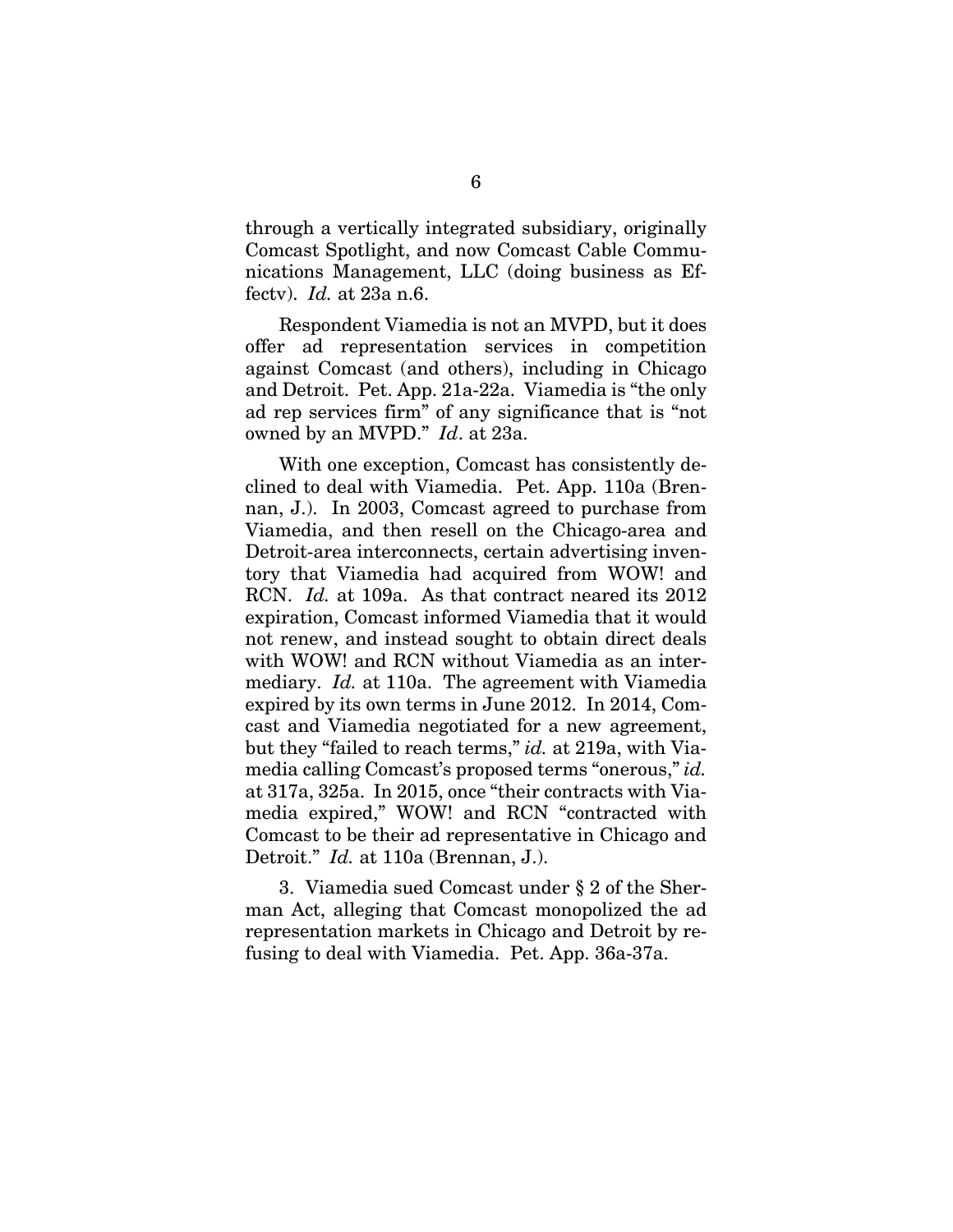through a vertically integrated subsidiary, originally Comcast Spotlight, and now Comcast Cable Communications Management, LLC (doing business as Effectv). *Id.* at 23a n.6.

Respondent Viamedia is not an MVPD, but it does offer ad representation services in competition against Comcast (and others), including in Chicago and Detroit. Pet. App. 21a-22a. Viamedia is "the only ad rep services firm" of any significance that is "not owned by an MVPD." *Id*. at 23a.

With one exception, Comcast has consistently declined to deal with Viamedia. Pet. App. 110a (Brennan, J.). In 2003, Comcast agreed to purchase from Viamedia, and then resell on the Chicago-area and Detroit-area interconnects, certain advertising inventory that Viamedia had acquired from WOW! and RCN. *Id.* at 109a. As that contract neared its 2012 expiration, Comcast informed Viamedia that it would not renew, and instead sought to obtain direct deals with WOW! and RCN without Viamedia as an intermediary. *Id.* at 110a. The agreement with Viamedia expired by its own terms in June 2012. In 2014, Comcast and Viamedia negotiated for a new agreement, but they "failed to reach terms," *id.* at 219a, with Viamedia calling Comcast's proposed terms "onerous," *id.* at 317a, 325a. In 2015, once "their contracts with Viamedia expired," WOW! and RCN "contracted with Comcast to be their ad representative in Chicago and Detroit." *Id.* at 110a (Brennan, J.).

3. Viamedia sued Comcast under § 2 of the Sherman Act, alleging that Comcast monopolized the ad representation markets in Chicago and Detroit by refusing to deal with Viamedia. Pet. App. 36a-37a.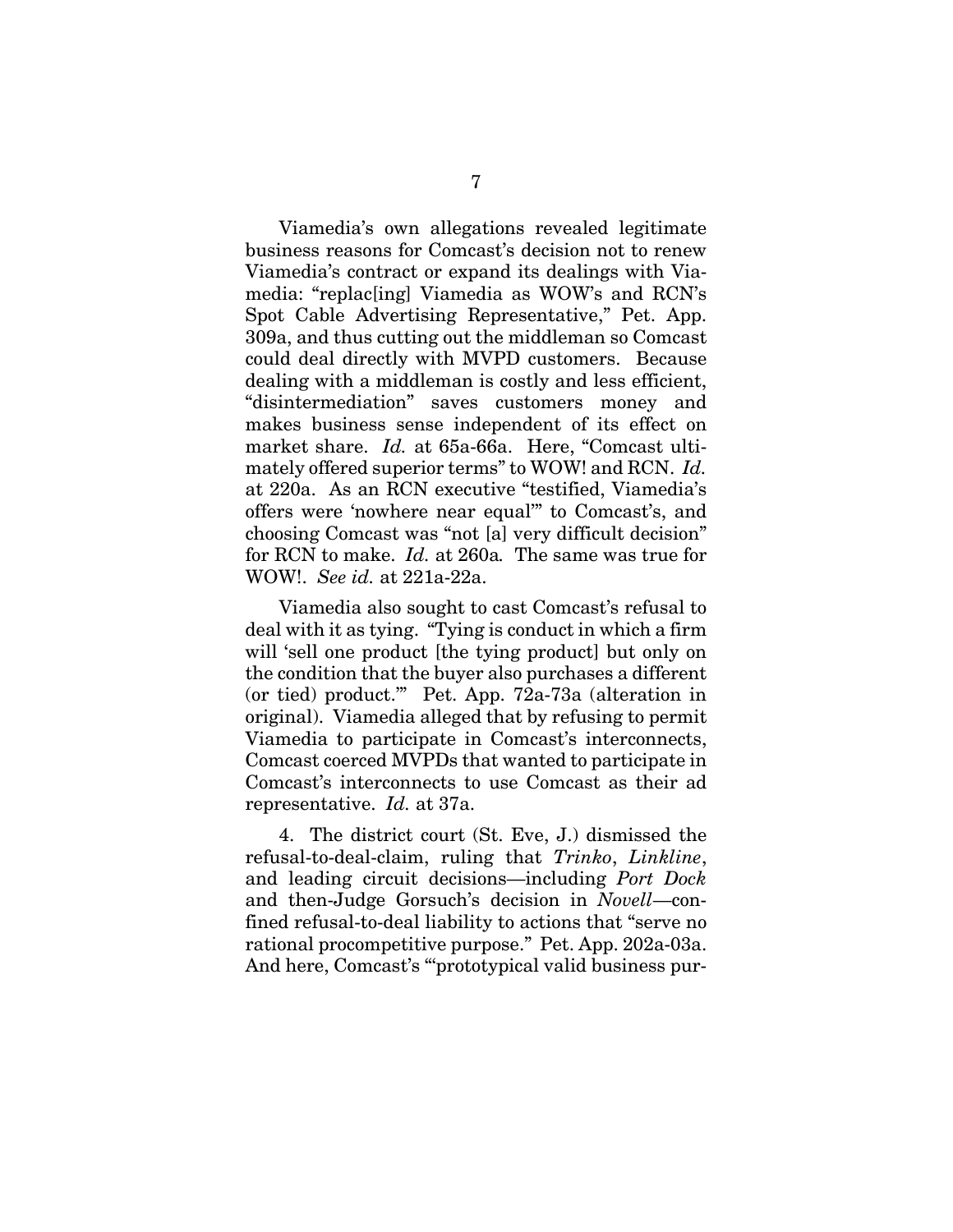Viamedia's own allegations revealed legitimate business reasons for Comcast's decision not to renew Viamedia's contract or expand its dealings with Viamedia: "replac[ing] Viamedia as WOW's and RCN's Spot Cable Advertising Representative," Pet. App. 309a, and thus cutting out the middleman so Comcast could deal directly with MVPD customers. Because dealing with a middleman is costly and less efficient, "disintermediation" saves customers money and makes business sense independent of its effect on market share. *Id.* at 65a-66a. Here, "Comcast ultimately offered superior terms" to WOW! and RCN. *Id.* at 220a. As an RCN executive "testified, Viamedia's offers were 'nowhere near equal'" to Comcast's, and choosing Comcast was "not [a] very difficult decision" for RCN to make. *Id.* at 260a*.* The same was true for WOW!. *See id.* at 221a-22a.

Viamedia also sought to cast Comcast's refusal to deal with it as tying. "Tying is conduct in which a firm will 'sell one product [the tying product] but only on the condition that the buyer also purchases a different (or tied) product.'" Pet. App. 72a-73a (alteration in original). Viamedia alleged that by refusing to permit Viamedia to participate in Comcast's interconnects, Comcast coerced MVPDs that wanted to participate in Comcast's interconnects to use Comcast as their ad representative. *Id.* at 37a.

4. The district court (St. Eve, J.) dismissed the refusal-to-deal-claim, ruling that *Trinko*, *Linkline*, and leading circuit decisions—including *Port Dock*  and then-Judge Gorsuch's decision in *Novell*—confined refusal-to-deal liability to actions that "serve no rational procompetitive purpose." Pet. App. 202a-03a. And here, Comcast's "'prototypical valid business pur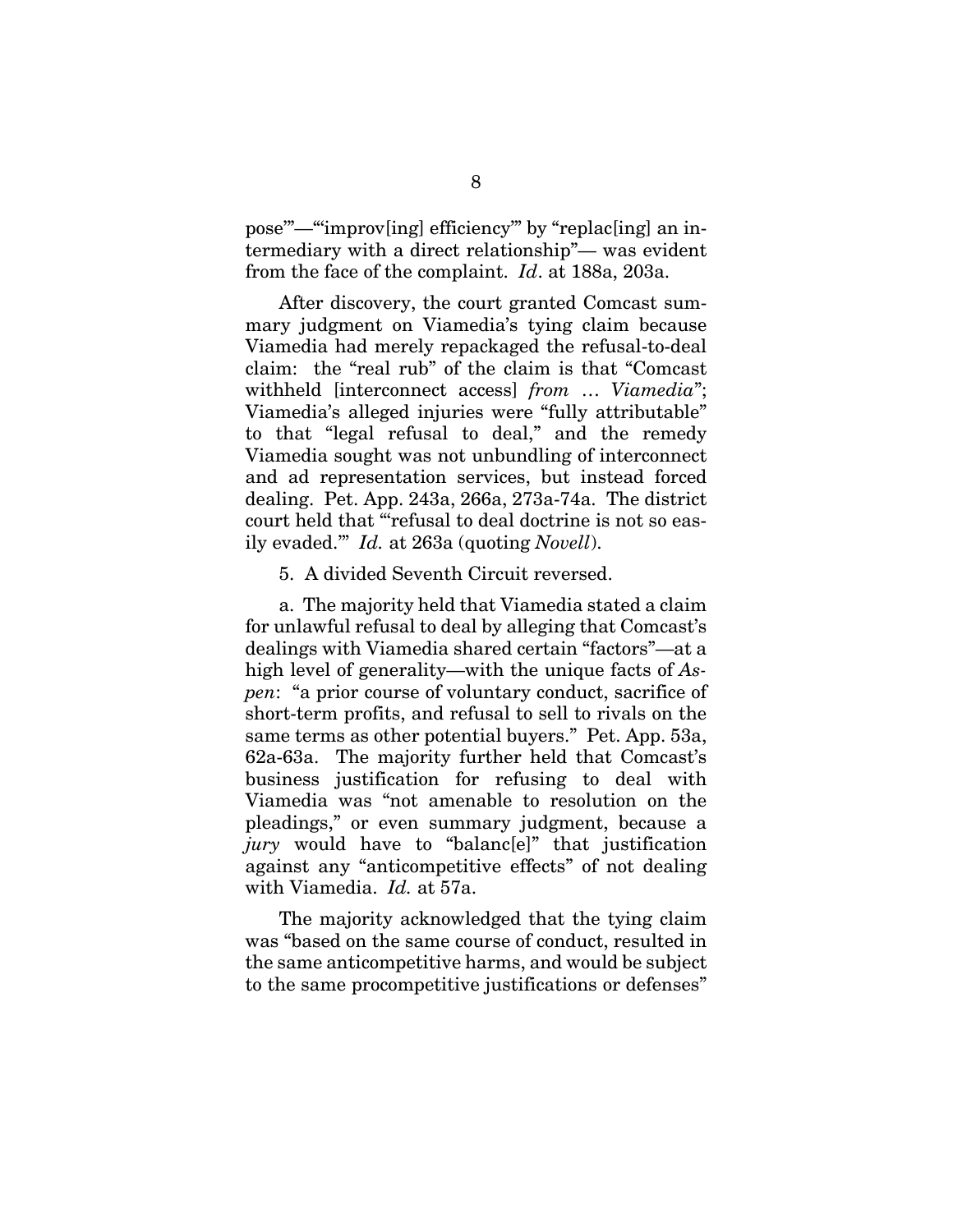pose'"—"'improv[ing] efficiency'" by "replac[ing] an intermediary with a direct relationship"— was evident from the face of the complaint. *Id*. at 188a, 203a.

After discovery, the court granted Comcast summary judgment on Viamedia's tying claim because Viamedia had merely repackaged the refusal-to-deal claim: the "real rub" of the claim is that "Comcast withheld [interconnect access] *from* … *Viamedia*"; Viamedia's alleged injuries were "fully attributable" to that "legal refusal to deal," and the remedy Viamedia sought was not unbundling of interconnect and ad representation services, but instead forced dealing. Pet. App. 243a, 266a, 273a-74a. The district court held that "'refusal to deal doctrine is not so easily evaded.'" *Id.* at 263a (quoting *Novell*).

5. A divided Seventh Circuit reversed.

a. The majority held that Viamedia stated a claim for unlawful refusal to deal by alleging that Comcast's dealings with Viamedia shared certain "factors"—at a high level of generality—with the unique facts of *Aspen*: "a prior course of voluntary conduct, sacrifice of short-term profits, and refusal to sell to rivals on the same terms as other potential buyers." Pet. App. 53a, 62a-63a. The majority further held that Comcast's business justification for refusing to deal with Viamedia was "not amenable to resolution on the pleadings," or even summary judgment, because a *jury* would have to "balanc[e]" that justification against any "anticompetitive effects" of not dealing with Viamedia. *Id.* at 57a.

The majority acknowledged that the tying claim was "based on the same course of conduct, resulted in the same anticompetitive harms, and would be subject to the same procompetitive justifications or defenses"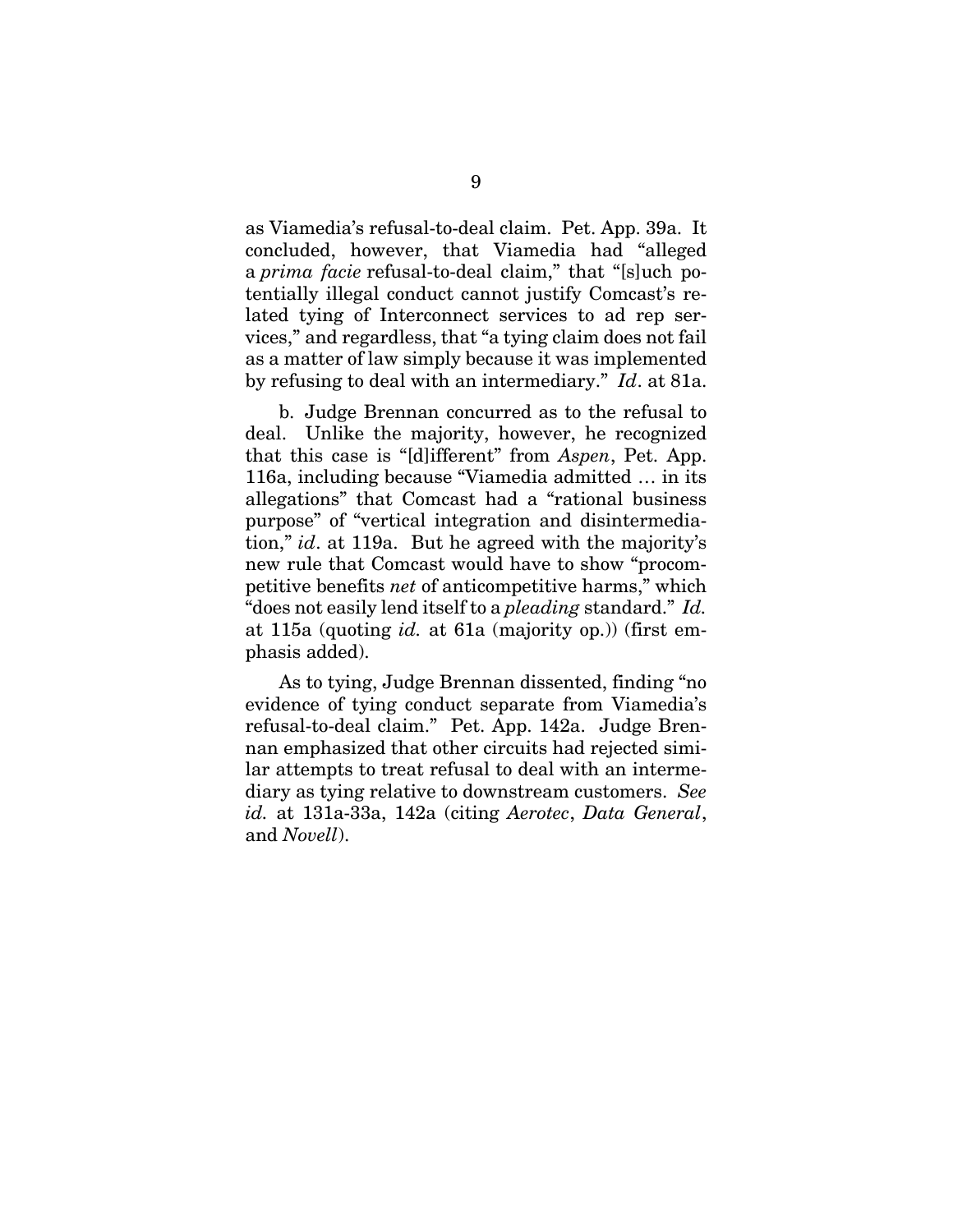as Viamedia's refusal-to-deal claim. Pet. App. 39a. It concluded, however, that Viamedia had "alleged a *prima facie* refusal-to-deal claim," that "[s]uch potentially illegal conduct cannot justify Comcast's related tying of Interconnect services to ad rep services," and regardless, that "a tying claim does not fail as a matter of law simply because it was implemented by refusing to deal with an intermediary." *Id*. at 81a.

b. Judge Brennan concurred as to the refusal to deal. Unlike the majority, however, he recognized that this case is "[d]ifferent" from *Aspen*, Pet. App. 116a, including because "Viamedia admitted … in its allegations" that Comcast had a "rational business purpose" of "vertical integration and disintermediation," *id*. at 119a. But he agreed with the majority's new rule that Comcast would have to show "procompetitive benefits *net* of anticompetitive harms," which "does not easily lend itself to a *pleading* standard." *Id.* at 115a (quoting *id.* at 61a (majority op.)) (first emphasis added).

As to tying, Judge Brennan dissented, finding "no evidence of tying conduct separate from Viamedia's refusal-to-deal claim." Pet. App. 142a. Judge Brennan emphasized that other circuits had rejected similar attempts to treat refusal to deal with an intermediary as tying relative to downstream customers. *See id.* at 131a-33a, 142a (citing *Aerotec*, *Data General*, and *Novell*).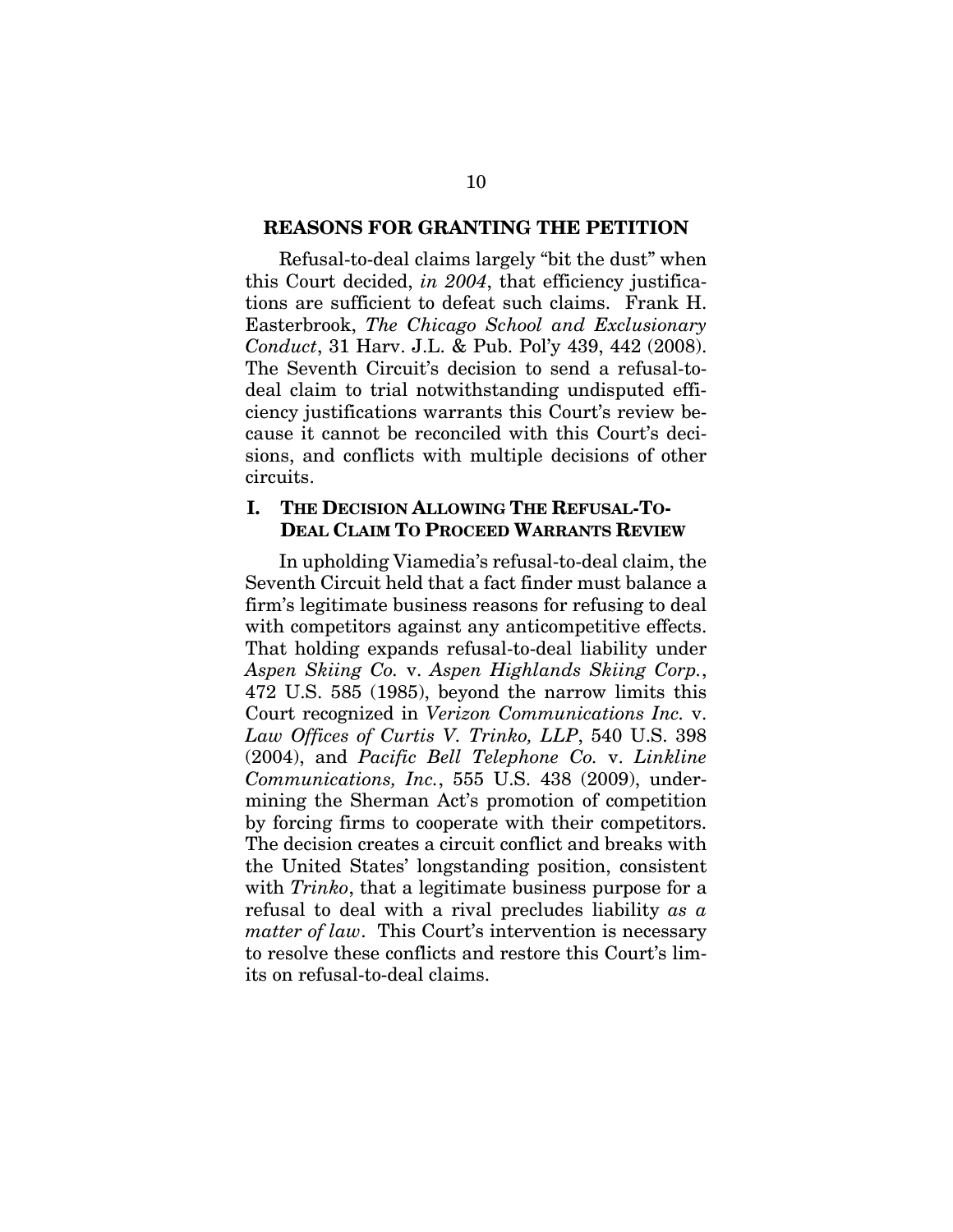#### **REASONS FOR GRANTING THE PETITION**

Refusal-to-deal claims largely "bit the dust" when this Court decided, *in 2004*, that efficiency justifications are sufficient to defeat such claims. Frank H. Easterbrook, *The Chicago School and Exclusionary Conduct*, 31 Harv. J.L. & Pub. Pol'y 439, 442 (2008). The Seventh Circuit's decision to send a refusal-todeal claim to trial notwithstanding undisputed efficiency justifications warrants this Court's review because it cannot be reconciled with this Court's decisions, and conflicts with multiple decisions of other circuits.

### **I. THE DECISION ALLOWING THE REFUSAL-TO-DEAL CLAIM TO PROCEED WARRANTS REVIEW**

In upholding Viamedia's refusal-to-deal claim, the Seventh Circuit held that a fact finder must balance a firm's legitimate business reasons for refusing to deal with competitors against any anticompetitive effects. That holding expands refusal-to-deal liability under *Aspen Skiing Co.* v. *Aspen Highlands Skiing Corp.*, 472 U.S. 585 (1985), beyond the narrow limits this Court recognized in *Verizon Communications Inc.* v. *Law Offices of Curtis V. Trinko, LLP*, 540 U.S. 398 (2004), and *Pacific Bell Telephone Co.* v. *Linkline Communications, Inc.*, 555 U.S. 438 (2009), undermining the Sherman Act's promotion of competition by forcing firms to cooperate with their competitors. The decision creates a circuit conflict and breaks with the United States' longstanding position, consistent with *Trinko*, that a legitimate business purpose for a refusal to deal with a rival precludes liability *as a matter of law*. This Court's intervention is necessary to resolve these conflicts and restore this Court's limits on refusal-to-deal claims.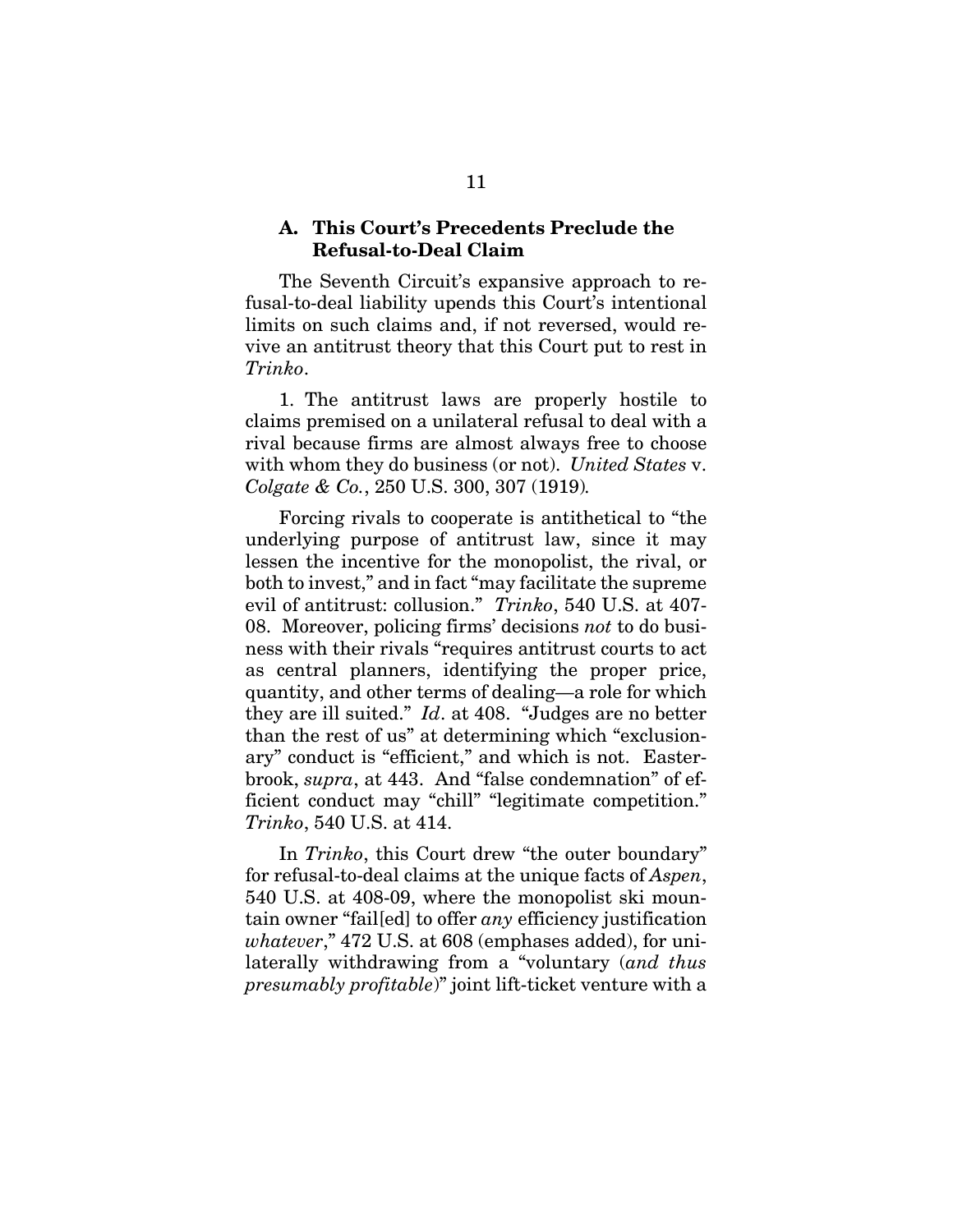#### **A. This Court's Precedents Preclude the Refusal-to-Deal Claim**

The Seventh Circuit's expansive approach to refusal-to-deal liability upends this Court's intentional limits on such claims and, if not reversed, would revive an antitrust theory that this Court put to rest in *Trinko*.

1. The antitrust laws are properly hostile to claims premised on a unilateral refusal to deal with a rival because firms are almost always free to choose with whom they do business (or not). *United States* v. *Colgate & Co.*, 250 U.S. 300, 307 (1919)*.*

Forcing rivals to cooperate is antithetical to "the underlying purpose of antitrust law, since it may lessen the incentive for the monopolist, the rival, or both to invest," and in fact "may facilitate the supreme evil of antitrust: collusion." *Trinko*, 540 U.S. at 407- 08. Moreover, policing firms' decisions *not* to do business with their rivals "requires antitrust courts to act as central planners, identifying the proper price, quantity, and other terms of dealing—a role for which they are ill suited." *Id*. at 408. "Judges are no better than the rest of us" at determining which "exclusionary" conduct is "efficient," and which is not. Easterbrook, *supra*, at 443. And "false condemnation" of efficient conduct may "chill" "legitimate competition." *Trinko*, 540 U.S. at 414.

In *Trinko*, this Court drew "the outer boundary" for refusal-to-deal claims at the unique facts of *Aspen*, 540 U.S. at 408-09, where the monopolist ski mountain owner "fail[ed] to offer *any* efficiency justification *whatever*," 472 U.S. at 608 (emphases added), for unilaterally withdrawing from a "voluntary (*and thus presumably profitable*)" joint lift-ticket venture with a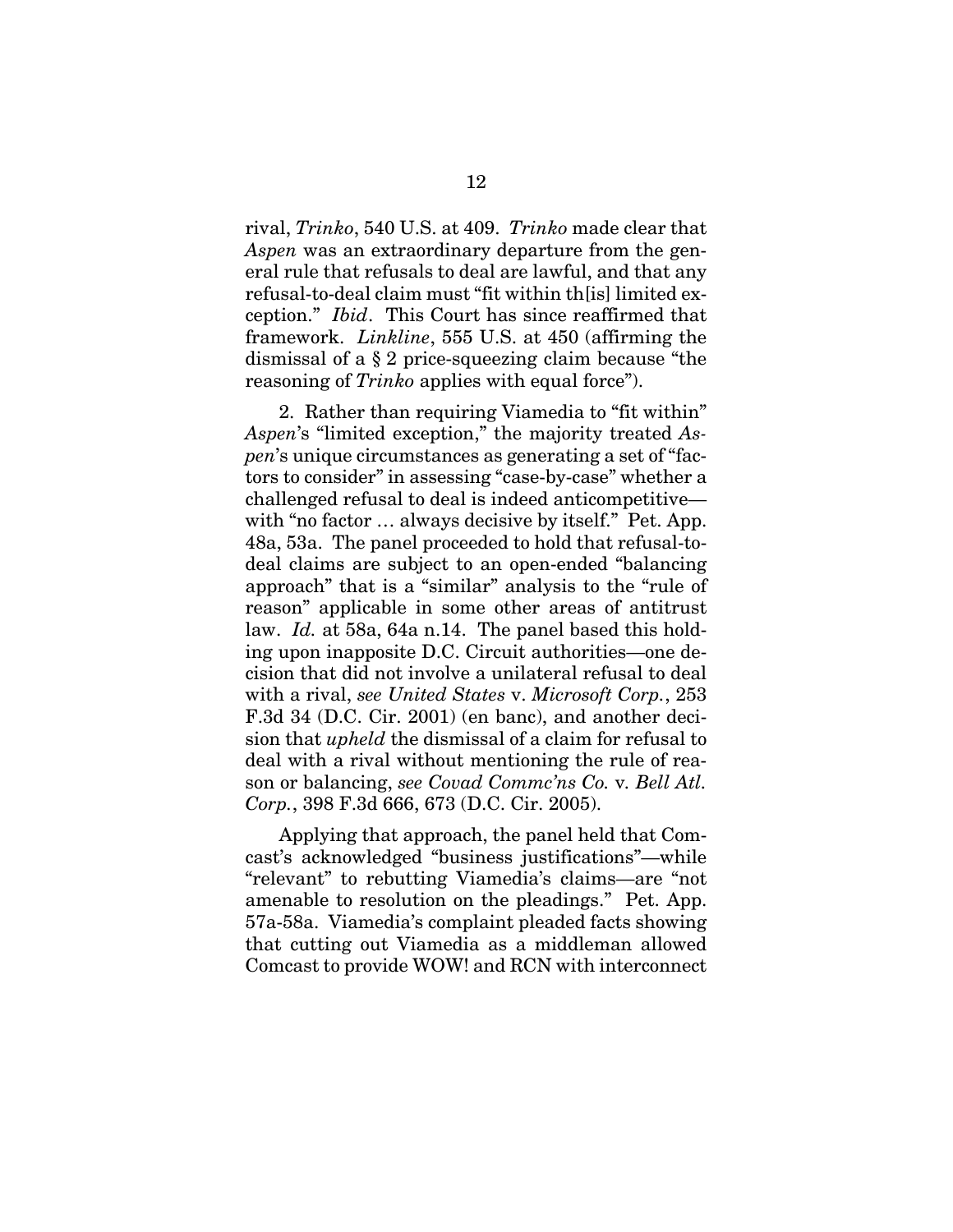rival, *Trinko*, 540 U.S. at 409. *Trinko* made clear that *Aspen* was an extraordinary departure from the general rule that refusals to deal are lawful, and that any refusal-to-deal claim must "fit within th[is] limited exception." *Ibid*. This Court has since reaffirmed that framework. *Linkline*, 555 U.S. at 450 (affirming the dismissal of a § 2 price-squeezing claim because "the reasoning of *Trinko* applies with equal force").

2. Rather than requiring Viamedia to "fit within" *Aspen*'s "limited exception," the majority treated *Aspen*'s unique circumstances as generating a set of "factors to consider" in assessing "case-by-case" whether a challenged refusal to deal is indeed anticompetitive with "no factor ... always decisive by itself." Pet. App. 48a, 53a. The panel proceeded to hold that refusal-todeal claims are subject to an open-ended "balancing approach" that is a "similar" analysis to the "rule of reason" applicable in some other areas of antitrust law. *Id.* at 58a, 64a n.14. The panel based this holding upon inapposite D.C. Circuit authorities—one decision that did not involve a unilateral refusal to deal with a rival, *see United States* v. *Microsoft Corp.*, 253 F.3d 34 (D.C. Cir. 2001) (en banc), and another decision that *upheld* the dismissal of a claim for refusal to deal with a rival without mentioning the rule of reason or balancing, *see Covad Commc'ns Co.* v*. Bell Atl. Corp.*, 398 F.3d 666, 673 (D.C. Cir. 2005).

Applying that approach, the panel held that Comcast's acknowledged "business justifications"—while "relevant" to rebutting Viamedia's claims—are "not amenable to resolution on the pleadings." Pet. App. 57a-58a. Viamedia's complaint pleaded facts showing that cutting out Viamedia as a middleman allowed Comcast to provide WOW! and RCN with interconnect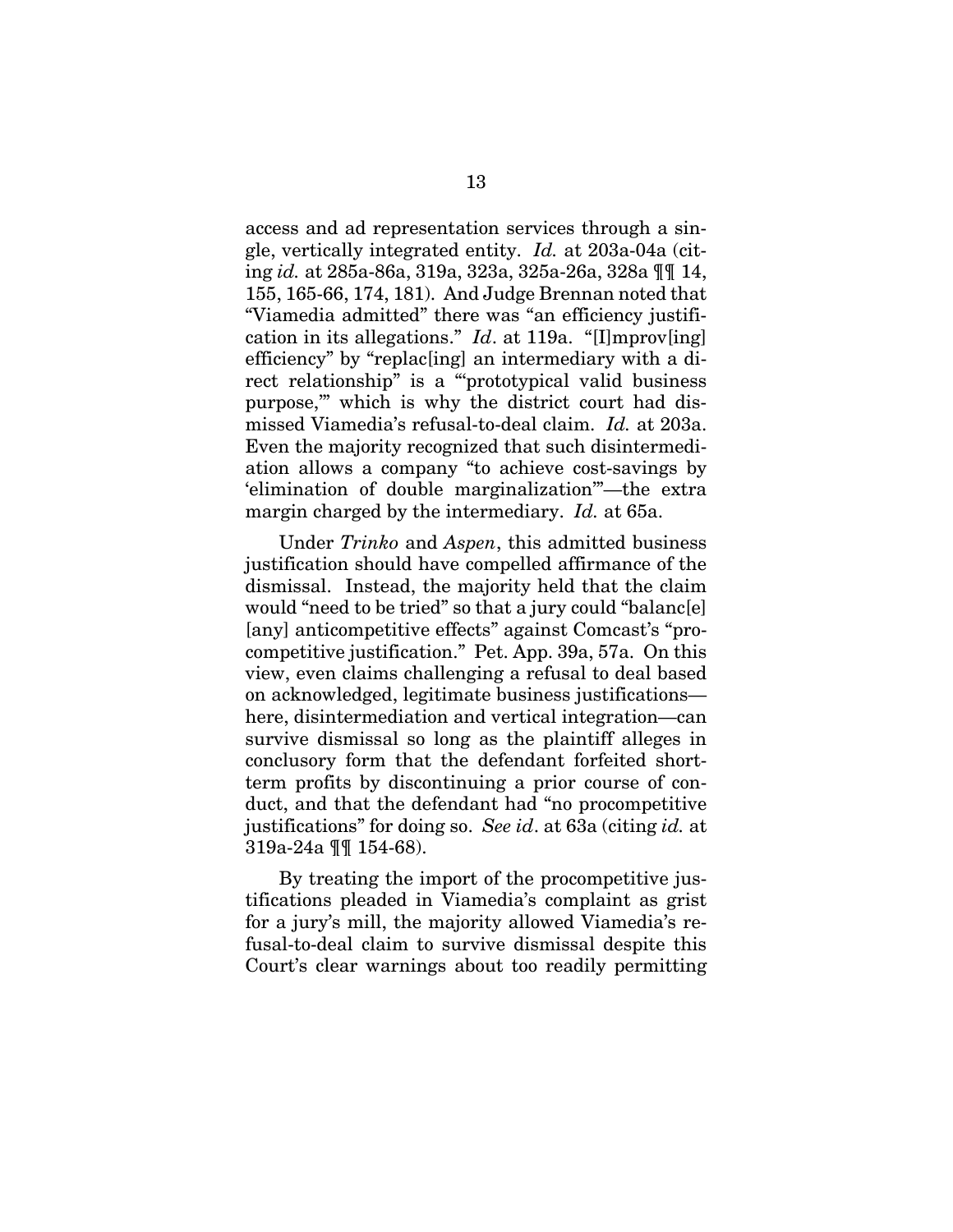access and ad representation services through a single, vertically integrated entity. *Id.* at 203a-04a (citing *id.* at 285a-86a, 319a, 323a, 325a-26a, 328a ¶¶ 14, 155, 165-66, 174, 181). And Judge Brennan noted that "Viamedia admitted" there was "an efficiency justification in its allegations." *Id*. at 119a. "[I]mprov[ing] efficiency" by "replac[ing] an intermediary with a direct relationship" is a "'prototypical valid business purpose,'" which is why the district court had dismissed Viamedia's refusal-to-deal claim. *Id.* at 203a. Even the majority recognized that such disintermediation allows a company "to achieve cost-savings by 'elimination of double marginalization'"—the extra margin charged by the intermediary. *Id.* at 65a.

Under *Trinko* and *Aspen*, this admitted business justification should have compelled affirmance of the dismissal. Instead, the majority held that the claim would "need to be tried" so that a jury could "balanc[e] [any] anticompetitive effects" against Comcast's "procompetitive justification." Pet. App. 39a, 57a. On this view, even claims challenging a refusal to deal based on acknowledged, legitimate business justifications here, disintermediation and vertical integration—can survive dismissal so long as the plaintiff alleges in conclusory form that the defendant forfeited shortterm profits by discontinuing a prior course of conduct, and that the defendant had "no procompetitive justifications" for doing so. *See id*. at 63a (citing *id.* at 319a-24a ¶¶ 154-68).

By treating the import of the procompetitive justifications pleaded in Viamedia's complaint as grist for a jury's mill, the majority allowed Viamedia's refusal-to-deal claim to survive dismissal despite this Court's clear warnings about too readily permitting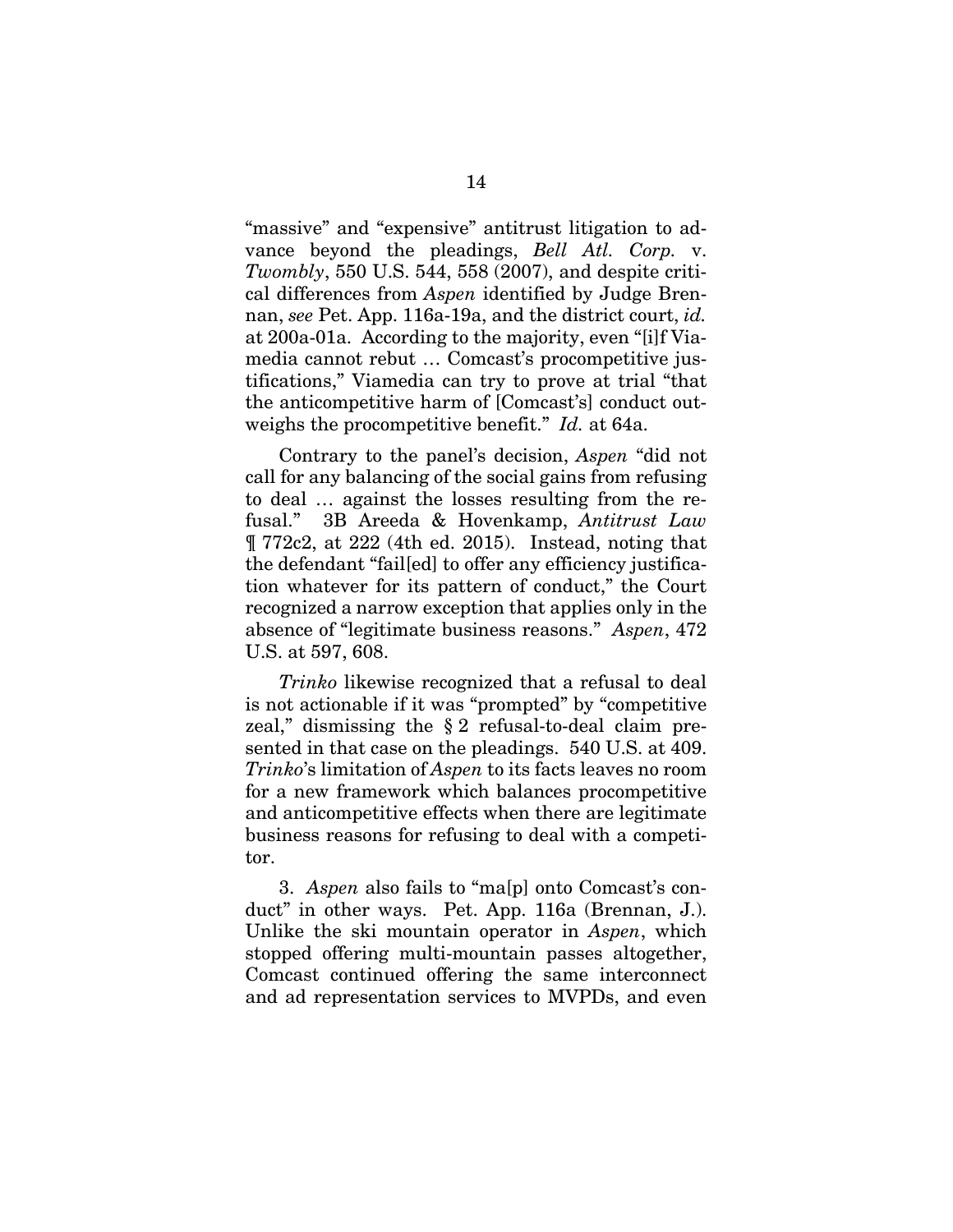"massive" and "expensive" antitrust litigation to advance beyond the pleadings, *Bell Atl. Corp.* v. *Twombly*, 550 U.S. 544, 558 (2007), and despite critical differences from *Aspen* identified by Judge Brennan, *see* Pet. App. 116a-19a, and the district court, *id.* at 200a-01a. According to the majority, even "[i]f Viamedia cannot rebut … Comcast's procompetitive justifications," Viamedia can try to prove at trial "that the anticompetitive harm of [Comcast's] conduct outweighs the procompetitive benefit." *Id.* at 64a.

Contrary to the panel's decision, *Aspen* "did not call for any balancing of the social gains from refusing to deal … against the losses resulting from the refusal." 3B Areeda & Hovenkamp, *Antitrust Law* ¶ 772c2, at 222 (4th ed. 2015). Instead, noting that the defendant "fail[ed] to offer any efficiency justification whatever for its pattern of conduct," the Court recognized a narrow exception that applies only in the absence of "legitimate business reasons." *Aspen*, 472 U.S. at 597, 608.

*Trinko* likewise recognized that a refusal to deal is not actionable if it was "prompted" by "competitive zeal," dismissing the § 2 refusal-to-deal claim presented in that case on the pleadings. 540 U.S. at 409. *Trinko*'s limitation of *Aspen* to its facts leaves no room for a new framework which balances procompetitive and anticompetitive effects when there are legitimate business reasons for refusing to deal with a competitor.

3. *Aspen* also fails to "ma[p] onto Comcast's conduct" in other ways. Pet. App. 116a (Brennan, J.). Unlike the ski mountain operator in *Aspen*, which stopped offering multi-mountain passes altogether, Comcast continued offering the same interconnect and ad representation services to MVPDs, and even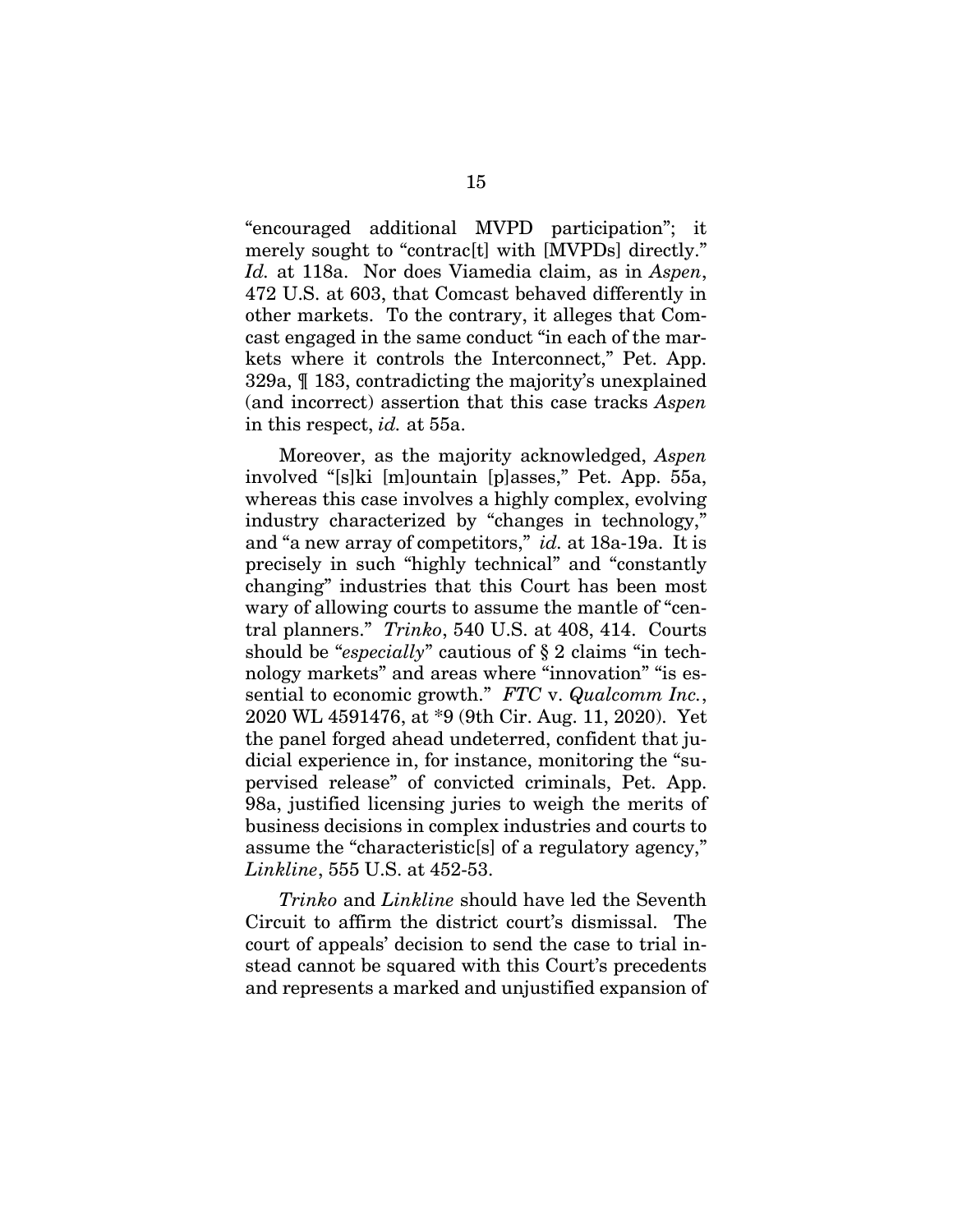"encouraged additional MVPD participation"; it merely sought to "contrac<sup>[t]</sup> with [MVPDs] directly." *Id.* at 118a. Nor does Viamedia claim, as in *Aspen*, 472 U.S. at 603, that Comcast behaved differently in other markets. To the contrary, it alleges that Comcast engaged in the same conduct "in each of the markets where it controls the Interconnect," Pet. App. 329a, ¶ 183, contradicting the majority's unexplained (and incorrect) assertion that this case tracks *Aspen* in this respect, *id.* at 55a.

Moreover, as the majority acknowledged, *Aspen* involved "[s]ki [m]ountain [p]asses," Pet. App. 55a, whereas this case involves a highly complex, evolving industry characterized by "changes in technology," and "a new array of competitors," *id.* at 18a-19a. It is precisely in such "highly technical" and "constantly changing" industries that this Court has been most wary of allowing courts to assume the mantle of "central planners." *Trinko*, 540 U.S. at 408, 414. Courts should be "*especially*" cautious of § 2 claims "in technology markets" and areas where "innovation" "is essential to economic growth." *FTC* v. *Qualcomm Inc.*, 2020 WL 4591476, at \*9 (9th Cir. Aug. 11, 2020). Yet the panel forged ahead undeterred, confident that judicial experience in, for instance, monitoring the "supervised release" of convicted criminals, Pet. App. 98a, justified licensing juries to weigh the merits of business decisions in complex industries and courts to assume the "characteristic[s] of a regulatory agency," *Linkline*, 555 U.S. at 452-53.

*Trinko* and *Linkline* should have led the Seventh Circuit to affirm the district court's dismissal. The court of appeals' decision to send the case to trial instead cannot be squared with this Court's precedents and represents a marked and unjustified expansion of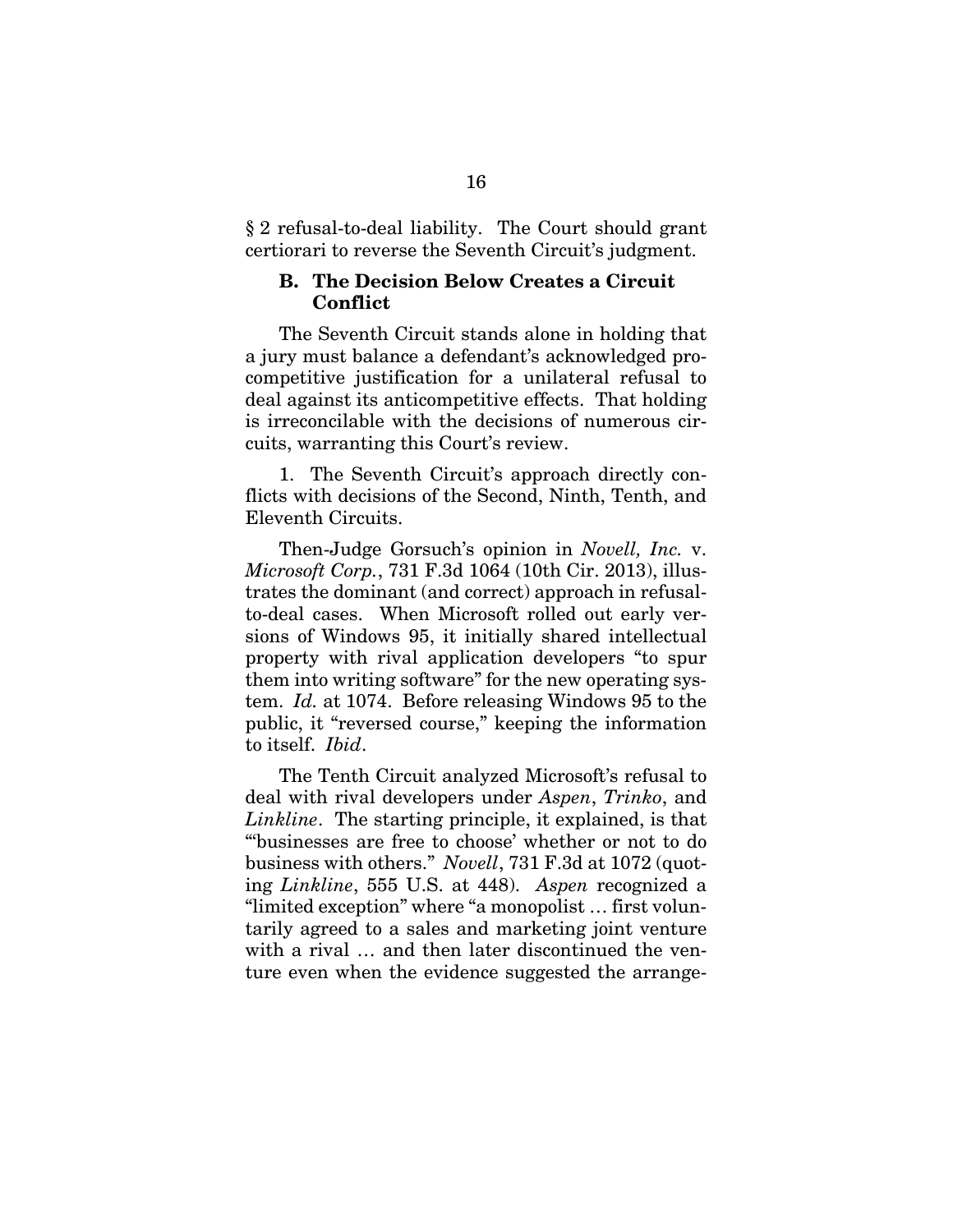§ 2 refusal-to-deal liability. The Court should grant certiorari to reverse the Seventh Circuit's judgment.

#### **B. The Decision Below Creates a Circuit Conflict**

The Seventh Circuit stands alone in holding that a jury must balance a defendant's acknowledged procompetitive justification for a unilateral refusal to deal against its anticompetitive effects. That holding is irreconcilable with the decisions of numerous circuits, warranting this Court's review.

1. The Seventh Circuit's approach directly conflicts with decisions of the Second, Ninth, Tenth, and Eleventh Circuits.

Then-Judge Gorsuch's opinion in *Novell, Inc.* v. *Microsoft Corp.*, 731 F.3d 1064 (10th Cir. 2013), illustrates the dominant (and correct) approach in refusalto-deal cases. When Microsoft rolled out early versions of Windows 95, it initially shared intellectual property with rival application developers "to spur them into writing software" for the new operating system. *Id.* at 1074. Before releasing Windows 95 to the public, it "reversed course," keeping the information to itself. *Ibid*.

The Tenth Circuit analyzed Microsoft's refusal to deal with rival developers under *Aspen*, *Trinko*, and *Linkline*. The starting principle, it explained, is that "'businesses are free to choose' whether or not to do business with others." *Novell*, 731 F.3d at 1072 (quoting *Linkline*, 555 U.S. at 448). *Aspen* recognized a "limited exception" where "a monopolist … first voluntarily agreed to a sales and marketing joint venture with a rival ... and then later discontinued the venture even when the evidence suggested the arrange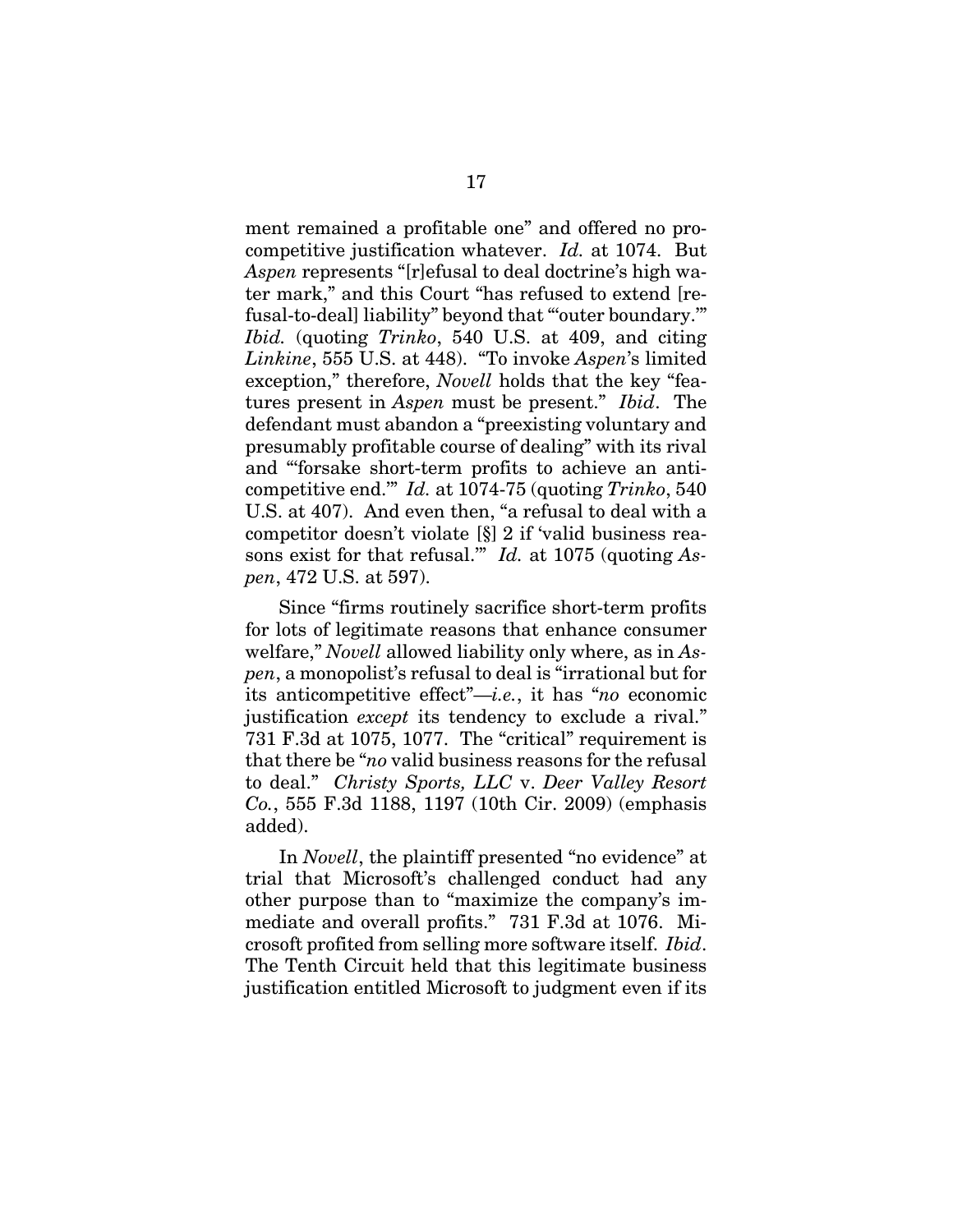ment remained a profitable one" and offered no procompetitive justification whatever. *Id.* at 1074. But *Aspen* represents "[r]efusal to deal doctrine's high water mark," and this Court "has refused to extend [refusal-to-deal] liability" beyond that "'outer boundary.'" *Ibid.* (quoting *Trinko*, 540 U.S. at 409, and citing *Linkine*, 555 U.S. at 448). "To invoke *Aspen*'s limited exception," therefore, *Novell* holds that the key "features present in *Aspen* must be present." *Ibid*. The defendant must abandon a "preexisting voluntary and presumably profitable course of dealing" with its rival and "'forsake short-term profits to achieve an anticompetitive end.'" *Id.* at 1074-75 (quoting *Trinko*, 540 U.S. at 407). And even then, "a refusal to deal with a competitor doesn't violate [§] 2 if 'valid business reasons exist for that refusal.'" *Id.* at 1075 (quoting *Aspen*, 472 U.S. at 597).

Since "firms routinely sacrifice short-term profits for lots of legitimate reasons that enhance consumer welfare," *Novell* allowed liability only where, as in *Aspen*, a monopolist's refusal to deal is "irrational but for its anticompetitive effect"—*i.e.*, it has "*no* economic justification *except* its tendency to exclude a rival." 731 F.3d at 1075, 1077. The "critical" requirement is that there be "*no* valid business reasons for the refusal to deal." *Christy Sports, LLC* v. *Deer Valley Resort Co.*, 555 F.3d 1188, 1197 (10th Cir. 2009) (emphasis added).

In *Novell*, the plaintiff presented "no evidence" at trial that Microsoft's challenged conduct had any other purpose than to "maximize the company's immediate and overall profits." 731 F.3d at 1076. Microsoft profited from selling more software itself. *Ibid*. The Tenth Circuit held that this legitimate business justification entitled Microsoft to judgment even if its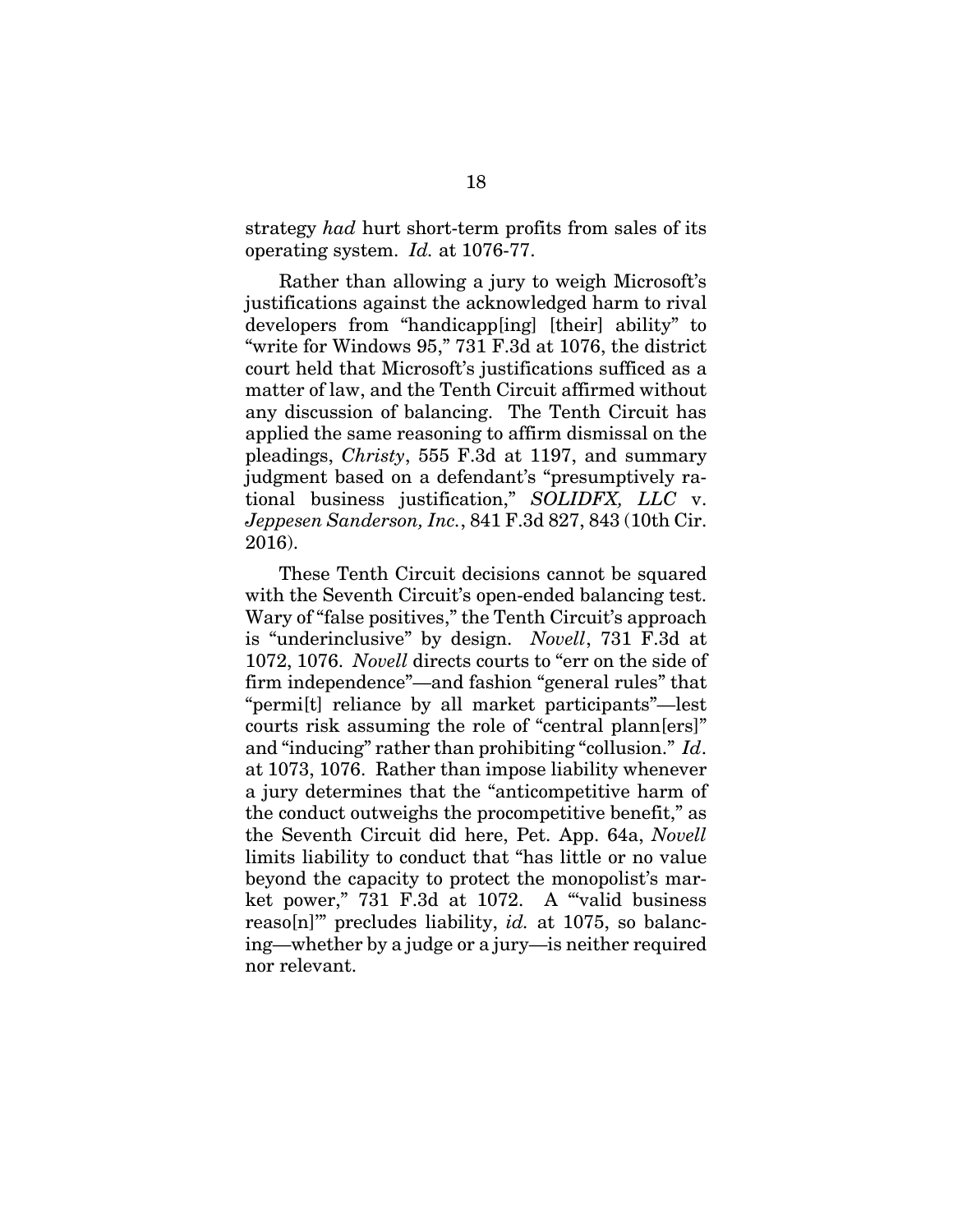strategy *had* hurt short-term profits from sales of its operating system. *Id.* at 1076-77.

Rather than allowing a jury to weigh Microsoft's justifications against the acknowledged harm to rival developers from "handicapp[ing] [their] ability" to "write for Windows 95," 731 F.3d at 1076, the district court held that Microsoft's justifications sufficed as a matter of law, and the Tenth Circuit affirmed without any discussion of balancing. The Tenth Circuit has applied the same reasoning to affirm dismissal on the pleadings, *Christy*, 555 F.3d at 1197, and summary judgment based on a defendant's "presumptively rational business justification," *SOLIDFX, LLC* v. *Jeppesen Sanderson, Inc.*, 841 F.3d 827, 843 (10th Cir. 2016).

These Tenth Circuit decisions cannot be squared with the Seventh Circuit's open-ended balancing test. Wary of "false positives," the Tenth Circuit's approach is "underinclusive" by design. *Novell*, 731 F.3d at 1072, 1076. *Novell* directs courts to "err on the side of firm independence"—and fashion "general rules" that "permi[t] reliance by all market participants"—lest courts risk assuming the role of "central plann[ers]" and "inducing" rather than prohibiting "collusion." *Id*. at 1073, 1076. Rather than impose liability whenever a jury determines that the "anticompetitive harm of the conduct outweighs the procompetitive benefit," as the Seventh Circuit did here, Pet. App. 64a, *Novell* limits liability to conduct that "has little or no value beyond the capacity to protect the monopolist's market power," 731 F.3d at 1072. A "'valid business reaso[n]'" precludes liability, *id.* at 1075, so balancing—whether by a judge or a jury—is neither required nor relevant.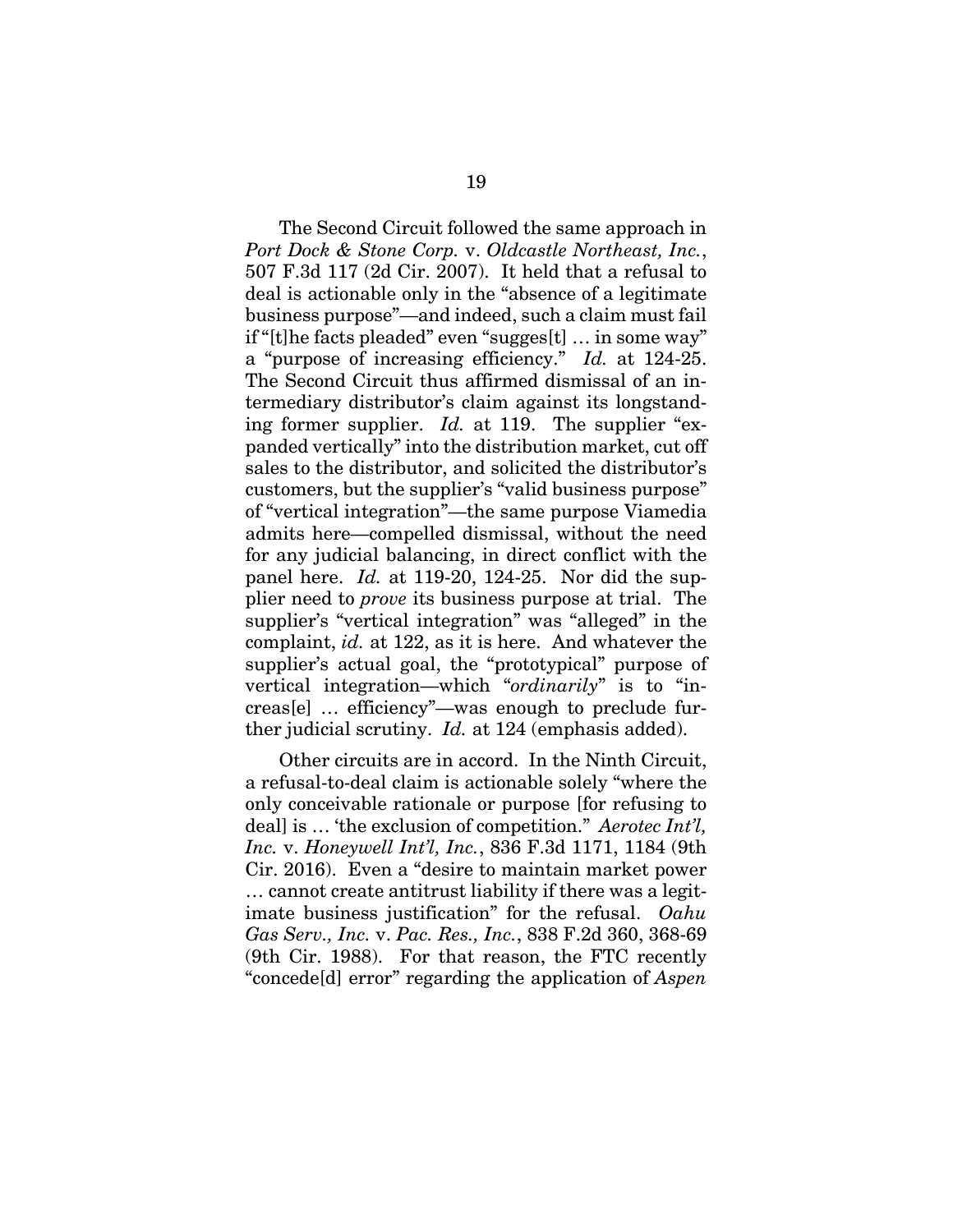The Second Circuit followed the same approach in *Port Dock & Stone Corp.* v. *Oldcastle Northeast, Inc.*, 507 F.3d 117 (2d Cir. 2007). It held that a refusal to deal is actionable only in the "absence of a legitimate business purpose"—and indeed, such a claim must fail if "[t]he facts pleaded" even "sugges[t] … in some way" a "purpose of increasing efficiency." *Id.* at 124-25. The Second Circuit thus affirmed dismissal of an intermediary distributor's claim against its longstanding former supplier. *Id.* at 119. The supplier "expanded vertically" into the distribution market, cut off sales to the distributor, and solicited the distributor's customers, but the supplier's "valid business purpose" of "vertical integration"—the same purpose Viamedia admits here—compelled dismissal, without the need for any judicial balancing, in direct conflict with the panel here. *Id.* at 119-20, 124-25. Nor did the supplier need to *prove* its business purpose at trial. The supplier's "vertical integration" was "alleged" in the complaint, *id.* at 122, as it is here. And whatever the supplier's actual goal, the "prototypical" purpose of vertical integration—which "*ordinarily*" is to "increas[e] … efficiency"—was enough to preclude further judicial scrutiny. *Id.* at 124 (emphasis added).

Other circuits are in accord. In the Ninth Circuit, a refusal-to-deal claim is actionable solely "where the only conceivable rationale or purpose [for refusing to deal] is … 'the exclusion of competition." *Aerotec Int'l, Inc.* v. *Honeywell Int'l, Inc.*, 836 F.3d 1171, 1184 (9th Cir. 2016). Even a "desire to maintain market power … cannot create antitrust liability if there was a legitimate business justification" for the refusal. *Oahu Gas Serv., Inc.* v. *Pac. Res., Inc.*, 838 F.2d 360, 368-69 (9th Cir. 1988). For that reason, the FTC recently "concede[d] error" regarding the application of *Aspen*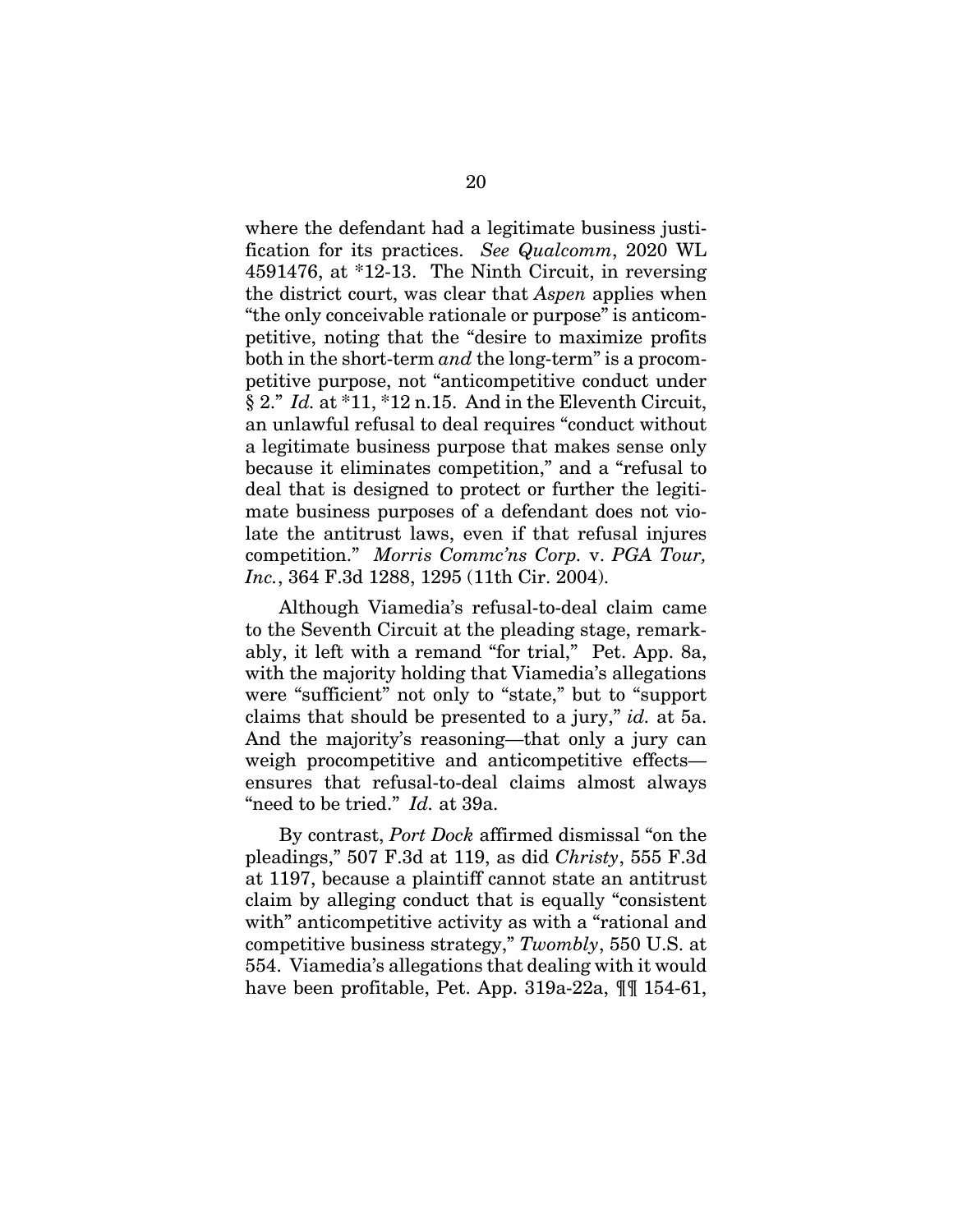where the defendant had a legitimate business justification for its practices. *See Qualcomm*, 2020 WL 4591476, at \*12-13. The Ninth Circuit, in reversing the district court, was clear that *Aspen* applies when "the only conceivable rationale or purpose" is anticompetitive, noting that the "desire to maximize profits both in the short-term *and* the long-term" is a procompetitive purpose, not "anticompetitive conduct under § 2." *Id.* at \*11, \*12 n.15. And in the Eleventh Circuit, an unlawful refusal to deal requires "conduct without a legitimate business purpose that makes sense only because it eliminates competition," and a "refusal to deal that is designed to protect or further the legitimate business purposes of a defendant does not violate the antitrust laws, even if that refusal injures competition." *Morris Commc'ns Corp.* v. *PGA Tour, Inc.*, 364 F.3d 1288, 1295 (11th Cir. 2004).

Although Viamedia's refusal-to-deal claim came to the Seventh Circuit at the pleading stage, remarkably, it left with a remand "for trial," Pet. App. 8a, with the majority holding that Viamedia's allegations were "sufficient" not only to "state," but to "support claims that should be presented to a jury," *id.* at 5a. And the majority's reasoning—that only a jury can weigh procompetitive and anticompetitive effects ensures that refusal-to-deal claims almost always "need to be tried." *Id.* at 39a.

By contrast, *Port Dock* affirmed dismissal "on the pleadings," 507 F.3d at 119, as did *Christy*, 555 F.3d at 1197, because a plaintiff cannot state an antitrust claim by alleging conduct that is equally "consistent with" anticompetitive activity as with a "rational and competitive business strategy," *Twombly*, 550 U.S. at 554. Viamedia's allegations that dealing with it would have been profitable, Pet. App. 319a-22a,  $\P\P$  154-61,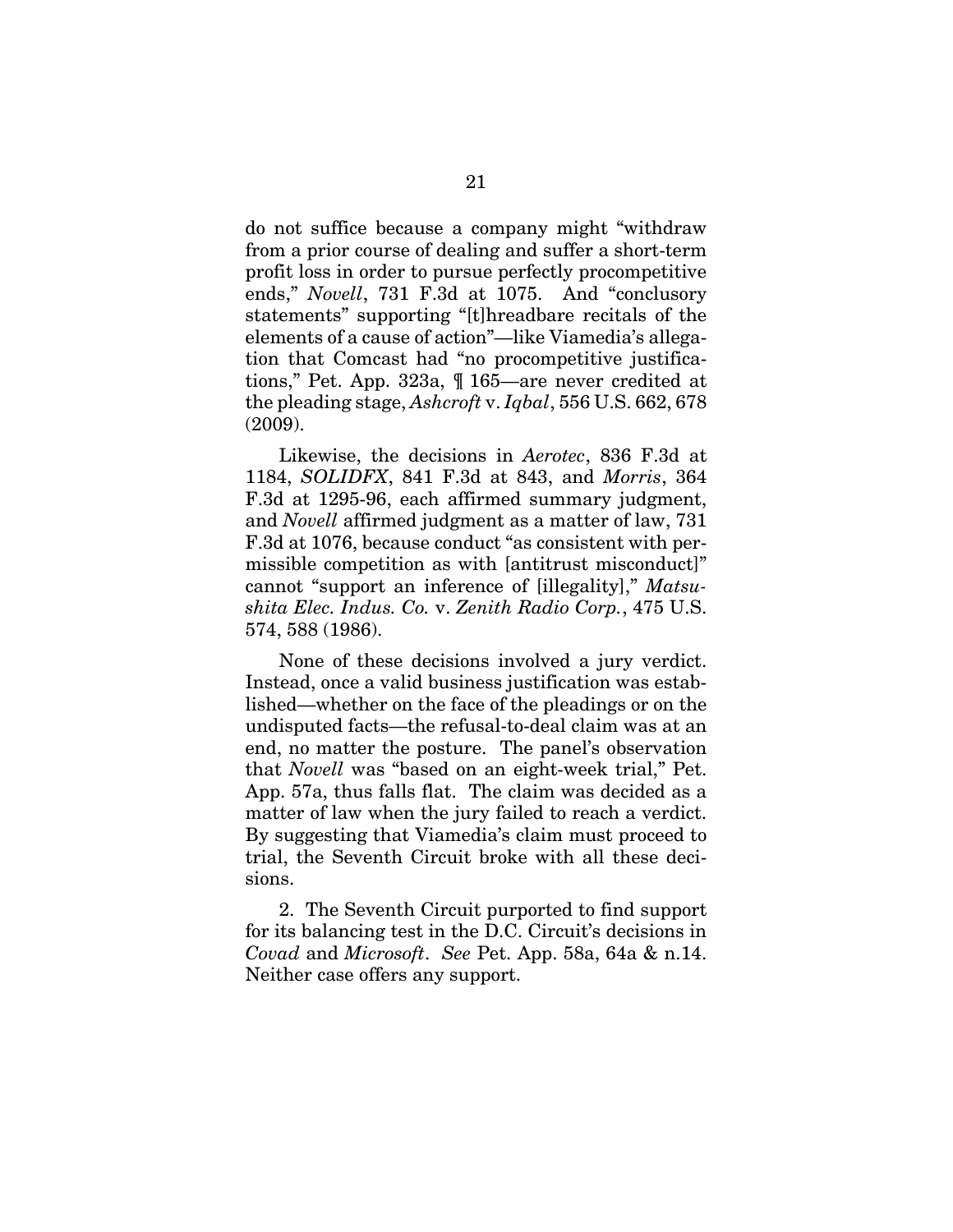do not suffice because a company might "withdraw from a prior course of dealing and suffer a short-term profit loss in order to pursue perfectly procompetitive ends," *Novell*, 731 F.3d at 1075. And "conclusory statements" supporting "[t]hreadbare recitals of the elements of a cause of action"—like Viamedia's allegation that Comcast had "no procompetitive justifications," Pet. App. 323a, ¶ 165—are never credited at the pleading stage, *Ashcroft* v. *Iqbal*, 556 U.S. 662, 678 (2009).

Likewise, the decisions in *Aerotec*, 836 F.3d at 1184, *SOLIDFX*, 841 F.3d at 843, and *Morris*, 364 F.3d at 1295-96, each affirmed summary judgment, and *Novell* affirmed judgment as a matter of law, 731 F.3d at 1076, because conduct "as consistent with permissible competition as with [antitrust misconduct]" cannot "support an inference of [illegality]," *Matsushita Elec. Indus. Co.* v. *Zenith Radio Corp.*, 475 U.S. 574, 588 (1986).

None of these decisions involved a jury verdict. Instead, once a valid business justification was established—whether on the face of the pleadings or on the undisputed facts—the refusal-to-deal claim was at an end, no matter the posture. The panel's observation that *Novell* was "based on an eight-week trial," Pet. App. 57a, thus falls flat. The claim was decided as a matter of law when the jury failed to reach a verdict. By suggesting that Viamedia's claim must proceed to trial, the Seventh Circuit broke with all these decisions.

2. The Seventh Circuit purported to find support for its balancing test in the D.C. Circuit's decisions in *Covad* and *Microsoft*. *See* Pet. App. 58a, 64a & n.14. Neither case offers any support.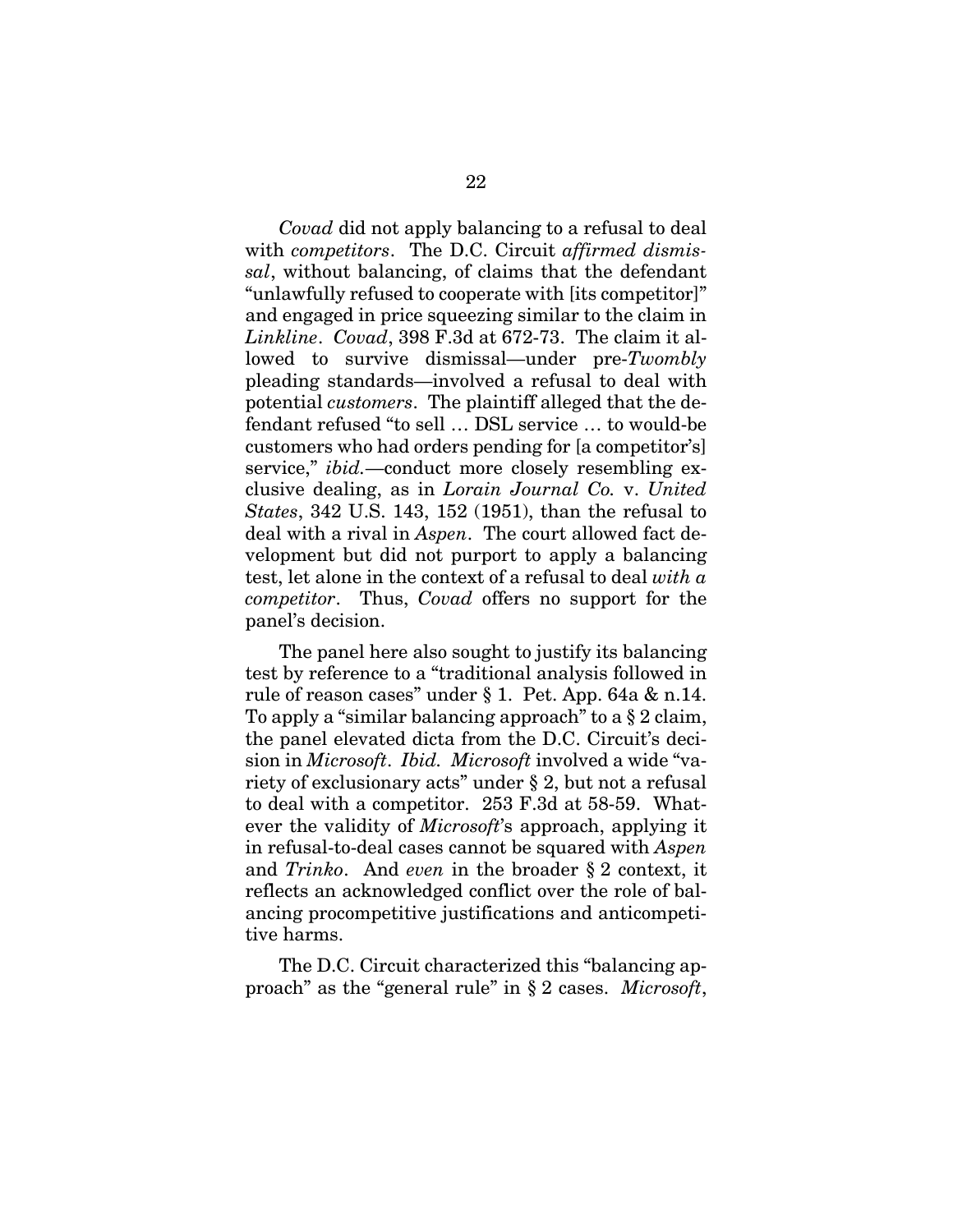*Covad* did not apply balancing to a refusal to deal with *competitors*. The D.C. Circuit *affirmed dismissal*, without balancing, of claims that the defendant "unlawfully refused to cooperate with [its competitor]" and engaged in price squeezing similar to the claim in *Linkline*. *Covad*, 398 F.3d at 672-73. The claim it allowed to survive dismissal—under pre-*Twombly* pleading standards—involved a refusal to deal with potential *customers*. The plaintiff alleged that the defendant refused "to sell … DSL service … to would-be customers who had orders pending for [a competitor's] service," *ibid.*—conduct more closely resembling exclusive dealing, as in *Lorain Journal Co.* v. *United States*, 342 U.S. 143, 152 (1951), than the refusal to deal with a rival in *Aspen*. The court allowed fact development but did not purport to apply a balancing test, let alone in the context of a refusal to deal *with a competitor*. Thus, *Covad* offers no support for the panel's decision.

The panel here also sought to justify its balancing test by reference to a "traditional analysis followed in rule of reason cases" under § 1. Pet. App. 64a & n.14. To apply a "similar balancing approach" to a § 2 claim, the panel elevated dicta from the D.C. Circuit's decision in *Microsoft*. *Ibid. Microsoft* involved a wide "variety of exclusionary acts" under § 2, but not a refusal to deal with a competitor. 253 F.3d at 58-59. Whatever the validity of *Microsoft*'s approach, applying it in refusal-to-deal cases cannot be squared with *Aspen*  and *Trinko*. And *even* in the broader § 2 context, it reflects an acknowledged conflict over the role of balancing procompetitive justifications and anticompetitive harms.

The D.C. Circuit characterized this "balancing approach" as the "general rule" in § 2 cases. *Microsoft*,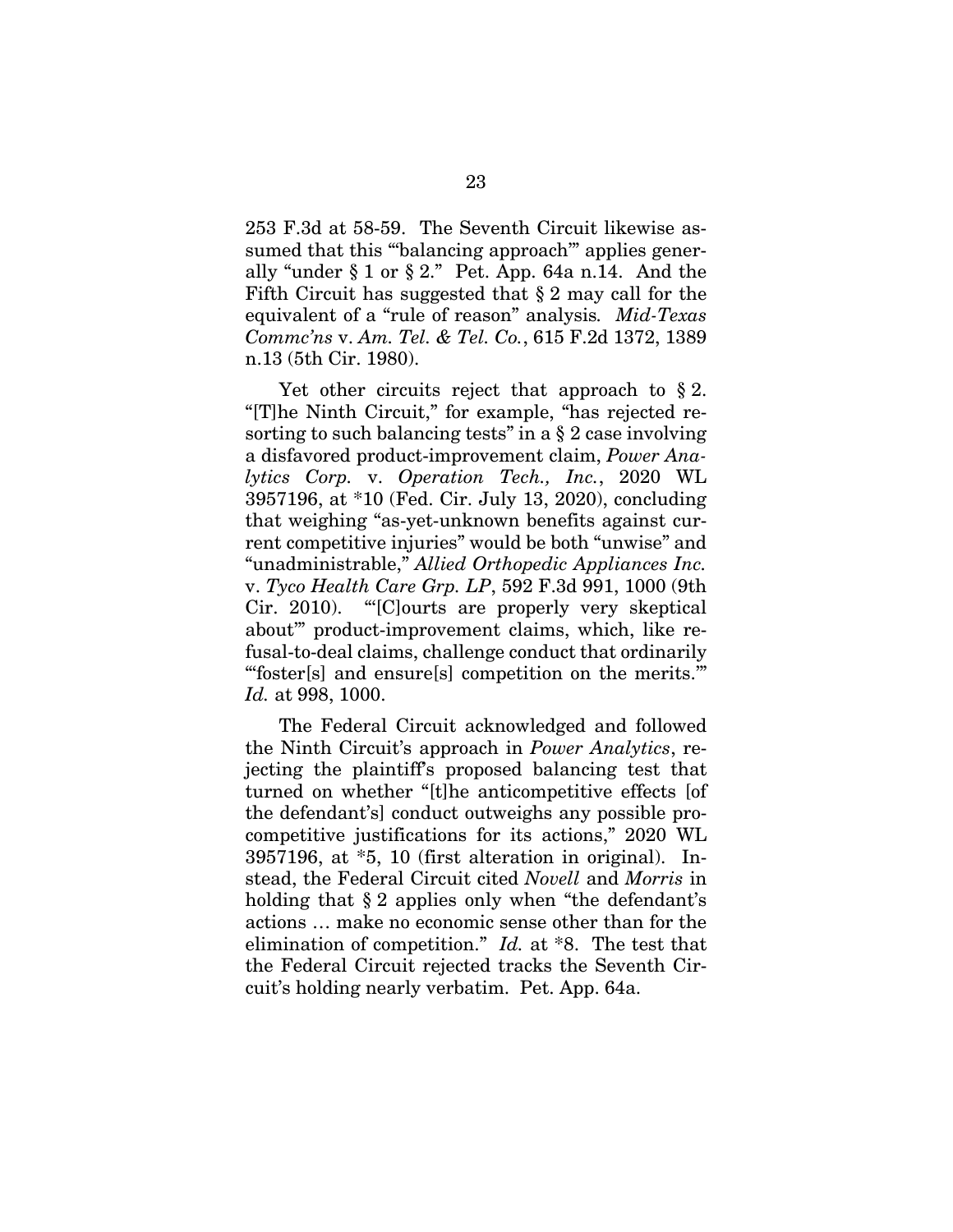253 F.3d at 58-59. The Seventh Circuit likewise assumed that this "balancing approach" applies generally "under  $\S 1$  or  $\S 2$ ." Pet. App. 64a n.14. And the Fifth Circuit has suggested that § 2 may call for the equivalent of a "rule of reason" analysis*. Mid-Texas Commc'ns* v. *Am. Tel. & Tel. Co.*, 615 F.2d 1372, 1389 n.13 (5th Cir. 1980).

Yet other circuits reject that approach to § 2. "[T]he Ninth Circuit," for example, "has rejected resorting to such balancing tests" in a § 2 case involving a disfavored product-improvement claim, *Power Analytics Corp.* v. *Operation Tech., Inc.*, 2020 WL 3957196, at \*10 (Fed. Cir. July 13, 2020), concluding that weighing "as-yet-unknown benefits against current competitive injuries" would be both "unwise" and "unadministrable," *Allied Orthopedic Appliances Inc.*  v. *Tyco Health Care Grp. LP*, 592 F.3d 991, 1000 (9th Cir. 2010). "'[C]ourts are properly very skeptical about'" product-improvement claims, which, like refusal-to-deal claims, challenge conduct that ordinarily "'foster[s] and ensure[s] competition on the merits.'" *Id.* at 998, 1000.

The Federal Circuit acknowledged and followed the Ninth Circuit's approach in *Power Analytics*, rejecting the plaintiff's proposed balancing test that turned on whether "[t]he anticompetitive effects [of the defendant's] conduct outweighs any possible procompetitive justifications for its actions," 2020 WL 3957196, at \*5, 10 (first alteration in original). Instead, the Federal Circuit cited *Novell* and *Morris* in holding that § 2 applies only when "the defendant's actions … make no economic sense other than for the elimination of competition." *Id.* at \*8. The test that the Federal Circuit rejected tracks the Seventh Circuit's holding nearly verbatim. Pet. App. 64a.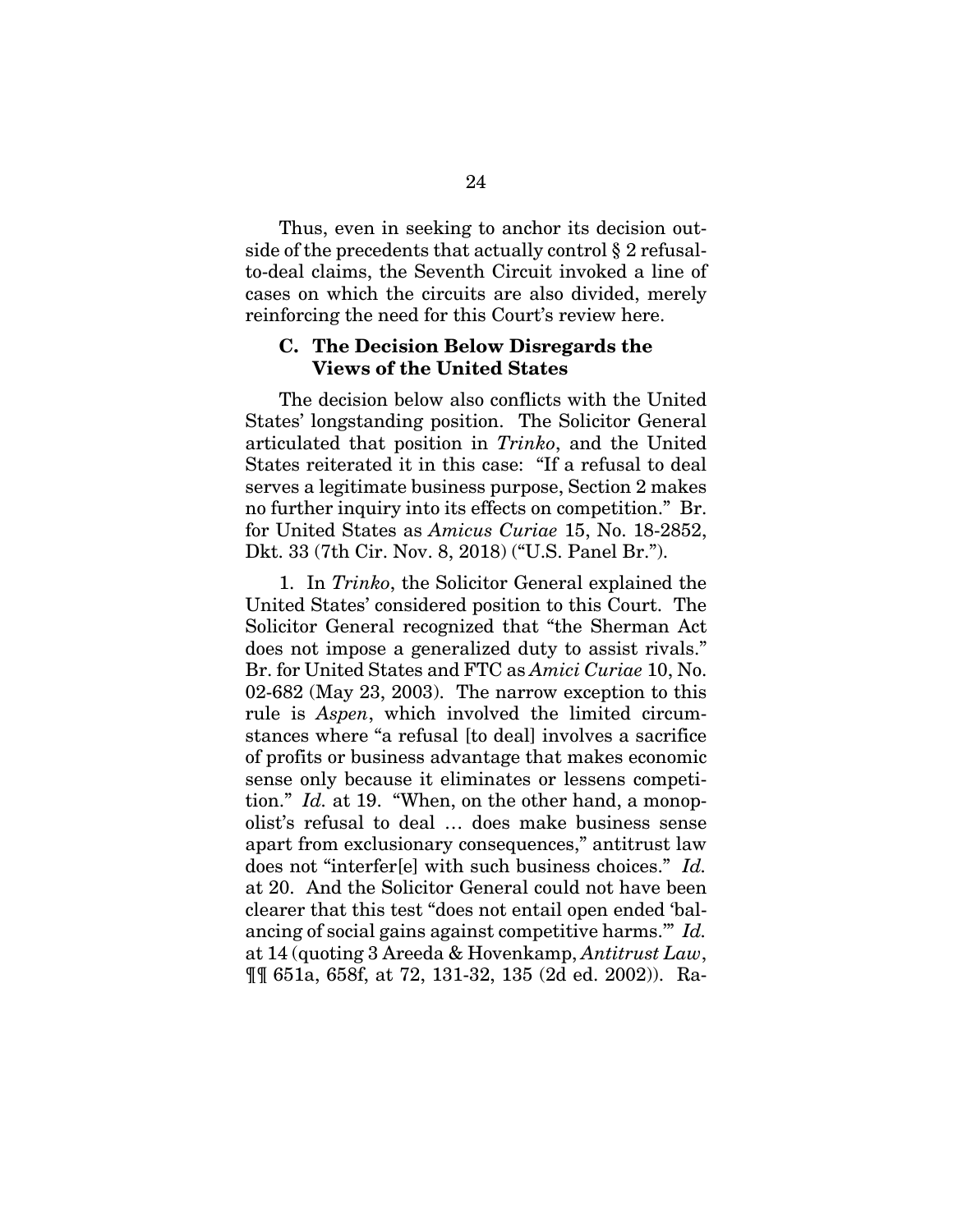Thus, even in seeking to anchor its decision outside of the precedents that actually control § 2 refusalto-deal claims, the Seventh Circuit invoked a line of cases on which the circuits are also divided, merely reinforcing the need for this Court's review here.

#### **C. The Decision Below Disregards the Views of the United States**

The decision below also conflicts with the United States' longstanding position. The Solicitor General articulated that position in *Trinko*, and the United States reiterated it in this case: "If a refusal to deal serves a legitimate business purpose, Section 2 makes no further inquiry into its effects on competition." Br. for United States as *Amicus Curiae* 15, No. 18-2852, Dkt. 33 (7th Cir. Nov. 8, 2018) ("U.S. Panel Br.").

1. In *Trinko*, the Solicitor General explained the United States' considered position to this Court. The Solicitor General recognized that "the Sherman Act does not impose a generalized duty to assist rivals." Br. for United States and FTC as *Amici Curiae* 10, No. 02-682 (May 23, 2003). The narrow exception to this rule is *Aspen*, which involved the limited circumstances where "a refusal [to deal] involves a sacrifice of profits or business advantage that makes economic sense only because it eliminates or lessens competition." *Id.* at 19. "When, on the other hand, a monopolist's refusal to deal … does make business sense apart from exclusionary consequences," antitrust law does not "interfer[e] with such business choices." *Id.* at 20. And the Solicitor General could not have been clearer that this test "does not entail open ended 'balancing of social gains against competitive harms.'" *Id.* at 14 (quoting 3 Areeda & Hovenkamp, *Antitrust Law*, ¶¶ 651a, 658f, at 72, 131-32, 135 (2d ed. 2002)). Ra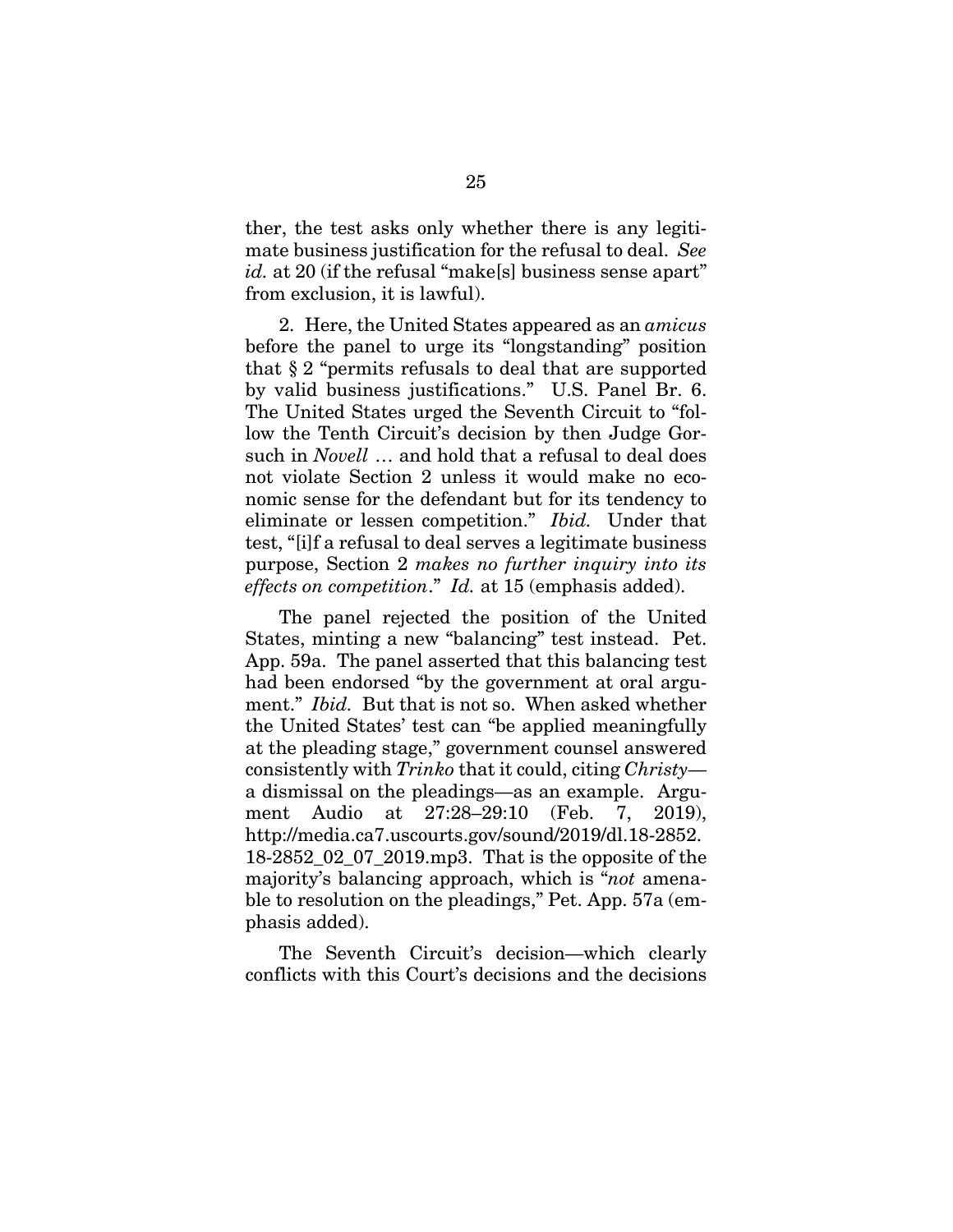ther, the test asks only whether there is any legitimate business justification for the refusal to deal. *See id.* at 20 (if the refusal "make[s] business sense apart" from exclusion, it is lawful).

2. Here, the United States appeared as an *amicus*  before the panel to urge its "longstanding" position that § 2 "permits refusals to deal that are supported by valid business justifications." U.S. Panel Br. 6. The United States urged the Seventh Circuit to "follow the Tenth Circuit's decision by then Judge Gorsuch in *Novell* … and hold that a refusal to deal does not violate Section 2 unless it would make no economic sense for the defendant but for its tendency to eliminate or lessen competition." *Ibid.* Under that test, "[i]f a refusal to deal serves a legitimate business purpose, Section 2 *makes no further inquiry into its effects on competition*." *Id.* at 15 (emphasis added).

The panel rejected the position of the United States, minting a new "balancing" test instead. Pet. App. 59a. The panel asserted that this balancing test had been endorsed "by the government at oral argument." *Ibid.* But that is not so. When asked whether the United States' test can "be applied meaningfully at the pleading stage," government counsel answered consistently with *Trinko* that it could, citing *Christy* a dismissal on the pleadings—as an example. Argument Audio at 27:28–29:10 (Feb. 7, 2019), http://media.ca7.uscourts.gov/sound/2019/dl.18-2852. 18-2852\_02\_07\_2019.mp3. That is the opposite of the majority's balancing approach, which is "*not* amenable to resolution on the pleadings," Pet. App. 57a (emphasis added).

The Seventh Circuit's decision—which clearly conflicts with this Court's decisions and the decisions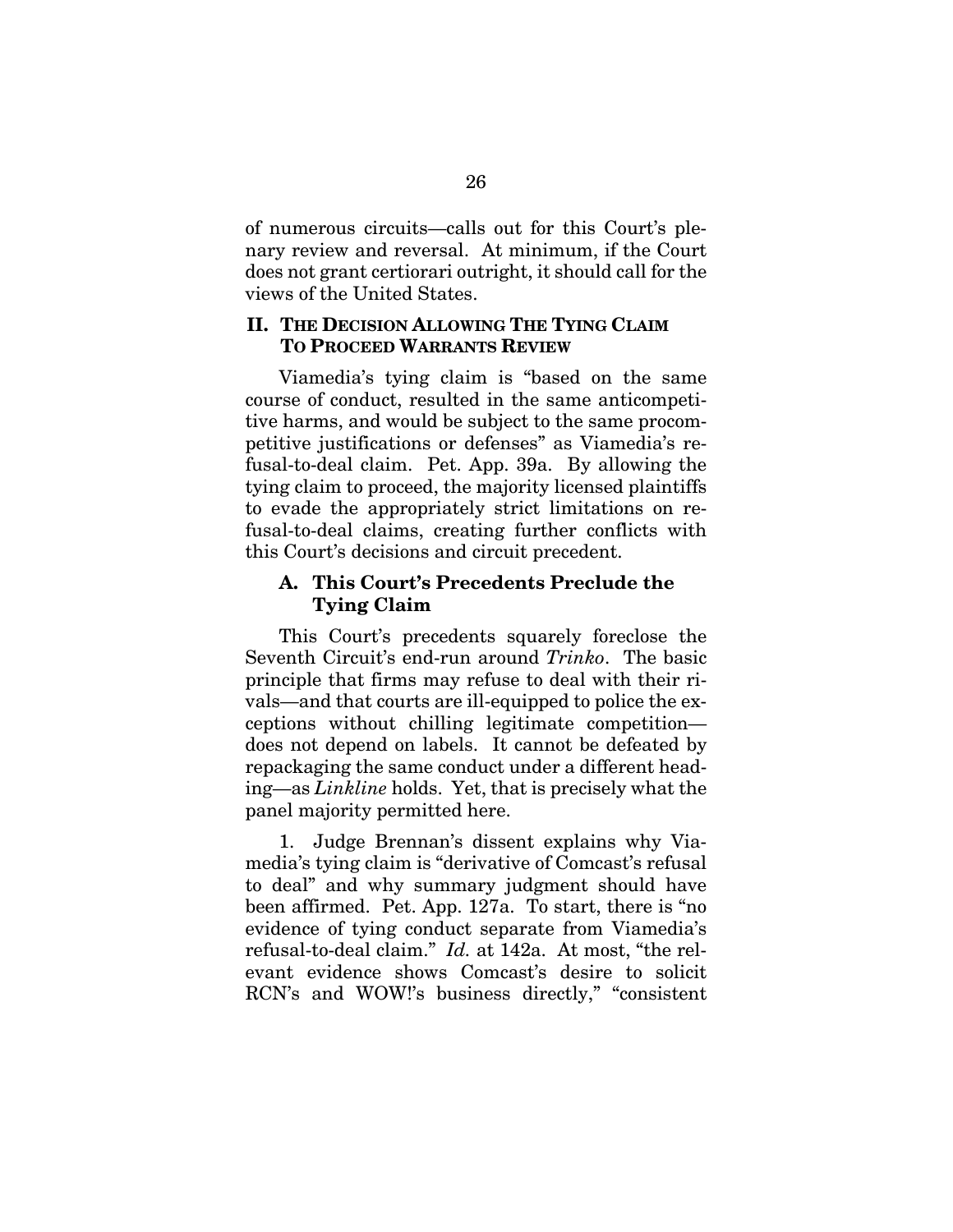of numerous circuits—calls out for this Court's plenary review and reversal. At minimum, if the Court does not grant certiorari outright, it should call for the views of the United States.

### **II. THE DECISION ALLOWING THE TYING CLAIM TO PROCEED WARRANTS REVIEW**

Viamedia's tying claim is "based on the same course of conduct, resulted in the same anticompetitive harms, and would be subject to the same procompetitive justifications or defenses" as Viamedia's refusal-to-deal claim. Pet. App. 39a. By allowing the tying claim to proceed, the majority licensed plaintiffs to evade the appropriately strict limitations on refusal-to-deal claims, creating further conflicts with this Court's decisions and circuit precedent.

## **A. This Court's Precedents Preclude the Tying Claim**

This Court's precedents squarely foreclose the Seventh Circuit's end-run around *Trinko*. The basic principle that firms may refuse to deal with their rivals—and that courts are ill-equipped to police the exceptions without chilling legitimate competition does not depend on labels. It cannot be defeated by repackaging the same conduct under a different heading—as *Linkline* holds. Yet, that is precisely what the panel majority permitted here.

1. Judge Brennan's dissent explains why Viamedia's tying claim is "derivative of Comcast's refusal to deal" and why summary judgment should have been affirmed. Pet. App. 127a. To start, there is "no evidence of tying conduct separate from Viamedia's refusal-to-deal claim." *Id.* at 142a. At most, "the relevant evidence shows Comcast's desire to solicit RCN's and WOW!'s business directly," "consistent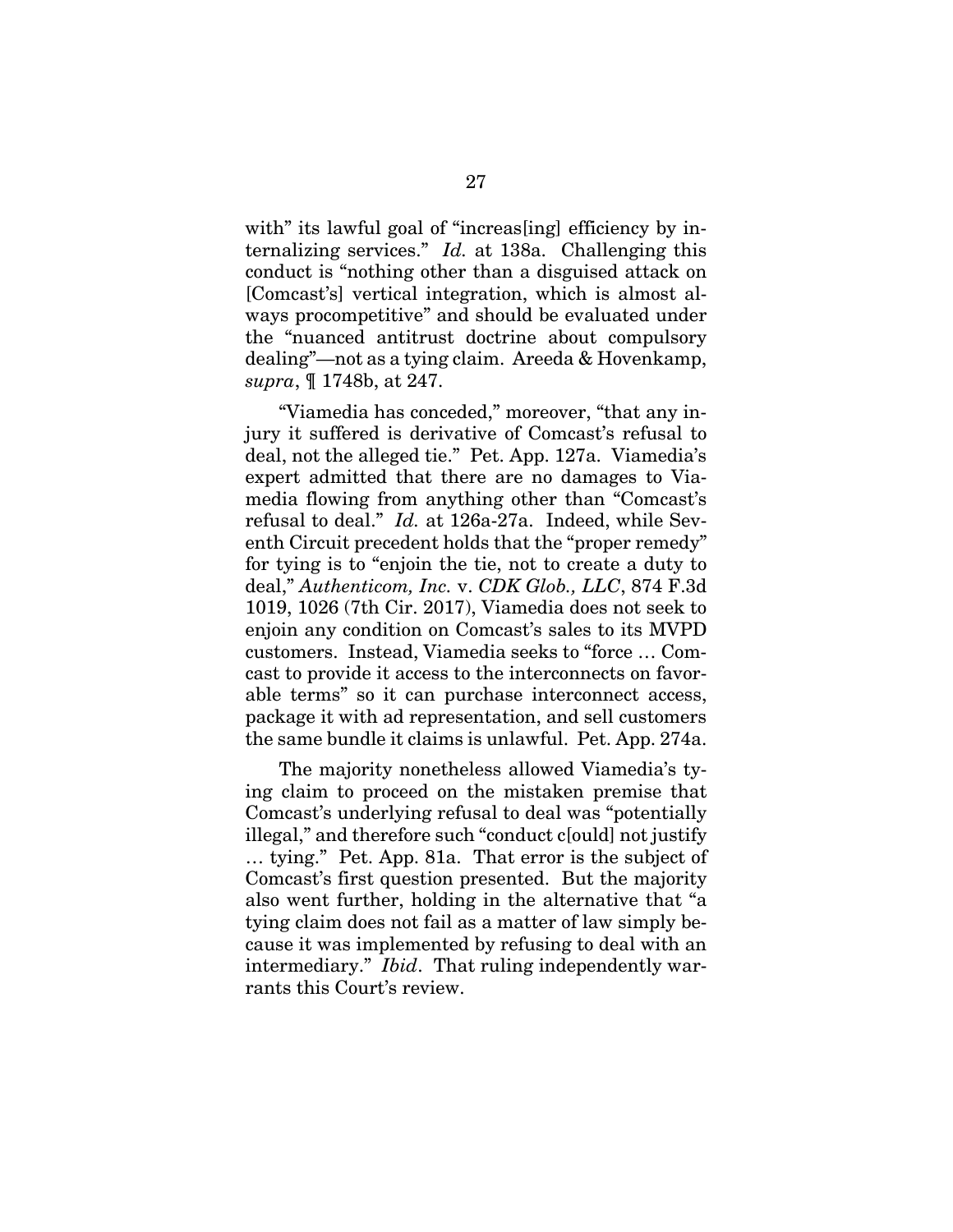with" its lawful goal of "increas[ing] efficiency by internalizing services." *Id.* at 138a. Challenging this conduct is "nothing other than a disguised attack on [Comcast's] vertical integration, which is almost always procompetitive" and should be evaluated under the "nuanced antitrust doctrine about compulsory dealing"—not as a tying claim. Areeda & Hovenkamp, *supra*, ¶ 1748b, at 247.

"Viamedia has conceded," moreover, "that any injury it suffered is derivative of Comcast's refusal to deal, not the alleged tie." Pet. App. 127a. Viamedia's expert admitted that there are no damages to Viamedia flowing from anything other than "Comcast's refusal to deal." *Id.* at 126a-27a. Indeed, while Seventh Circuit precedent holds that the "proper remedy" for tying is to "enjoin the tie, not to create a duty to deal," *Authenticom, Inc.* v. *CDK Glob., LLC*, 874 F.3d 1019, 1026 (7th Cir. 2017), Viamedia does not seek to enjoin any condition on Comcast's sales to its MVPD customers. Instead, Viamedia seeks to "force … Comcast to provide it access to the interconnects on favorable terms" so it can purchase interconnect access, package it with ad representation, and sell customers the same bundle it claims is unlawful. Pet. App. 274a.

The majority nonetheless allowed Viamedia's tying claim to proceed on the mistaken premise that Comcast's underlying refusal to deal was "potentially illegal," and therefore such "conduct c[ould] not justify … tying." Pet. App. 81a. That error is the subject of Comcast's first question presented. But the majority also went further, holding in the alternative that "a tying claim does not fail as a matter of law simply because it was implemented by refusing to deal with an intermediary." *Ibid*. That ruling independently warrants this Court's review.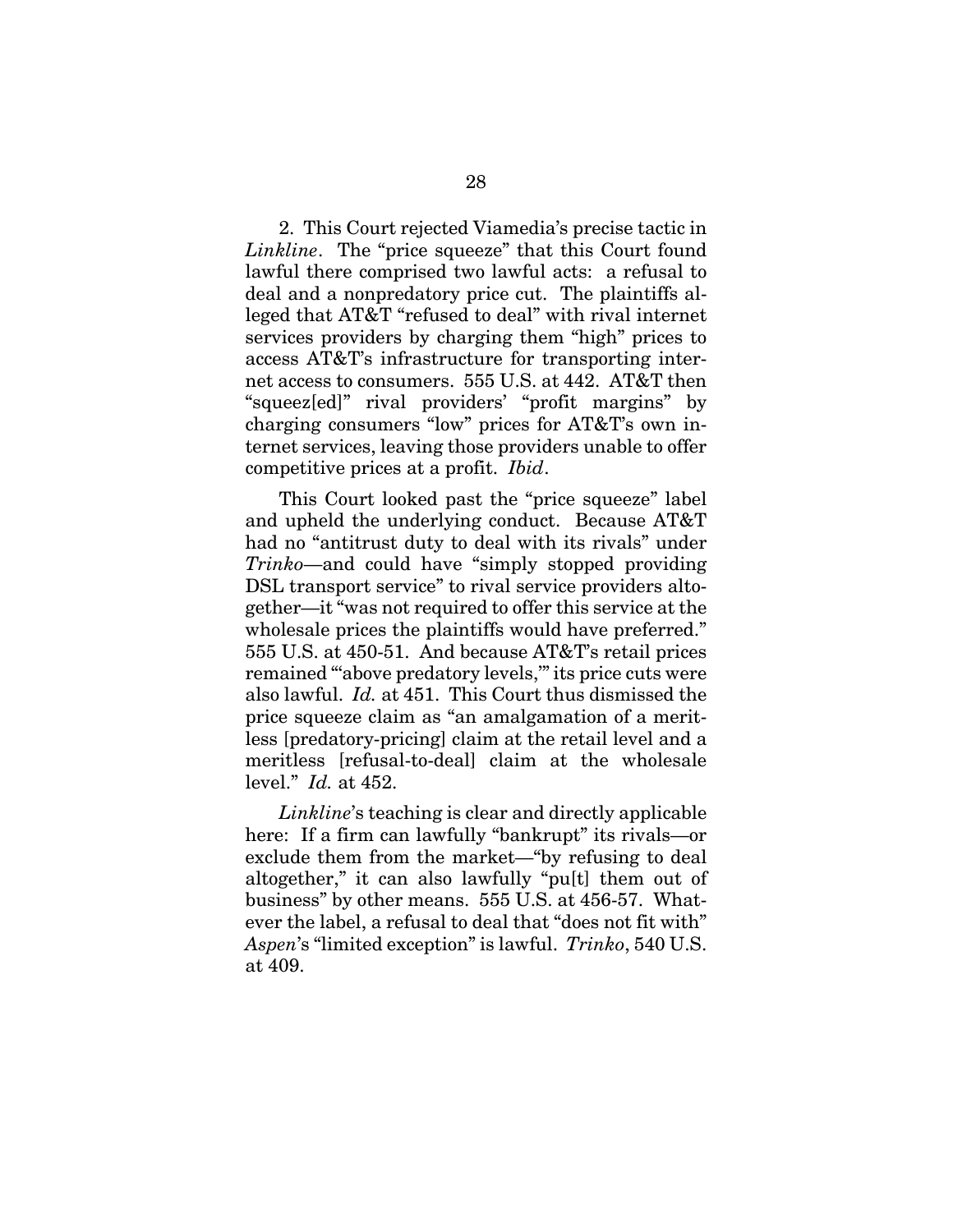2. This Court rejected Viamedia's precise tactic in *Linkline*. The "price squeeze" that this Court found lawful there comprised two lawful acts: a refusal to deal and a nonpredatory price cut. The plaintiffs alleged that AT&T "refused to deal" with rival internet services providers by charging them "high" prices to access AT&T's infrastructure for transporting internet access to consumers. 555 U.S. at 442. AT&T then "squeez[ed]" rival providers' "profit margins" by charging consumers "low" prices for AT&T's own internet services, leaving those providers unable to offer competitive prices at a profit. *Ibid*.

This Court looked past the "price squeeze" label and upheld the underlying conduct. Because AT&T had no "antitrust duty to deal with its rivals" under *Trinko*—and could have "simply stopped providing DSL transport service" to rival service providers altogether—it "was not required to offer this service at the wholesale prices the plaintiffs would have preferred." 555 U.S. at 450-51. And because AT&T's retail prices remained "above predatory levels," its price cuts were also lawful. *Id.* at 451. This Court thus dismissed the price squeeze claim as "an amalgamation of a meritless [predatory-pricing] claim at the retail level and a meritless [refusal-to-deal] claim at the wholesale level." *Id.* at 452.

*Linkline*'s teaching is clear and directly applicable here: If a firm can lawfully "bankrupt" its rivals—or exclude them from the market—"by refusing to deal altogether," it can also lawfully "pu[t] them out of business" by other means. 555 U.S. at 456-57. Whatever the label, a refusal to deal that "does not fit with" *Aspen*'s "limited exception" is lawful. *Trinko*, 540 U.S. at 409.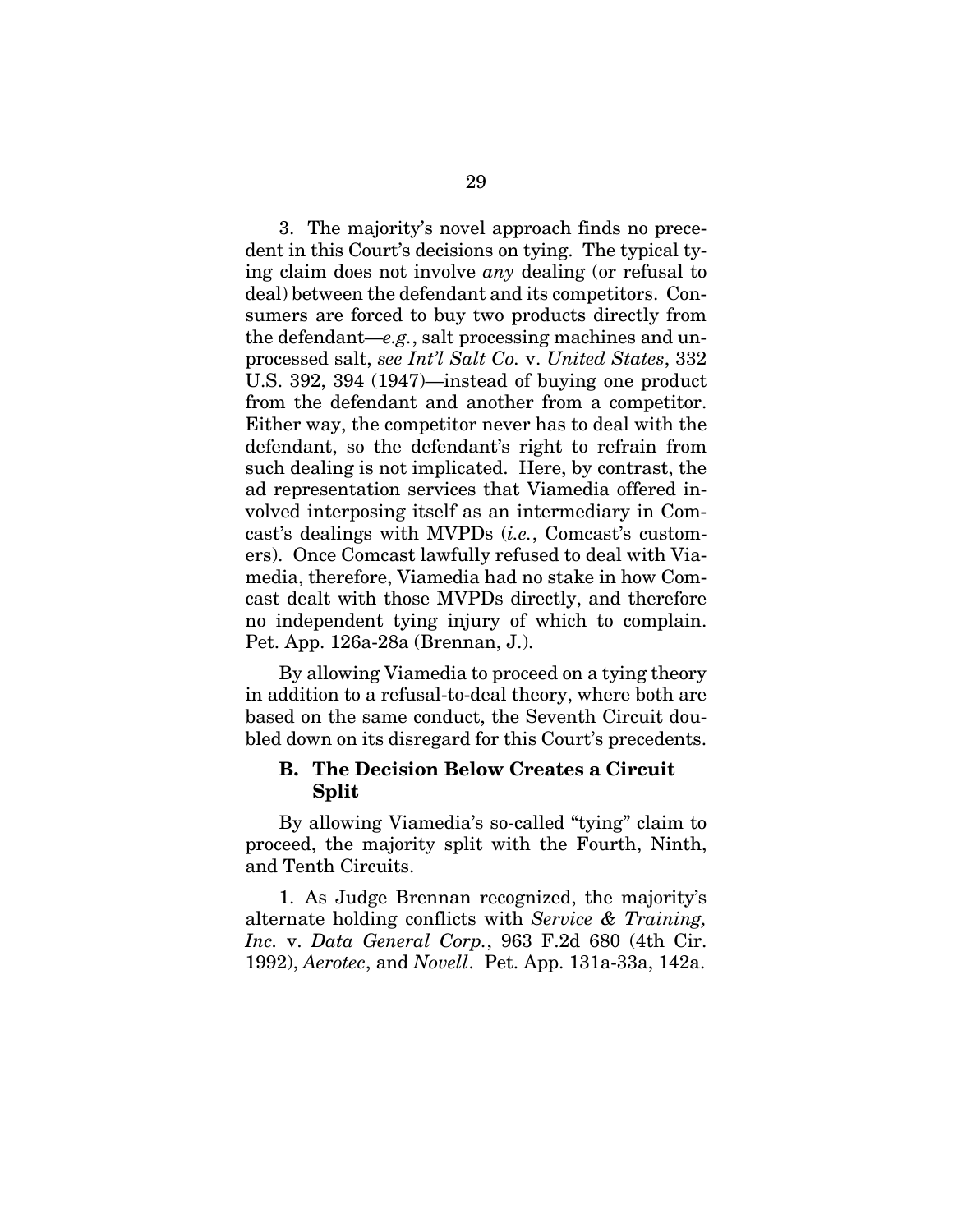3. The majority's novel approach finds no precedent in this Court's decisions on tying. The typical tying claim does not involve *any* dealing (or refusal to deal) between the defendant and its competitors. Consumers are forced to buy two products directly from the defendant—*e.g.*, salt processing machines and unprocessed salt, *see Int'l Salt Co.* v. *United States*, 332 U.S. 392, 394 (1947)—instead of buying one product from the defendant and another from a competitor. Either way, the competitor never has to deal with the defendant, so the defendant's right to refrain from such dealing is not implicated. Here, by contrast, the ad representation services that Viamedia offered involved interposing itself as an intermediary in Comcast's dealings with MVPDs (*i.e.*, Comcast's customers). Once Comcast lawfully refused to deal with Viamedia, therefore, Viamedia had no stake in how Comcast dealt with those MVPDs directly, and therefore no independent tying injury of which to complain. Pet. App. 126a-28a (Brennan, J.).

By allowing Viamedia to proceed on a tying theory in addition to a refusal-to-deal theory, where both are based on the same conduct, the Seventh Circuit doubled down on its disregard for this Court's precedents.

### **B. The Decision Below Creates a Circuit Split**

By allowing Viamedia's so-called "tying" claim to proceed, the majority split with the Fourth, Ninth, and Tenth Circuits.

1. As Judge Brennan recognized, the majority's alternate holding conflicts with *Service & Training, Inc.* v. *Data General Corp.*, 963 F.2d 680 (4th Cir. 1992), *Aerotec*, and *Novell*. Pet. App. 131a-33a, 142a.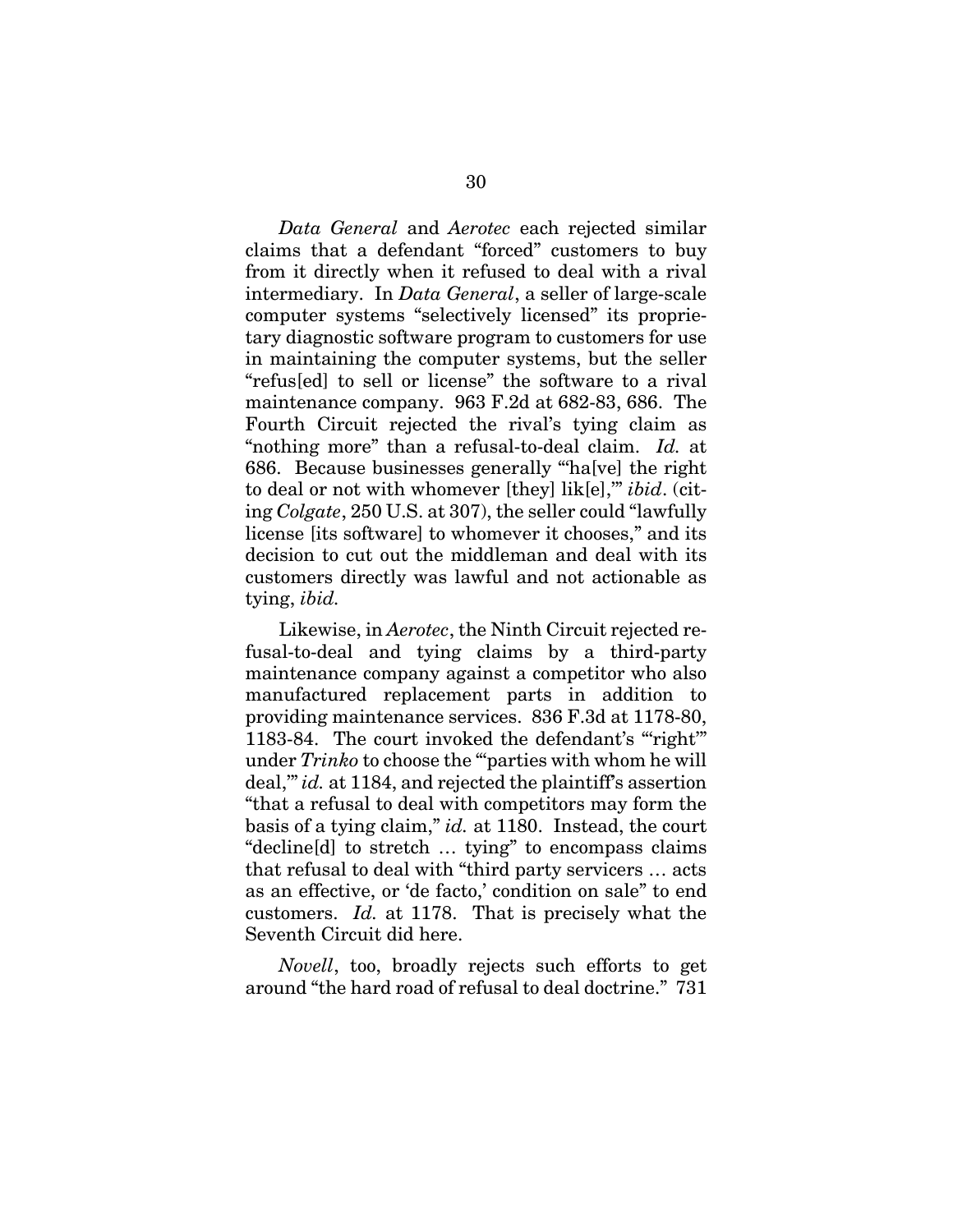*Data General* and *Aerotec* each rejected similar claims that a defendant "forced" customers to buy from it directly when it refused to deal with a rival intermediary. In *Data General*, a seller of large-scale computer systems "selectively licensed" its proprietary diagnostic software program to customers for use in maintaining the computer systems, but the seller "refus[ed] to sell or license" the software to a rival maintenance company. 963 F.2d at 682-83, 686. The Fourth Circuit rejected the rival's tying claim as "nothing more" than a refusal-to-deal claim. *Id.* at 686. Because businesses generally "'ha[ve] the right to deal or not with whomever [they] lik[e],'" *ibid*. (citing *Colgate*, 250 U.S. at 307), the seller could "lawfully license [its software] to whomever it chooses," and its decision to cut out the middleman and deal with its customers directly was lawful and not actionable as tying, *ibid.*

Likewise, in *Aerotec*, the Ninth Circuit rejected refusal-to-deal and tying claims by a third-party maintenance company against a competitor who also manufactured replacement parts in addition to providing maintenance services. 836 F.3d at 1178-80, 1183-84. The court invoked the defendant's "right" under *Trinko* to choose the "'parties with whom he will deal,'" *id.* at 1184, and rejected the plaintiff's assertion "that a refusal to deal with competitors may form the basis of a tying claim," *id.* at 1180. Instead, the court "decline[d] to stretch … tying" to encompass claims that refusal to deal with "third party servicers … acts as an effective, or 'de facto,' condition on sale" to end customers. *Id.* at 1178. That is precisely what the Seventh Circuit did here.

*Novell*, too, broadly rejects such efforts to get around "the hard road of refusal to deal doctrine." 731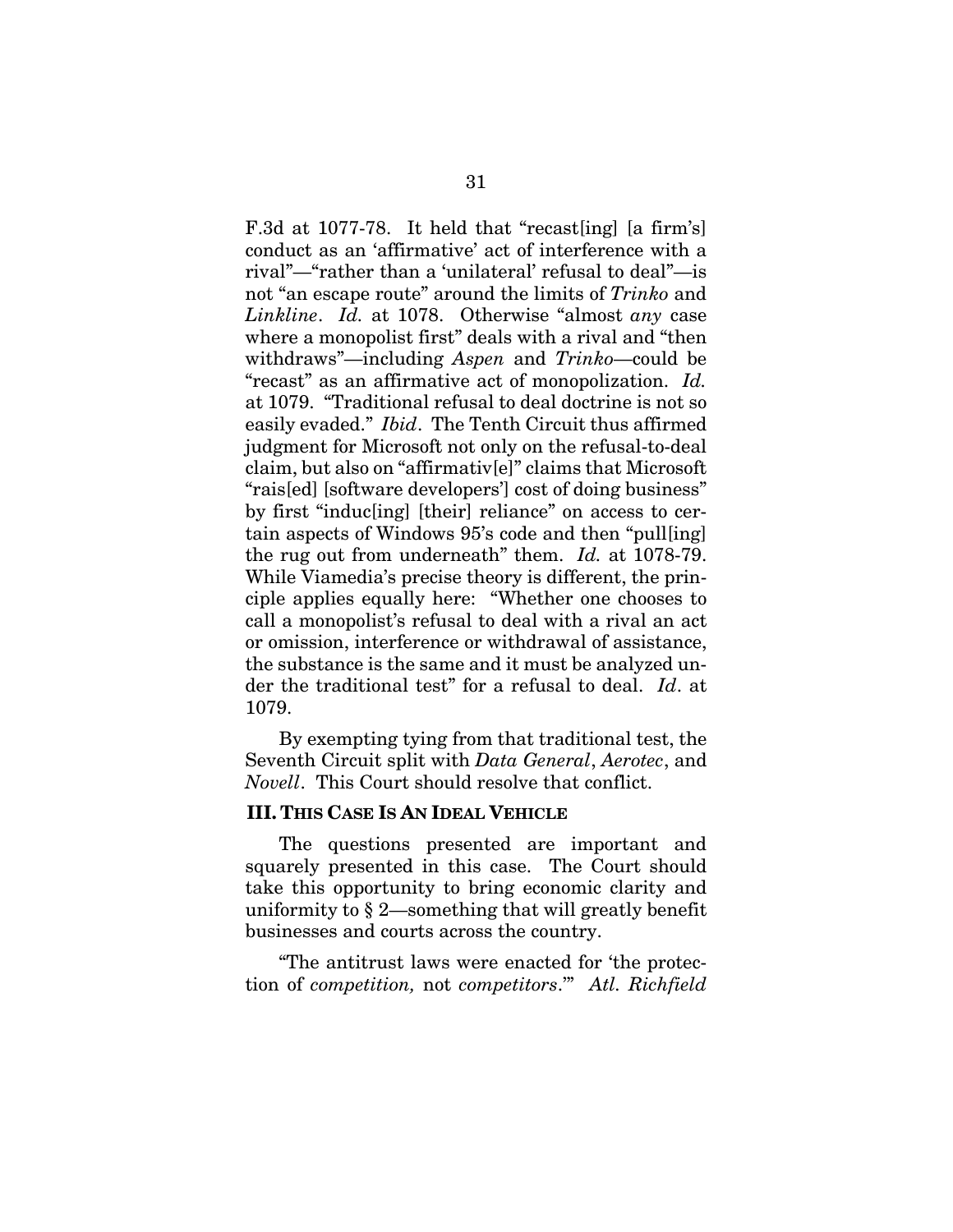F.3d at 1077-78. It held that "recast[ing] [a firm's] conduct as an 'affirmative' act of interference with a rival"—"rather than a 'unilateral' refusal to deal"—is not "an escape route" around the limits of *Trinko* and *Linkline*. *Id.* at 1078. Otherwise "almost *any* case where a monopolist first" deals with a rival and "then withdraws"—including *Aspen* and *Trinko*—could be "recast" as an affirmative act of monopolization. *Id.* at 1079. "Traditional refusal to deal doctrine is not so easily evaded." *Ibid*. The Tenth Circuit thus affirmed judgment for Microsoft not only on the refusal-to-deal claim, but also on "affirmativ[e]" claims that Microsoft "rais[ed] [software developers'] cost of doing business" by first "induc[ing] [their] reliance" on access to certain aspects of Windows 95's code and then "pull[ing] the rug out from underneath" them. *Id.* at 1078-79. While Viamedia's precise theory is different, the principle applies equally here: "Whether one chooses to call a monopolist's refusal to deal with a rival an act or omission, interference or withdrawal of assistance, the substance is the same and it must be analyzed under the traditional test" for a refusal to deal. *Id*. at 1079.

By exempting tying from that traditional test, the Seventh Circuit split with *Data General*, *Aerotec*, and *Novell*. This Court should resolve that conflict.

#### **III. THIS CASE IS AN IDEAL VEHICLE**

The questions presented are important and squarely presented in this case. The Court should take this opportunity to bring economic clarity and uniformity to § 2—something that will greatly benefit businesses and courts across the country.

"The antitrust laws were enacted for 'the protection of *competition,* not *competitors*.'" *Atl. Richfield*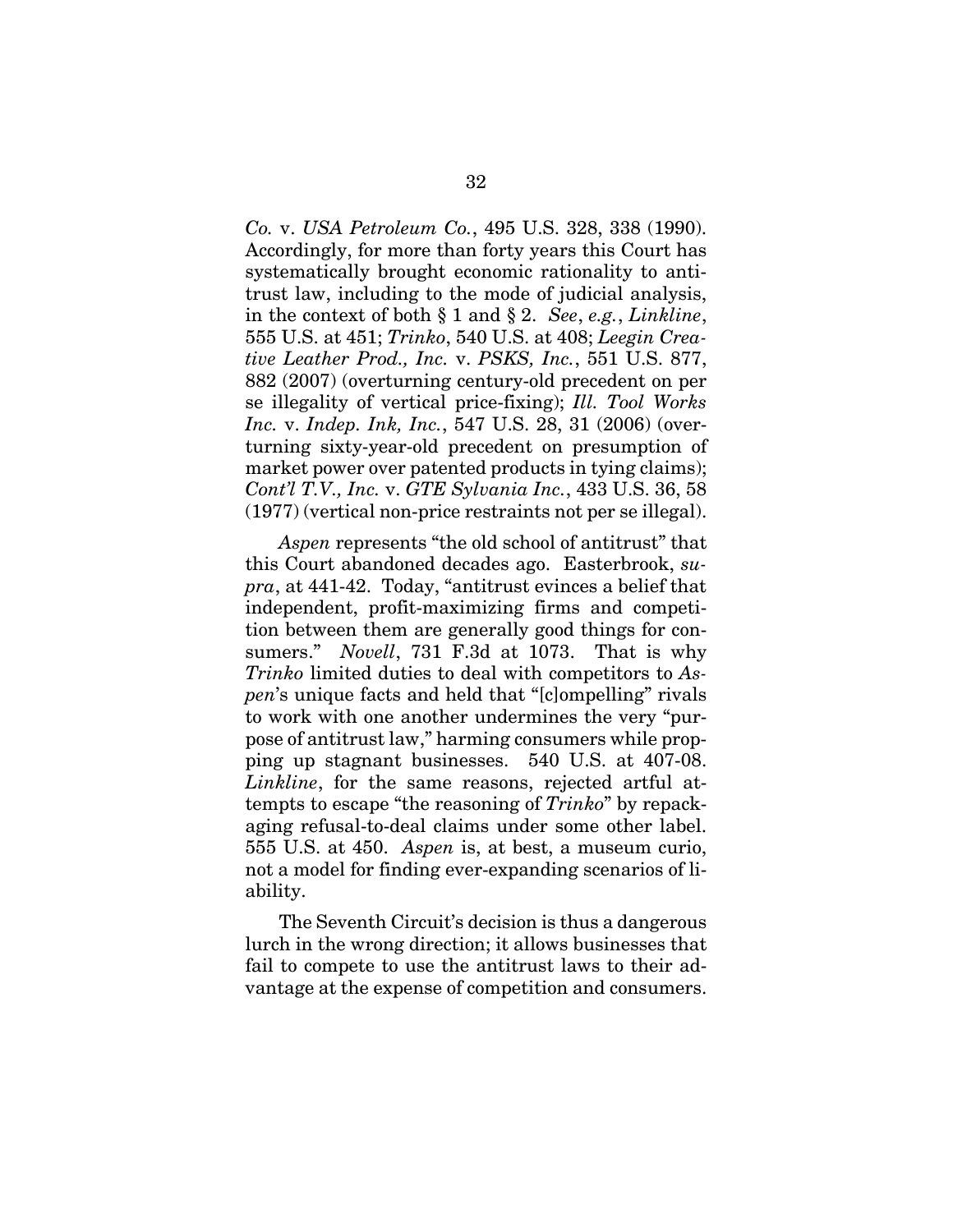*Co.* v. *USA Petroleum Co.*, 495 U.S. 328, 338 (1990). Accordingly, for more than forty years this Court has systematically brought economic rationality to antitrust law, including to the mode of judicial analysis, in the context of both § 1 and § 2. *See*, *e.g.*, *Linkline*, 555 U.S. at 451; *Trinko*, 540 U.S. at 408; *Leegin Creative Leather Prod., Inc.* v. *PSKS, Inc.*, 551 U.S. 877, 882 (2007) (overturning century-old precedent on per se illegality of vertical price-fixing); *Ill. Tool Works Inc.* v. *Indep. Ink, Inc.*, 547 U.S. 28, 31 (2006) (overturning sixty-year-old precedent on presumption of market power over patented products in tying claims); *Cont'l T.V., Inc.* v. *GTE Sylvania Inc.*, 433 U.S. 36, 58 (1977) (vertical non-price restraints not per se illegal).

*Aspen* represents "the old school of antitrust" that this Court abandoned decades ago. Easterbrook, *supra*, at 441-42. Today, "antitrust evinces a belief that independent, profit-maximizing firms and competition between them are generally good things for consumers." *Novell*, 731 F.3d at 1073. That is why *Trinko* limited duties to deal with competitors to *Aspen*'s unique facts and held that "[c]ompelling" rivals to work with one another undermines the very "purpose of antitrust law," harming consumers while propping up stagnant businesses. 540 U.S. at 407-08. *Linkline*, for the same reasons, rejected artful attempts to escape "the reasoning of *Trinko*" by repackaging refusal-to-deal claims under some other label. 555 U.S. at 450. *Aspen* is, at best, a museum curio, not a model for finding ever-expanding scenarios of liability.

The Seventh Circuit's decision is thus a dangerous lurch in the wrong direction; it allows businesses that fail to compete to use the antitrust laws to their advantage at the expense of competition and consumers.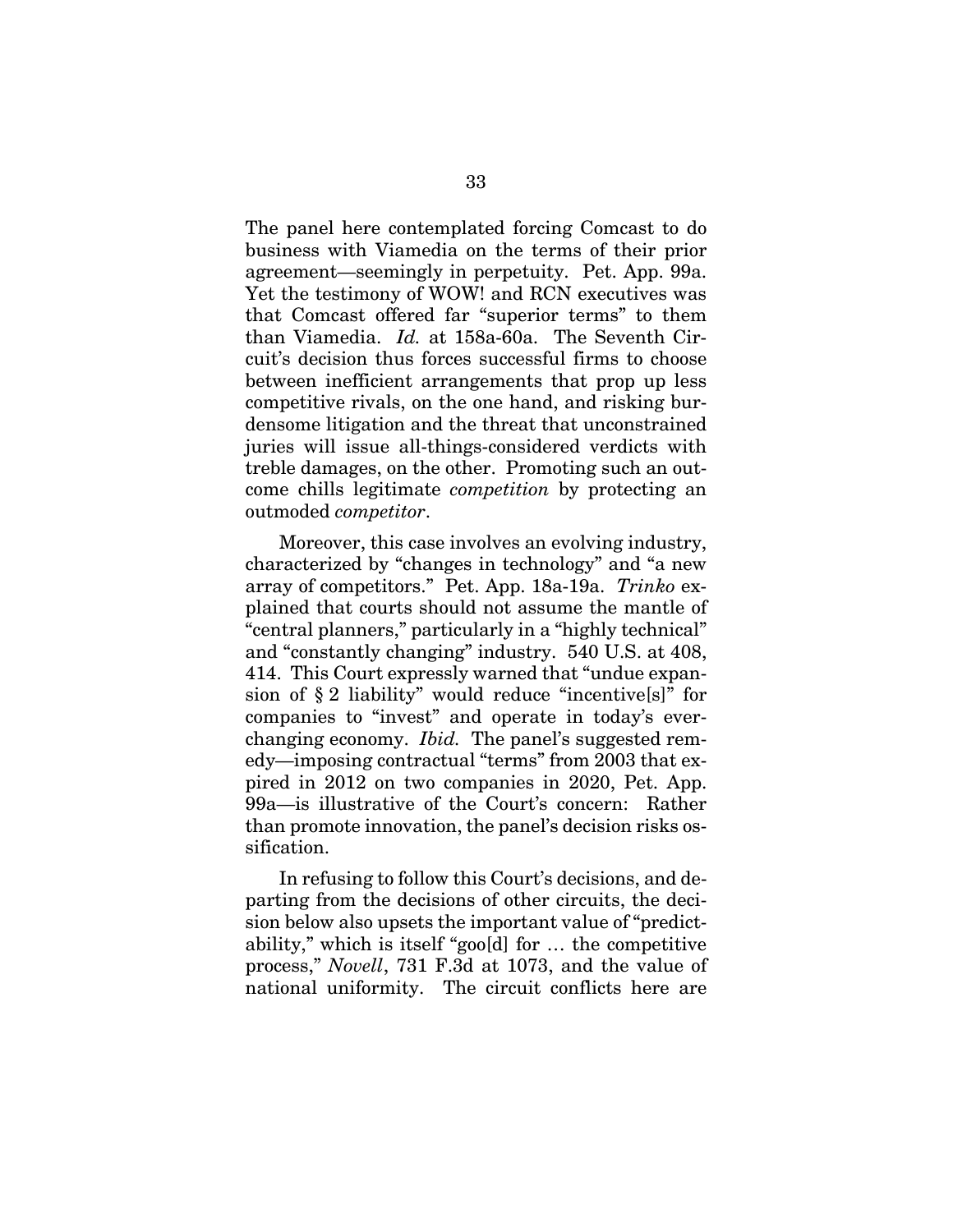The panel here contemplated forcing Comcast to do business with Viamedia on the terms of their prior agreement—seemingly in perpetuity. Pet. App. 99a. Yet the testimony of WOW! and RCN executives was that Comcast offered far "superior terms" to them than Viamedia. *Id.* at 158a-60a. The Seventh Circuit's decision thus forces successful firms to choose between inefficient arrangements that prop up less competitive rivals, on the one hand, and risking burdensome litigation and the threat that unconstrained juries will issue all-things-considered verdicts with treble damages, on the other. Promoting such an outcome chills legitimate *competition* by protecting an outmoded *competitor*.

Moreover, this case involves an evolving industry, characterized by "changes in technology" and "a new array of competitors." Pet. App. 18a-19a. *Trinko* explained that courts should not assume the mantle of "central planners," particularly in a "highly technical" and "constantly changing" industry. 540 U.S. at 408, 414. This Court expressly warned that "undue expansion of § 2 liability" would reduce "incentive[s]" for companies to "invest" and operate in today's everchanging economy. *Ibid.* The panel's suggested remedy—imposing contractual "terms" from 2003 that expired in 2012 on two companies in 2020, Pet. App. 99a—is illustrative of the Court's concern: Rather than promote innovation, the panel's decision risks ossification.

In refusing to follow this Court's decisions, and departing from the decisions of other circuits, the decision below also upsets the important value of "predictability," which is itself "goo[d] for … the competitive process," *Novell*, 731 F.3d at 1073, and the value of national uniformity. The circuit conflicts here are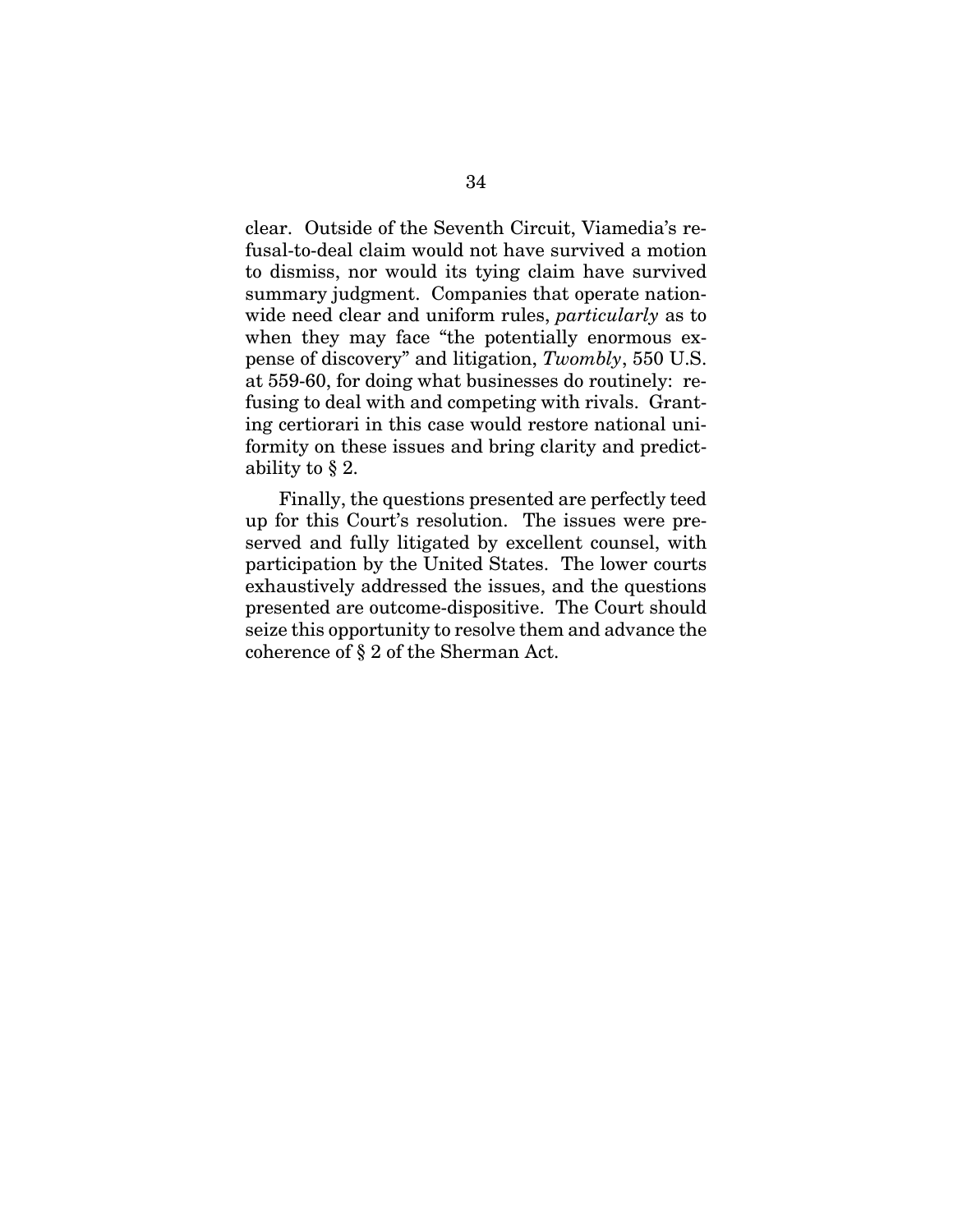clear. Outside of the Seventh Circuit, Viamedia's refusal-to-deal claim would not have survived a motion to dismiss, nor would its tying claim have survived summary judgment. Companies that operate nationwide need clear and uniform rules, *particularly* as to when they may face "the potentially enormous expense of discovery" and litigation, *Twombly*, 550 U.S. at 559-60, for doing what businesses do routinely: refusing to deal with and competing with rivals. Granting certiorari in this case would restore national uniformity on these issues and bring clarity and predictability to § 2.

Finally, the questions presented are perfectly teed up for this Court's resolution. The issues were preserved and fully litigated by excellent counsel, with participation by the United States. The lower courts exhaustively addressed the issues, and the questions presented are outcome-dispositive. The Court should seize this opportunity to resolve them and advance the coherence of § 2 of the Sherman Act.